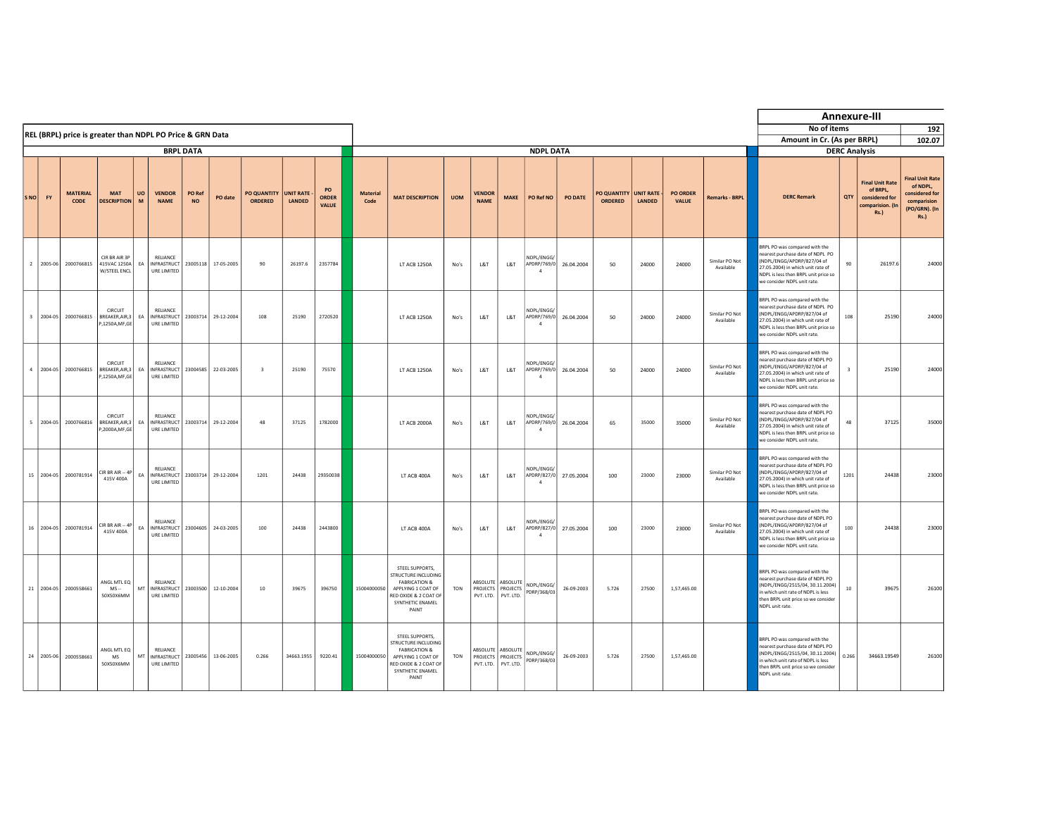|                         |               |                         |                                                           |         |                                                            |                     |            |                               |                     |                                    |                         |                                                                                                                                                             |            |                                   |                                            |                                             |            |                               |                              |                                 |                             |                                                                                                                                                                                                                   |        | Annexure-III                                                                                                    |                                                                                                     |
|-------------------------|---------------|-------------------------|-----------------------------------------------------------|---------|------------------------------------------------------------|---------------------|------------|-------------------------------|---------------------|------------------------------------|-------------------------|-------------------------------------------------------------------------------------------------------------------------------------------------------------|------------|-----------------------------------|--------------------------------------------|---------------------------------------------|------------|-------------------------------|------------------------------|---------------------------------|-----------------------------|-------------------------------------------------------------------------------------------------------------------------------------------------------------------------------------------------------------------|--------|-----------------------------------------------------------------------------------------------------------------|-----------------------------------------------------------------------------------------------------|
|                         |               |                         | REL (BRPL) price is greater than NDPL PO Price & GRN Data |         |                                                            |                     |            |                               |                     |                                    |                         |                                                                                                                                                             |            |                                   |                                            |                                             |            |                               |                              |                                 |                             | No of items                                                                                                                                                                                                       |        |                                                                                                                 | 192                                                                                                 |
|                         |               |                         |                                                           |         |                                                            | <b>BRPL DATA</b>    |            |                               |                     |                                    |                         |                                                                                                                                                             |            |                                   |                                            |                                             |            |                               |                              |                                 |                             | Amount in Cr. (As per BRPL)                                                                                                                                                                                       |        |                                                                                                                 | 102.07                                                                                              |
| SNO                     | FY            | <b>MATERIAL</b><br>CODE | <b>MAT</b><br><b>DESCRIPTION</b>                          | UO<br>M | <b>VENDOR</b><br><b>NAME</b>                               | PO Ref<br><b>NO</b> | PO date    | PO QUANTITY<br><b>ORDERED</b> | UNIT RATE<br>LANDED | PO<br><b>ORDER</b><br><b>VALUE</b> | <b>Material</b><br>Code | <b>MAT DESCRIPTION</b>                                                                                                                                      | <b>UOM</b> | <b>VENDOR</b><br><b>NAME</b>      | <b>MAKE</b>                                | <b>NDPL DATA</b><br>PO Ref NO               | PO DATE    | PO QUANTITY<br><b>ORDERED</b> | <b>UNIT RATE -</b><br>LANDED | <b>PO ORDER</b><br><b>VALUE</b> | <b>Remarks - BRPL</b>       | <b>DERC Remark</b>                                                                                                                                                                                                | QTY    | <b>DERC Analysis</b><br><b>Final Unit Rate</b><br>of BRPL.<br>considered for<br>comparision. (In<br><b>Rs.)</b> | <b>Final Unit Rate</b><br>of NDPL.<br>considered for<br>comparision<br>(PO/GRN). (In<br><b>Rs.)</b> |
|                         | 2 2005-06     | 2000766815              | CIR BR AIR 3P<br>415VAC 1250A<br>W/STEEL ENCL             | EA      | RELIANCE<br><b>INFRASTRUCT</b><br>URE LIMITED              | 23005118            | 17-05-2005 | 90                            | 26197.6             | 2357784                            |                         | LT ACB 1250A                                                                                                                                                | No's       | L&T                               | L&T                                        | NDPL/ENGG/<br>APDRP/769/0<br>$\mathbf{A}$   | 26.04.2004 | 50                            | 24000                        | 24000                           | Similar PO Not<br>Available | BRPL PO was compared with the<br>earest purchase date of NDPL PO<br>(NDPL/ENGG/APDRP/827/04 of<br>27.05.2004) in which unit rate of<br>NDPL is less then BRPL unit price so<br>we consider NDPL unit rate.        | 90     | 26197.6                                                                                                         | 24000                                                                                               |
| $\overline{\mathbf{3}}$ | 2004-05       | 2000766815              | CIRCUIT<br>BREAKER, AIR, 3<br>P,1250A,MF,GE               | EA      | RELIANCE<br><b>INFRASTRUCT</b><br>URE LIMITED              | 23003714            | 29-12-2004 | 108                           | 25190               | 2720520                            |                         | LT ACB 1250A                                                                                                                                                | No's       | L8T                               | L&T                                        | NDPL/ENGG/<br>APDRP/769/0<br>$\overline{4}$ | 26.04.2004 | 50                            | 24000                        | 24000                           | Similar PO Not<br>Available | BRPL PO was compared with the<br>earest purchase date of NDPL PO<br>(NDPL/ENGG/APDRP/827/04 of<br>27.05.2004) in which unit rate of<br>NDPL is less then BRPL unit price so<br>we consider NDPL unit rate.        | 108    | 25190                                                                                                           | 24000                                                                                               |
|                         | $4   2004-05$ | 2000766815              | CIRCUIT<br>BREAKER, AIR, 3<br>P,1250A,MF,GE               | EA      | RELIANCE<br><b>INFRASTRUCT</b><br>URE LIMITED              | 23004585            | 22-03-2005 | $\overline{\mathbf{3}}$       | 25190               | 75570                              |                         | LT ACB 1250A                                                                                                                                                | No's       | L8T                               | L&T                                        | NDPL/ENGG/<br>APDRP/769/0<br>$\mathbf{A}$   | 26.04.2004 | 50                            | 24000                        | 24000                           | Similar PO Not<br>Available | BRPL PO was compared with the<br>earest purchase date of NDPL PO<br>(NDPL/FNGG/APDRP/827/04 of<br>27.05.2004) in which unit rate of<br>NDPL is less then BRPL unit price so<br>we consider NDPL unit rate.        |        | 25190                                                                                                           | 24000                                                                                               |
| $\sim$                  | 2004-05       | 2000766816              | CIRCUIT<br>BREAKER, AIR.3<br>P,2000A,MF,GE                | EA      | RELIANCE<br><b>INFRASTRUCT</b><br>URE LIMITED              | 23003714            | 29-12-2004 | 48                            | 37125               | 1782000                            |                         | LT ACB 2000A                                                                                                                                                | $N_0$ 's   | L&T                               | L&T                                        | NDPL/ENGG/<br>APDRP/769/0<br>$\overline{4}$ | 26.04.2004 | 65                            | 35000                        | 35000                           | Similar PO Not<br>Available | BRPL PO was compared with the<br>earest purchase date of NDPL PO<br>(NDPL/ENGG/APDRP/827/04 of<br>27.05.2004) in which unit rate of<br>NDPL is less then BRPL unit price so<br>we consider NDPL unit rate.        | 48     | 37125                                                                                                           | 35000                                                                                               |
|                         | 15 2004-05    | 2000781914              | $CIR$ BR AIR $-4P$<br>415V 400A                           | EA      | RELIANCE<br>INFRASTRUCT 23003714 29-12-2004<br>URE LIMITED |                     |            | 1201                          | 24438               | 29350038                           |                         | LT ACB 400A                                                                                                                                                 | No's       | L&T                               | L&T                                        | NDPL/ENGG/<br>APDRP/827/0<br>$\overline{4}$ | 27.05.2004 | 100                           | 23000                        | 23000                           | Similar PO Not<br>Available | BRPL PO was compared with the<br>earest purchase date of NDPL PO<br>(NDPL/ENGG/APDRP/827/04 of<br>27.05.2004) in which unit rate of<br>NDPL is less then BRPL unit price so<br>we consider NDPL unit rate.        | 1201   | 24438                                                                                                           | 23000                                                                                               |
|                         | 16 2004-05    | 2000781914              | CIR BR AIR -- 4P<br>415V 400A                             | EA      | RELIANCE<br><b>INFRASTRUCT</b><br>URE LIMITED              | 23004605            | 24-03-2005 | 100                           | 24438               | 2443800                            |                         | LT ACB 400A                                                                                                                                                 | No's       | L8T                               | L&T                                        | NDPL/ENGG/<br>APDRP/827/0<br>$\mathbf{A}$   | 27.05.2004 | 100                           | 23000                        | 23000                           | Similar PO Not<br>Available | <b>SRPL PO was compared with the</b><br>earest purchase date of NDPL PO<br>(NDPL/ENGG/APDRP/827/04 of<br>27.05.2004) in which unit rate of<br>NDPL is less then BRPL unit price so<br>we consider NDPL unit rate. | 100    | 24438                                                                                                           | 23000                                                                                               |
|                         | 21 2004-05    | 2000558661              | ANGL MTL EQ<br>$MS -$<br>50X50X6MM                        | MT      | <b>RELIANCE</b><br>INFRASTRUCT   23003500<br>URE LIMITED   |                     | 12-10-2004 | $10\,$                        | 39675               | 396750                             | 15004000050             | STEEL SUPPORTS<br><b>STRUCTURE INCLUDING</b><br><b>FARRICATION &amp;</b><br>APPLYING 1 COAT OF<br>RED OXIDE & 2 COAT OF<br>SYNTHETIC ENAMEL<br><b>PAINT</b> | TON        | ARSOLUTE<br>PROJECTS<br>PVT. LTD. | ARSOLUTE<br>PROJECTS<br>PVT. LTD.          | NDPL/ENGG/<br>PDRP/368/03                   | 26-09-2003 | 5.726                         | 27500                        | 1,57,465.00                     |                             | BRPL PO was compared with the<br>earest purchase date of NDPL PO<br>(NDPL/ENGG/2515/04, 30.11.2004)<br>which unit rate of NDPL is less<br>then BRPL unit price so we consider<br>NDPL unit rate.                  | $10\,$ | 39675                                                                                                           | 26100                                                                                               |
|                         | 24 2005-06    | 2000558661              | ANGL MTL EQ<br>MS<br>50X50X6MM                            | MT      | <b>RELIANCE</b><br>INFRASTRUCT<br>URE LIMITED              | 23005456            | 13-06-2005 | 0.266                         | 34663.1955          | 9220.41                            | 15004000050             | STEEL SUPPORTS.<br>TRUCTURE INCLUDING<br><b>FABRICATION &amp;</b><br>APPLYING 1 COAT OF<br>RED OXIDE & 2 COAT OF<br>SYNTHETIC ENAMEL<br>PAINT               | TON        | PROJECTS<br>PVT. LTD.             | ABSOLUTE ABSOLUTE<br>PROJECTS<br>PVT. LTD. | NDPL/ENGG/<br>PDRP/368/03                   | 26-09-2003 | 5.726                         | 27500                        | 1,57,465.00                     |                             | BRPL PO was compared with the<br>earest purchase date of NDPL PO<br>(NDPL/ENGG/2515/04, 30.11.2004)<br>which unit rate of NDPL is less<br>then BRPL unit price so we consider<br>NDPL unit rate.                  | 0.266  | 34663.19549                                                                                                     | 26100                                                                                               |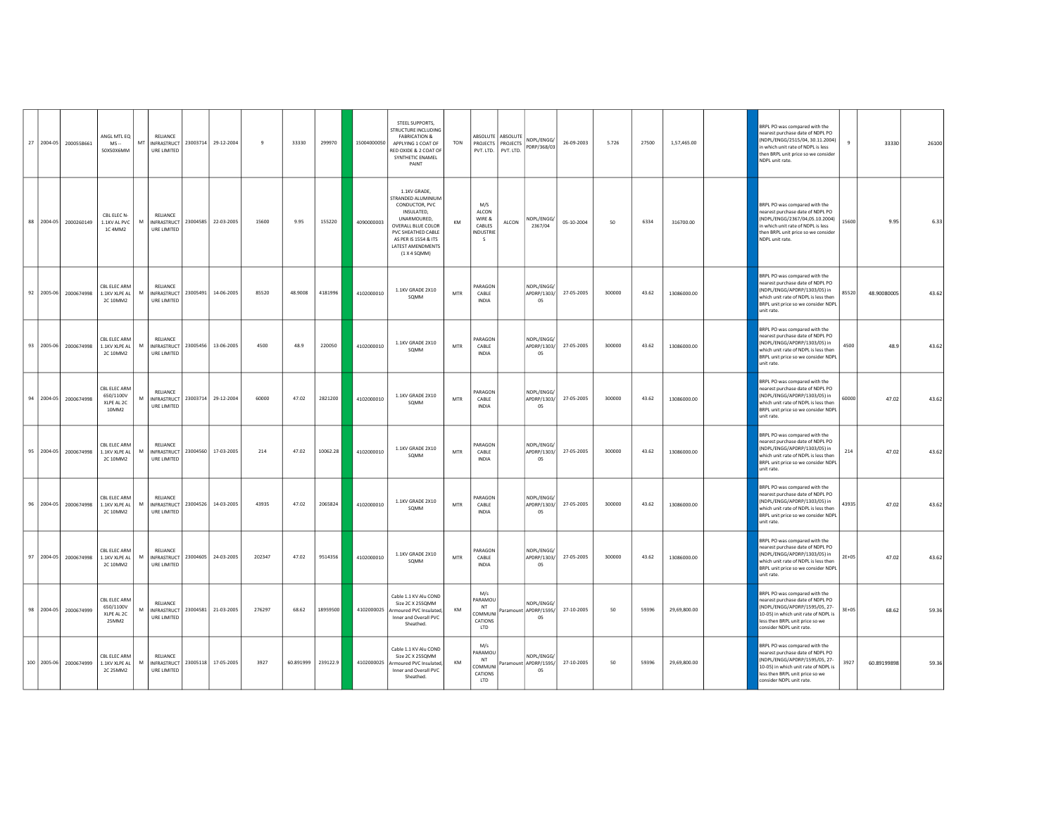|  | 27 2004-05 2000558661 | ANGL MTL EQ<br>$MS -$<br>50X50X6MM                                   | RELIANCE<br>MT   INFRASTRUCT   23003714   29-12-2004<br>URE LIMITED           |                                 | $\mathbf{q}$ | 33330     | 299970   | 15004000050 | STEEL SUPPORTS,<br><b>STRUCTURE INCLUDING</b><br><b>FABRICATION &amp;</b><br>APPLYING 1 COAT OF<br>RED OXIDE & 2 COAT OF<br>SYNTHETIC ENAMEL<br>PAINT                                      | <b>TON</b> |                                                          | ABSOLUTE ABSOLUTE<br>PROJECTS PROJECTS<br>PVT. LTD. PVT. LTD. | NDPL/ENGG/<br>PDRP/368/03                 | 26-09-2003 | 5.726  | 27500 | 1,57,465.00  | BRPL PO was compared with the<br>nearest purchase date of NDPL PO<br>(NDPL/ENGG/2515/04, 30.11.2004)<br>in which unit rate of NDPL is less<br>then BRPL unit price so we consider<br>NDPL unit rate.       | $\mathbf{Q}$ | 33330       | 26100 |
|--|-----------------------|----------------------------------------------------------------------|-------------------------------------------------------------------------------|---------------------------------|--------------|-----------|----------|-------------|--------------------------------------------------------------------------------------------------------------------------------------------------------------------------------------------|------------|----------------------------------------------------------|---------------------------------------------------------------|-------------------------------------------|------------|--------|-------|--------------|------------------------------------------------------------------------------------------------------------------------------------------------------------------------------------------------------------|--------------|-------------|-------|
|  | 88 2004-05 2000260149 | CBL ELEC N-<br>1.1KV AL PVC<br>1C 4MM2                               | RELIANCE<br>M<br>INFRASTRUCT 23004585 22-03-2005<br>URE LIMITED               |                                 | 15600        | 9.95      | 155220   | 4090000003  | 1.1KV GRADE,<br>STRANDED ALUMINIUM<br>CONDUCTOR, PVC<br>INSULATED,<br>UNARMOURED,<br>OVERALL BLUE COLOR<br>PVC SHEATHED CABLE<br>AS PER IS 1554 & ITS<br>LATEST AMENDMENTS<br>(1 X 4 SQMM) | KM         | M/S<br>ALCON<br>WIRE &<br>CABLES<br>NDUSTRIE<br>- 5      | ALCON                                                         | NDPL/ENGG/<br>2367/04                     | 05-10-2004 | 50     | 6334  | 316700.00    | <b>SRPL PO was compared with the</b><br>nearest purchase date of NDPL PO<br>(NDPL/ENGG/2367/04,05.10.2004)<br>in which unit rate of NDPL is less<br>then BRPL unit price so we consider<br>NDPL unit rate. | 15600        | 9.95        | 6.33  |
|  | 92 2005-06 2000674998 | CBL ELEC ARM<br>1.1KV XLPE AL<br>2C 10MM2                            | <b>RELIANCE</b><br>M<br>INFRASTRUCT 23005491 14-06-2005<br><b>URE LIMITED</b> |                                 | 85520        | 48.9008   | 4181996  | 4102000010  | 1.1KV GRADE 2X10<br>SOMM                                                                                                                                                                   | MTR        | PARAGON<br>CABLE<br><b>INDIA</b>                         |                                                               | NDPI/FNGG/<br>APDRP/1303/<br>05           | 27-05-2005 | 300000 | 43.62 | 13086000.00  | BRPL PO was compared with the<br>nearest purchase date of NDPL PO<br>(NDPL/ENGG/APDRP/1303/05) in<br>which unit rate of NDPL is less then<br>BRPL unit price so we consider NDP<br>unit rate.              | 85520        | 48.90080005 | 43.62 |
|  |                       | CBL ELEC ARM<br>93 2005-06 2000674998 1.1KV XLPE AL<br>2C 10MM2      | <b>RELIANCE</b><br>M<br>INFRASTRUCT 23005456 13-06-2005<br>URE LIMITED        |                                 | 4500         | 48.9      | 220050   | 4102000010  | 1.1KV GRADE 2X10<br>SQMM                                                                                                                                                                   | <b>MTR</b> | PARAGON<br>CABLE<br><b>INDIA</b>                         |                                                               | NDPL/ENGG/<br>APDRP/1303/<br>05           | 27-05-2005 | 300000 | 43.62 | 13086000.00  | BRPL PO was compared with the<br>nearest purchase date of NDPL PO<br>(NDPL/ENGG/APDRP/1303/05) in<br>which unit rate of NDPL is less then<br>BRPL unit price so we consider NDPL<br>unit rate.             | 4500         | 48.9        | 43.62 |
|  | 94 2004-05 2000674998 | CBL ELEC ARM<br>650/1100V<br>XLPE AL 2C<br>10MM2                     | RELIANCE<br>INFRASTRUCT 23003714 29-12-2004<br>M<br>URE LIMITED               |                                 | 60000        | 47.02     | 2821200  | 4102000010  | 1.1KV GRADE 2X10<br>SOMM                                                                                                                                                                   | <b>MTR</b> | PARAGON<br>CABLE<br>INDIA                                |                                                               | NDPL/ENGG/<br>APDRP/1303/<br>05           | 27-05-2005 | 300000 | 43.62 | 13086000.00  | BRPL PO was compared with the<br>D9 I9ON to atabase the of the read<br>(NDPL/ENGG/APDRP/1303/05) in<br>which unit rate of NDPL is less then<br>BRPL unit price so we consider NDPI<br>unit rate.           | 60000        | 47.02       | 43.62 |
|  | 95 2004-05 2000674998 | CBL ELEC ARM<br>1.1KV XLPE AL<br>2C 10MM2                            | RELIANCE<br>M<br>INFRASTRUCT 23004560 17-03-2005<br>URE LIMITED               |                                 | 214          | 47.02     | 10062.28 | 4102000010  | 1.1KV GRADE 2X10<br>SQMM                                                                                                                                                                   | MTR        | PARAGON<br>CABLE<br><b>INDIA</b>                         |                                                               | NDPL/ENGG/<br>APDRP/1303/<br>05           | 27-05-2005 | 300000 | 43.62 | 13086000.00  | BRPL PO was compared with the<br>nearest purchase date of NDPL PO<br>NDPL/ENGG/APDRP/1303/05) in<br>which unit rate of NDPL is less then<br>BRPL unit price so we consider NDPL<br>unit rate.              | 214          | 47.02       | 43.62 |
|  | 96 2004-05 2000674998 | CBL ELEC ARM<br>1.1KV XLPE AL<br>2C 10MM2                            | <b>RELIANCE</b><br>INFRASTRUCT 23004526 14-03-2005<br>M<br>URE LIMITED        |                                 | 43935        | 47.02     | 2065824  | 4102000010  | 1.1KV GRADE 2X10<br>SQMM                                                                                                                                                                   | MTR        | PARAGON<br>CABLE<br><b>INDIA</b>                         |                                                               | NDPL/ENGG/<br>APDRP/1303/<br>05           | 27-05-2005 | 300000 | 43.62 | 13086000.00  | BRPL PO was compared with the<br>nearest purchase date of NDPL PO<br>(NDPL/ENGG/APDRP/1303/05) in<br>which unit rate of NDPL is less then<br>BRPL unit price so we consider NDPL<br>unit rate.             | 43935        | 47.02       | 43.62 |
|  | 97 2004-05 2000674998 | CBL ELEC ARM<br>1.1KV XLPE AL<br>2C 10MM2                            | RELIANCE<br>INFRASTRUCT 23004605 24-03-2005<br>M<br>URE LIMITED               |                                 | 202347       | 47.02     | 9514356  | 4102000010  | 1.1KV GRADE 2X10<br>SOMM                                                                                                                                                                   | <b>MTR</b> | PARAGON<br>CABLE<br><b>INDIA</b>                         |                                                               | NDPL/ENGG/<br>APDRP/1303/<br>05           | 27-05-2005 | 300000 | 43.62 | 13086000.00  | BRPL PO was compared with the<br>nearest purchase date of NDPL PO<br>(NDPL/ENGG/APDRP/1303/05) in<br>which unit rate of NDPL is less then<br>BRPL unit price so we consider NDPI<br>unit rate.             | $2E+05$      | 47.02       | 43.62 |
|  | 98 2004-05 2000674999 | CBL ELEC ARM<br>650/1100V<br>XLPE AL 2C<br>25MM2                     | RELIANCE<br>M<br>URE LIMITED                                                  | INFRASTRUCT 23004581 21-03-2005 | 276297       | 68.62     | 18959500 | 4102000025  | Cable 1.1 KV Alu COND<br>Size 2C X 25SQMM<br>Armoured PVC Insulated<br>Inner and Overall PVC<br>Sheathed.                                                                                  | KM         | M/s<br>PARAMOU<br>NT<br><b>COMMUNI</b><br>CATIONS<br>LTD |                                                               | NDPL/ENGG/<br>Paramount APDRP/1595/<br>05 | 27-10-2005 | 50     | 59396 | 29,69,800.00 | BRPL PO was compared with the<br>nearest purchase date of NDPL PO<br>(NDPL/ENGG/APDRP/1595/05, 27-<br>10-05) in which unit rate of NDPL is<br>less then BRPL unit price so we<br>consider NDPL unit rate.  | $3E+05$      | 68.62       | 59.36 |
|  |                       | CBL ELEC ARM<br>100   2005-06 2000674999   1.1KV XLPE AL<br>2C 25MM2 | RELIANCE<br>M<br>INFRASTRUCT 23005118 17-05-2005<br>URE LIMITED               |                                 | 3927         | 60.891999 | 239122.9 | 4102000025  | Cable 1.1 KV Alu COND<br>Size 2C X 25SOMM<br>Armoured PVC Insulated,<br>Inner and Overall PVC<br>Sheathed.                                                                                 | KM         | M/s<br>PARAMOU<br>NT<br>OMMUNI<br>CATIONS<br>LTD         |                                                               | NDPL/ENGG/<br>Paramount APDRP/1595/<br>05 | 27-10-2005 | 50     | 59396 | 29,69,800.00 | BRPL PO was compared with the<br>nearest purchase date of NDPL PO<br>(NDPL/ENGG/APDRP/1595/05, 27-<br>10-05) in which unit rate of NDPL is<br>ess then BRPL unit price so we<br>consider NDPL unit rate.   | 3927         | 60.89199898 | 59.36 |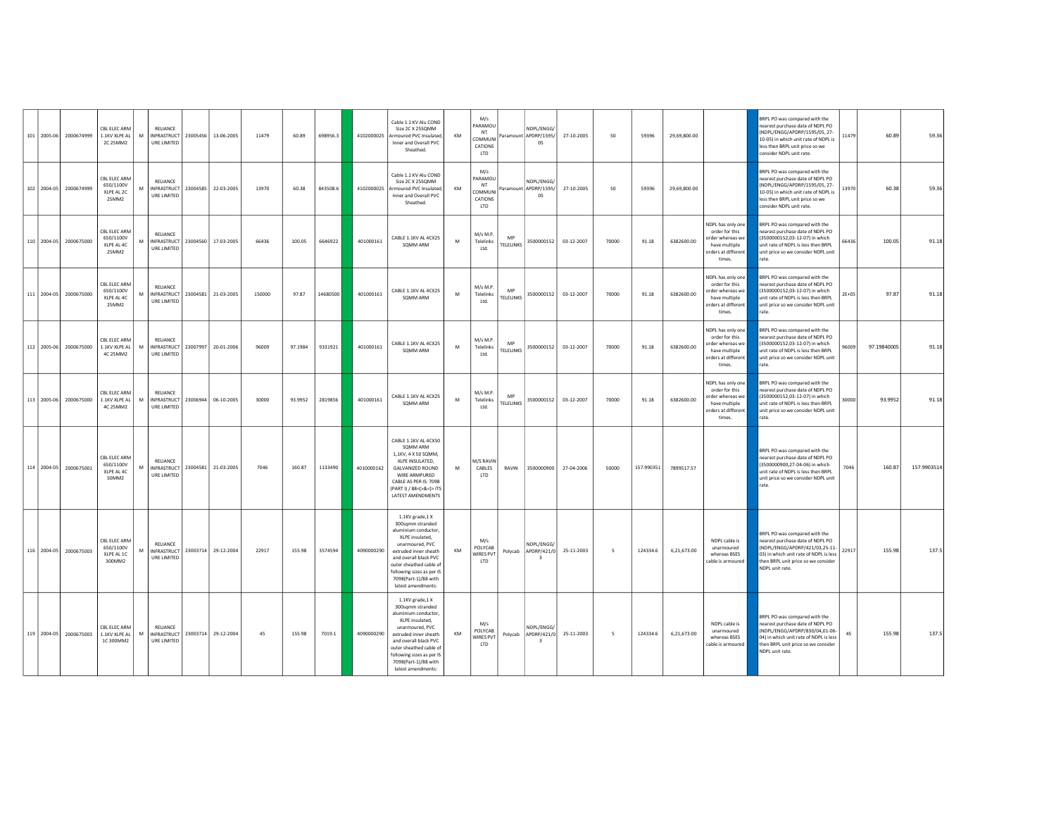| 101 2005-06 | 2000674999             | CBL ELEC ARM<br>1.1KV XLPE AL<br>2C 25MM2         | M | RELIANCE<br>URE LIMITED                       | INFRASTRUCT 23005456 13-06-2005     | 11479  | 60.89   | 698956.3 | 4102000025 | Cable 1.1 KV Alu COND<br>Size 2C X 25SQMM<br>Armoured PVC Insulated,<br>Inner and Overall PVC<br>Sheathed.                                                                                                                                                 | KM | M/s<br>PARAMOU<br>NT<br>COMMUNI<br>CATIONS<br>LTD |                               | NDPL/ENGG/<br>Paramount APDRP/1595/<br>05          | 27-10-2005                     | 50                       | 59396      | 29,69,800.00 |                                                                                                           | BRPL PO was compared with the<br>nearest purchase date of NDPL PO<br>(NDPL/ENGG/APDRP/1595/05, 27-<br>10-05) in which unit rate of NDPL is<br>less then BRPL unit price so we<br>consider NDPL unit rate. | 11479   | 60.89       | 59.36       |
|-------------|------------------------|---------------------------------------------------|---|-----------------------------------------------|-------------------------------------|--------|---------|----------|------------|------------------------------------------------------------------------------------------------------------------------------------------------------------------------------------------------------------------------------------------------------------|----|---------------------------------------------------|-------------------------------|----------------------------------------------------|--------------------------------|--------------------------|------------|--------------|-----------------------------------------------------------------------------------------------------------|-----------------------------------------------------------------------------------------------------------------------------------------------------------------------------------------------------------|---------|-------------|-------------|
| 102 2004-05 | 2000674999             | CBL ELEC ARM<br>650/1100V<br>XIPF AL2C<br>25MM2   | M | RELIANCE<br><b>INFRASTRUCT</b><br>URE LIMITED | 23004585 22-03-2005                 | 13970  | 60.38   | 843508.6 | 4102000025 | Cable 1.1 KV Alu COND<br>Size 2C X 25SQMM<br>Armoured PVC Insulated.<br>Inner and Overall PVC<br>Sheathed.                                                                                                                                                 | KM | M/s<br>PARAMOU<br>NT<br>COMMUNI<br>CATIONS<br>LTD |                               | NDPL/ENGG/<br>Paramount APDRP/1595/<br>05          | 27-10-2005                     | 50                       | 59396      | 29.69.800.00 |                                                                                                           | BRPL PO was compared with the<br>nearest purchase date of NDPL PO<br>(NDPL/ENGG/APDRP/1595/05, 27-<br>10-05) in which unit rate of NDPL is<br>less then BRPL unit price so we<br>consider NDPL unit rate. | 13970   | 60.38       | 59.36       |
| 110 2004-05 | 2000675000             | CBL ELEC ARM<br>650/1100V<br>XLPE AL 4C<br>25MM2  | M | RELIANCE<br>URE LIMITED                       | INFRASTRUCT   23004560   17-03-2005 | 66436  | 100.05  | 6646922  | 401000161  | CABLE 1.1KV AL 4CX25<br>SOMM ARM                                                                                                                                                                                                                           | M  | M/s M.P.<br>Telelinks<br>Ltd.                     | <b>MD</b><br><b>TELELINKS</b> |                                                    | 3500000152 03-12-2007          | 70000                    | 91.18      | 6382600.00   | NDPL has only one<br>order for this<br>order whereas we<br>have multiple<br>orders at different<br>times. | BRPL PO was compared with the<br>nearest purchase date of NDPL PO<br>(3500000152,03-12-07) in which<br>unit rate of NDPL is less then BRPL<br>unit price so we consider NDPL unit<br>rate                 | 66436   | 100.05      | 91.18       |
|             | 111 2004-05 2000675000 | CBL ELEC ARM<br>650/1100V<br>XI PF AI 4C<br>25MM2 | M | RELIANCE<br><b>INFRASTRUCT</b><br>URE LIMITED | 23004581 21-03-2005                 | 150000 | 97.87   | 14680500 | 401000161  | CABLE 1.1KV AL 4CX25<br>SOMM ARM                                                                                                                                                                                                                           | M  | M/s M.P.<br>Telelinks<br>Ltd.                     | MP<br>TELELINKS               |                                                    | 3500000152 03-12-2007          | 70000                    | 91.18      | 6382600.00   | NDPL has only one<br>order for this<br>order whereas we<br>have multiple<br>orders at different<br>times. | BRPL PO was compared with the<br>nearest purchase date of NDPL PO<br>(3500000152,03-12-07) in which<br>unit rate of NDPL is less then BRPL<br>unit price so we consider NDPL unit                         | $2E+05$ | 97.87       | 91.18       |
| 112 2005-06 | 2000675000             | CBL ELEC ARM<br>1.1KV XLPE AL<br>4C 25MM2         | M | RELIANCE<br><b>INFRASTRUCT</b><br>URE LIMITED | 23007997 20-01-2006                 | 96009  | 97.1984 | 9331921  | 401000161  | CABLE 1.1KV AL 4CX25<br>SOMM ARM                                                                                                                                                                                                                           | M  | M/s M.P.<br>Telelinks<br>Itd.                     | MP<br>TELELINKS               |                                                    | 3500000152 03-12-2007          | 70000                    | 91.18      | 6382600.00   | NDPL has only one<br>order for this<br>order whereas we<br>have multiple<br>orders at different<br>times. | BRPL PO was compared with the<br>nearest purchase date of NDPL PO<br>(3500000152,03-12-07) in which<br>unit rate of NDPL is less then BRPL<br>unit price so we consider NDPL unit<br>rate.                | 96009   | 97.19840005 | 91.18       |
| 113 2005-06 | 2000675000             | CBL ELEC ARM<br>1.1KV XLPE AL<br>4C 25MM2         | м | RELIANCE<br><b>INFRASTRUCT</b><br>URE LIMITED | 23006944 06-10-2005                 | 30000  | 93.9952 | 2819856  | 401000161  | CABLE 1.1KV AL 4CX25<br>SOMM ARM                                                                                                                                                                                                                           | M  | M/s M.P.<br>Telelinks<br>Ltd.                     | <b>MD</b><br><b>TELELINKS</b> |                                                    | 3500000152 03-12-2007          | 70000                    | 91.18      | 6382600.00   | NDPL has only one<br>order for this<br>order whereas we<br>have multiple<br>orders at different<br>times. | BRPL PO was compared with the<br>nearest purchase date of NDPL PO<br>(3500000152,03-12-07) in which<br>unit rate of NDPL is less then BRPL<br>unit price so we consider NDPL unit<br>rate.                | 30000   | 93.9952     | 91.18       |
| 114 2004-05 | 2000675001             | CBL ELEC ARM<br>650/1100V<br>XI PF AI 4C<br>50MM2 | M | RELIANCE<br>INFRASTRUCT<br>URE LIMITED        | 23004581 21-03-2005                 | 7046   | 160.87  | 1133490  | 4010000162 | CABLE 1.1KV AL 4CX50<br>SQMM ARM<br>1,1KV, 4 X 50 SQMM,<br>XLPE INSULATED,<br><b>GALVANIZED ROUND</b><br>WIRE ARMPURED<br>CABLE AS PER IS: 7098<br>(PARTI) / 88<(>&<)> ITS<br>LATEST AMENDMENTS                                                            | M  | M/S RAVIN<br>CABLES<br>LTD                        | RAVIN                         | 3500000900                                         | 27-04-2006                     | 50000                    | 157.990351 | 7899517.57   |                                                                                                           | BRPL PO was compared with the<br>nearest purchase date of NDPL PO<br>(3500000900,27-04-06) in which<br>unit rate of NDPL is less then BRPL<br>unit price so we consider NDPL unit                         | 7046    | 160.87      | 157.9903514 |
| 116 2004-05 | 2000675003             | CBL ELEC ARM<br>650/1100V<br>XLPE AL 1C<br>300MM2 | M | RELIANCE<br>URE LIMITED                       | INFRASTRUCT 23003714 29-12-2004     | 22917  | 155.98  | 3574594  | 4090000290 | 1.1KV grade, 1 X<br>300sgmm stranded<br>aluminium conductor,<br>XLPE insulated.<br>unarmoured, PVC<br>extruded inner sheath<br>and overall black PVC<br>outer sheathed cable of<br>following sizes as per IS<br>7098(Part-1)/88 with<br>latest amendments: | KM | M/s<br>POLYCAB<br><b>WIRES PVT</b><br>LTD         |                               | NDPL/ENGG/<br>Polycab APDRP/421/0 25-11-2003<br>-3 |                                | $\overline{\phantom{a}}$ | 124334.6   | 6,21,673.00  | NDPL cable is<br>unarmoured<br>whereas BSES<br>cable is armoured                                          | BRPL PO was compared with the<br>nearest purchase date of NDPL PO<br>(NDPL/ENGG/APDRP/421/03,25-11-<br>03) in which unit rate of NDPL is less<br>then BRPL unit price so we consider<br>NDPL unit rate.   | 22917   | 155.98      | 137.5       |
|             | 119 2004-05 2000675003 | CBL ELEC ARM<br>1.1KV XLPE AL<br>1C300MM2         | M | RELIANCE<br>URE LIMITED                       | INFRASTRUCT 23003714 29-12-2004     | 45     | 155.98  | 7019.1   | 4090000290 | 1.1KV grade, 1 X<br>300sqmm stranded<br>aluminium conductor,<br>XLPE insulated.<br>unarmoured. PVC<br>extruded inner sheath<br>and overall black PVC<br>outer sheathed cable of<br>following sizes as per IS<br>7098(Part-1)/88 with<br>latest amendments: | KM | M/s<br>POLYCAB<br><b>WIRES PVT</b><br><b>LTD</b>  |                               | NDPL/ENGG/<br>-3                                   | Polycab APDRP/421/0 25-11-2003 | $\sim$                   | 124334.6   | 6,21,673.00  | NDPL cable is<br>unarmoured<br>whereas BSES<br>cable is armoured                                          | BRPL PO was compared with the<br>nearest nurchase date of NDPLPO<br>(NDPL/ENGG/APDRP/830/04,01-06-<br>04) in which unit rate of NDPL is less<br>then BRPL unit price so we consider<br>NDPL unit rate.    | 45      | 155.98      | 137.5       |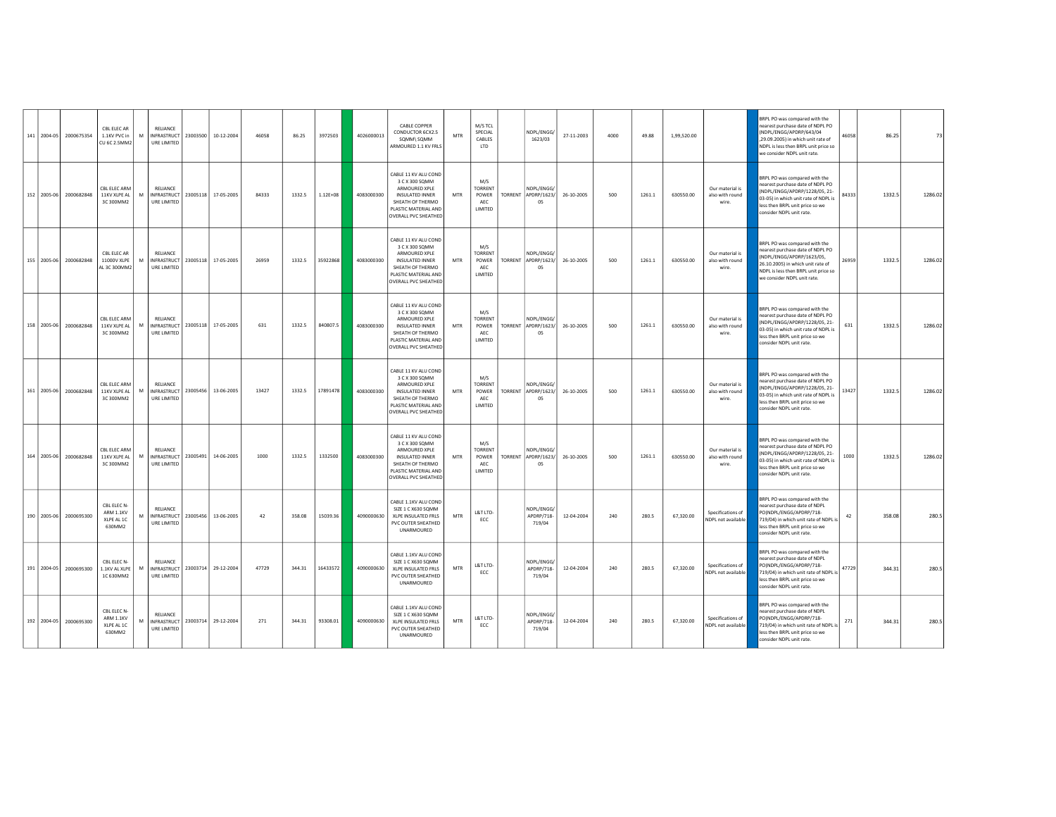| 141 2004-05 | 2000675354 | CBL FLFC AR<br>1.1KV PVC in<br><b>CU 6C 2.5MM2</b> | M | <b>RELIANCE</b><br>URE LIMITED                |          | INFRASTRUCT 23003500 10-12-2004 | 46058 | 86.25  | 3972503      | 4026000013 | <b>CABLE COPPER</b><br>CONDUCTOR 6CX2.5<br>SQMM\ SQMM<br>ARMOURED 1.1 KV FRLS                                                                         | MTR        | M/S TCL<br>SPECIAL<br>CABLES<br>LTD                     | NDPL/ENGG/<br>1623/03                   | 27-11-2003 | 4000 | 49.88  | 1,99,520.00 |                                             | <b>BRPL PO was compared with the</b><br>earest purchase date of NDPL PO<br>NDPL/ENGG/APDRP/643/04<br>,29.09.2005) in which unit rate of<br>NDPL is less then BRPL unit price so<br>we consider NDPL unit rate. | 46058 | 86.25  | 73      |
|-------------|------------|----------------------------------------------------|---|-----------------------------------------------|----------|---------------------------------|-------|--------|--------------|------------|-------------------------------------------------------------------------------------------------------------------------------------------------------|------------|---------------------------------------------------------|-----------------------------------------|------------|------|--------|-------------|---------------------------------------------|----------------------------------------------------------------------------------------------------------------------------------------------------------------------------------------------------------------|-------|--------|---------|
| 152 2005-06 | 2000682848 | CBL ELEC ARM<br>11KV XLPE AL<br>3C 300MM2          | M | RELIANCE<br><b>INFRASTRUCT</b><br>URE LIMITED |          | 23005118 17-05-2005             | 84333 | 1332.5 | $1.12E + 08$ | 4083000300 | CABLE 11 KV ALU COND<br>3 C X 300 SQMM<br>ARMOURED XPLE<br>INSULATED INNER<br>SHEATH OF THERMO<br>PLASTIC MATERIAL AND<br>OVERALL PVC SHEATHED        | MTR        | M/S<br><b>CORRENT</b><br><b>POWER</b><br>AEC<br>LIMITED | NDPL/ENGG/<br>TORRENT APDRP/1623/<br>05 | 26-10-2005 | 500  | 1261.1 | 630550.00   | Our material is<br>also with round<br>wire. | BRPL PO was compared with the<br>nearest purchase date of NDPL PO<br>(NDPL/ENGG/APDRP/1228/05, 21-<br>03-05) in which unit rate of NDPL is<br>less then BRPL unit price so we<br>consider NDPL unit rate.      | 84333 | 1332.5 | 1286.02 |
| 155 2005-06 | 2000682848 | CBL ELEC AR<br>11000V XLPE<br>AL 3C 300MM2         | M | RELIANCE<br>INFRASTRUCT<br>URE LIMITED        |          | 23005118 17-05-2005             | 26959 | 1332.5 | 35922868     | 4083000300 | CABLE 11 KV ALU COND<br>3 C X 300 SQMM<br>ARMOURED XPLE<br>INSULATED INNER<br>SHEATH OF THERMO<br>PLASTIC MATERIAL AND<br><b>OVERALL PVC SHEATHED</b> | MTR        | M/S<br>TORRENT<br>POWER<br>AEC<br>LIMITED               | NDPL/ENGG/<br>TORRENT APDRP/1623/<br>05 | 26-10-2005 | 500  | 1261.1 | 630550.00   | Our material is<br>also with round<br>wire. | BRPL PO was compared with the<br>nearest purchase date of NDPL PO<br>NDPL/ENGG/APDRP/1623/05,<br>26.10.2005) in which unit rate of<br>NDPL is less then BRPL unit price so<br>we consider NDPL unit rate.      | 26959 | 1332.5 | 1286.02 |
| 158 2005-06 | 2000682848 | CBL ELEC ARM<br>11KV XLPE AL<br>3C 300MM2          | M | RELIANCE<br><b>INFRASTRUCT</b><br>URE LIMITED |          | 23005118 17-05-2005             | 631   | 1332.5 | 840807.5     | 4083000300 | CABLE 11 KV ALU COND<br>3 C X 300 SQMM<br>ARMOURED XPLE<br>INSULATED INNER<br>SHEATH OF THERMO<br>PLASTIC MATERIAL AND<br>OVERALL PVC SHEATHED        | MTR        | M/S<br><b>TORRENT</b><br>POWER<br>AEC<br>LIMITED        | NDPL/ENGG/<br>TORRENT APDRP/1623/<br>05 | 26-10-2005 | 500  | 1261.1 | 630550.00   | Our material is<br>also with round<br>wire. | BRPL PO was compared with the<br>earest purchase date of NDPL PO<br>NDPL/ENGG/APDRP/1228/05, 21-<br>03-05) in which unit rate of NDPL is<br>less then BRPL unit price so we<br>consider NDPL unit rate.        | 631   | 1332.5 | 1286.02 |
| 161 2005-06 | 2000682848 | CRI FIFC ARM<br>11KV XLPE AL<br>3C 300MM2          | M | <b>RELIANCE</b><br>INFRASTRUCT<br>URE LIMITED |          | 23005456 13-06-2005             | 13427 | 1332.5 | 17891478     | 4083000300 | CABLE 11 KV ALU COND<br>3 C X 300 SQMM<br>ARMOURED XPLE<br>INSULATED INNER<br>SHEATH OF THERMO<br>PLASTIC MATERIAL AND<br><b>OVERALL PVC SHEATHED</b> | MTR        | M/S<br><b>TORRENT</b><br>POWER<br>AFC<br>LIMITED        | NDPL/ENGG/<br>TORRENT APDRP/1623/<br>05 | 26-10-2005 | 500  | 1261.1 | 630550.00   | Our material is<br>also with round<br>wire. | <b>SRPL PO was compared with the</b><br>earest purchase date of NDPL PO<br>NDPL/ENGG/APDRP/1228/05, 21-<br>03-05) in which unit rate of NDPL is<br>less then BRPL unit price so we<br>consider NDPL unit rate. | 13427 | 1332.5 | 1286.02 |
| 164 2005-06 | 2000682848 | CRI FIFC ARM<br>11KV XLPE AL<br>3C 300MM2          | M | <b>RELIANCE</b><br>INFRASTRUCT<br>URE LIMITED | 23005491 | 14-06-2005                      | 1000  | 1332.5 | 1332500      | 4083000300 | CABLE 11 KV ALU COND<br>3 C X 300 SQMM<br>ARMOURED XPLE<br>INSULATED INNER<br>SHEATH OF THERMO<br>PLASTIC MATERIAL AND<br>OVERALL PVC SHEATHED        | MTR        | M/S<br><b>CORRENT</b><br>POWER<br>AEC<br>LIMITED        | NDPL/ENGG/<br>TORRENT APDRP/1623/<br>05 | 26-10-2005 | 500  | 1261.1 | 630550.00   | Our material is<br>also with round<br>wire. | BRPL PO was compared with the<br>nearest purchase date of NDPL PO<br>NDPL/ENGG/APDRP/1228/05, 21-<br>03-05) in which unit rate of NDPL is<br>less then BRPL unit price so we<br>onsider NDPL unit rate.        | 1000  | 1332.5 | 1286.02 |
| 190 2005-06 | 2000695300 | CBL ELEC N-<br>ARM 1.1KV<br>XLPE AL 1C<br>630MM2   | M | <b>RELIANCE</b><br>URE LIMITED                |          | INFRASTRUCT 23005456 13-06-2005 | 42    | 358.08 | 15039.36     | 4090000630 | CABLE 1.1KV ALU COND<br>SIZE 1 C X630 SQMM<br>XLPE INSULATED FRLS<br>PVC OUTER SHEATHED<br>UNARMOURED                                                 | MTR        | L&T LTD-<br>FCC.                                        | NDPL/ENGG/<br>APDRP/718-<br>719/04      | 12-04-2004 | 240  | 280.5  | 67,320.00   | Specifications of<br>NDPL not available     | BRPL PO was compared with the<br>nearest purchase date of NDPL<br>PO(NDPL/ENGG/APDRP/718-<br>719/04) in which unit rate of NDPL is<br>less then BRPL unit price so we<br>consider NDPL unit rate.              | 42    | 358.08 | 280.5   |
| 191 2004-05 | 2000695300 | CBL ELEC N-<br>1.1KV AL XLPE<br>1C 630MM2          | M | RELIANCE<br>INFRASTRUCT<br>URE LIMITED        |          | 23003714 29-12-2004             | 47729 | 344.31 | 16433572     | 4090000630 | CABLE 1.1KV ALU COND<br>SIZE 1 C X630 SQMM<br>XLPE INSULATED FRLS<br>PVC OUTER SHEATHED<br>UNARMOURED                                                 | <b>MTR</b> | L&T LTD-<br>ECC                                         | NDPL/ENGG/<br>APDRP/718-<br>719/04      | 12-04-2004 | 240  | 280.5  | 67,320.00   | Specifications of<br>NDPL not available     | BRPL PO was compared with the<br>nearest purchase date of NDPL<br>PO(NDPL/ENGG/APDRP/718-<br>719/04) in which unit rate of NDPL is<br>less then BRPL unit price so we<br>consider NDPL unit rate.              | 47729 | 344.31 | 280.5   |
| 192 2004-05 | 2000695300 | CBL FLFC N<br>ARM 1.1KV<br>XLPE AL 1C<br>630MM2    | M | RELIANCE<br>INFRASTRUCT<br>URE LIMITED        |          | 23003714 29-12-2004             | 271   | 344.31 | 93308.01     | 4090000630 | CABLE 1.1KV ALU COND<br>SIZE 1 C X630 SOMM<br>XLPE INSULATED FRLS<br>PVC OUTER SHEATHED<br>UNARMOURED                                                 | MTR        | L&T LTD-<br>ECC                                         | NDPI/FNGG/<br>APDRP/718-<br>719/04      | 12-04-2004 | 240  | 280.5  | 67,320.00   | Specifications of<br>NDPL not available     | BRPL PO was compared with the<br>nearest purchase date of NDPL<br>POINDPL/ENGG/APDRP/718-<br>719/04) in which unit rate of NDPL is<br>less then BRPL unit price so we<br>consider NDPL unit rate.              | 271   | 344.31 | 280.5   |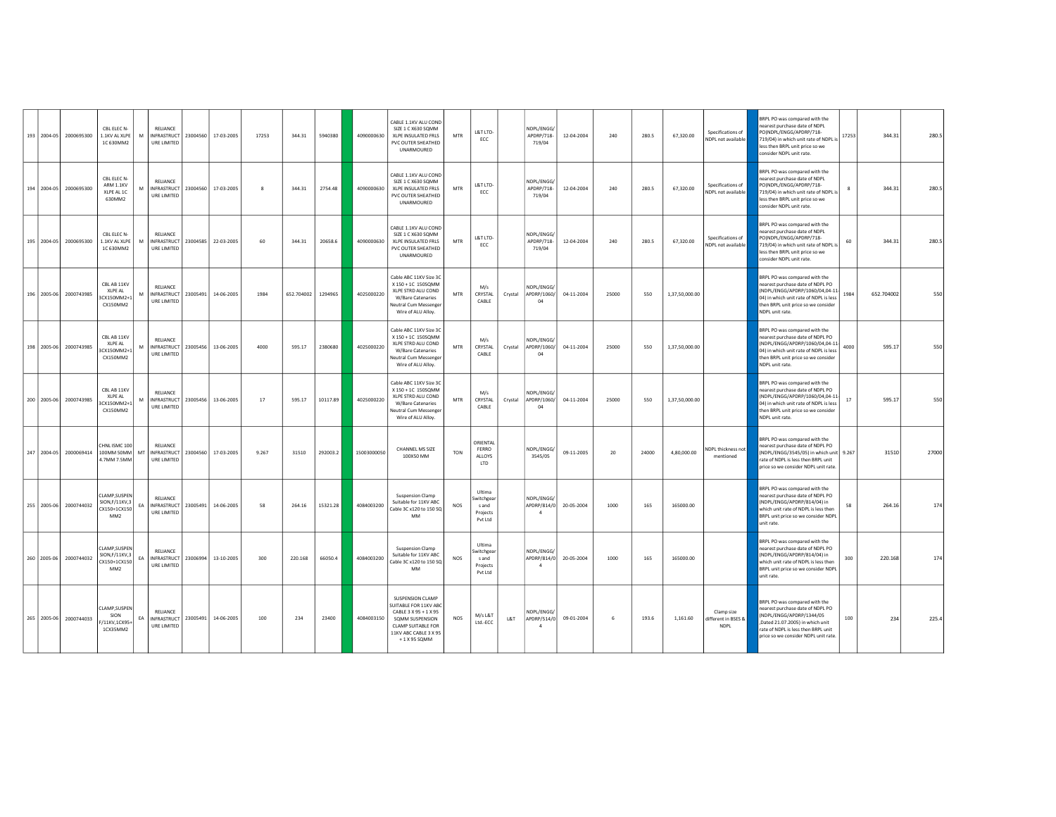|  | 193 2004-05 2000695300 | CBL FLFC N<br>1.1KV AL XLPE<br>1C 630MM2                                     | M  | <b>RELIANCE</b><br>INFRASTRUCT 23004560 17-03-2005<br>URE LIMITED |                                 | 17253        | 344.31     | 5940380  | 4090000630  | CABLE 1.1KV ALU COND<br>SIZE 1 C X630 SQMM<br>XLPE INSULATED FRLS<br>PVC OUTER SHEATHED<br>UNARMOURED                                                              | <b>MTR</b> | L&T LTD-<br>ECC                                      | NDPL/ENGG/<br>APDRP/718-<br>719/04          | 12-04-2004 | 240   | 280.5 | 67,320.00      | Specifications of<br>NDPL not available          | BRPL PO was compared with the<br>dON he atsh ezament transporter<br>PO(NDPL/ENGG/APDRP/718-<br>719/04) in which unit rate of NDPL is<br>less then BRPL unit price so we<br>consider NDPL unit rate.          | 17253  | 344.31     | 280.5 |
|--|------------------------|------------------------------------------------------------------------------|----|-------------------------------------------------------------------|---------------------------------|--------------|------------|----------|-------------|--------------------------------------------------------------------------------------------------------------------------------------------------------------------|------------|------------------------------------------------------|---------------------------------------------|------------|-------|-------|----------------|--------------------------------------------------|--------------------------------------------------------------------------------------------------------------------------------------------------------------------------------------------------------------|--------|------------|-------|
|  | 194 2004-05 2000695300 | CBL ELEC N-<br>ARM 1.1KV<br>XLPE AL 1C<br>630MM2                             | M  | RELIANCE<br>URE LIMITED                                           | INFRASTRUCT 23004560 17-03-2005 | $\mathbf{R}$ | 344.31     | 2754.48  | 4090000630  | CABLE 1.1KV ALU COND<br>SIZE 1 C X630 SOMM<br>XLPE INSULATED FRLS<br>PVC OUTER SHEATHED<br>UNARMOURED                                                              | <b>MTR</b> | L&T LTD-<br>FCC.                                     | NDPL/ENGG.<br>APDRP/718-<br>719/04          | 12-04-2004 | 240   | 280.5 | 67,320.00      | Specifications of<br>NDPL not available          | BRPL PO was compared with the<br>earest purchase date of NDPL<br>PO(NDPL/ENGG/APDRP/718-<br>719/04) in which unit rate of NDPL is<br>less then BRPL unit price so we<br>consider NDPL unit rate.             |        | 344.31     | 280.5 |
|  | 195 2004-05 2000695300 | CBL ELEC N-<br>1.1KV AL XLPE<br>1C 630MM2                                    | M  | RELIANCE<br>INFRASTRUCT 23004585 22-03-2005<br>URE LIMITED        |                                 | 60           | 344.31     | 20658.6  | 4090000630  | CABLE 1.1KV ALU COND<br>SIZE 1 C X630 SQMM<br>XLPE INSULATED FRLS<br>PVC OUTER SHEATHED<br>UNARMOURED                                                              | <b>MTR</b> | L&T LTD-<br>ECC                                      | NDPL/ENGG<br>APDRP/718-<br>719/04           | 12-04-2004 | 240   | 280.5 | 67,320.00      | Specifications of<br>NDPL not available          | BRPL PO was compared with the<br>earest purchase date of NDPL<br>PO(NDPL/ENGG/APDRP/718-<br>719/04) in which unit rate of NDPL is<br>less then BRPL unit price so we<br>consider NDPL unit rate.             | 60     | 344.31     | 280.5 |
|  | 196 2005-06 2000743985 | CBL AB 11KV<br>XLPE AL<br>CX150MM2+1<br>CX150MM2                             | M  | RELIANCE<br>INFRASTRUCT   23005491<br>URE LIMITED                 | 14-06-2005                      | 1984         | 652.704002 | 1294965  | 4025000220  | Cable ABC 11KV Size 3C<br>X 150 + 1C 150SQMM<br>XLPE STRD ALU COND<br>W/Bare Catenaries<br>Neutral Cum Messenger<br>Wire of ALU Alloy.                             | MTR        | M/s<br>CRYSTAL<br>Crystal<br>CABLE                   | NDPL/ENGG/<br>APDRP/1060/<br>04             | 04-11-2004 | 25000 | 550   | 1,37,50,000.00 |                                                  | BRPL PO was compared with the<br>nearest purchase date of NDPL PO<br>NDPL/ENGG/APDRP/1060/04,04-11-<br>04) in which unit rate of NDPL is less<br>then BRPL unit price so we consider<br>NDPL unit rate.      | 1984   | 652.704002 | 550   |
|  | 198 2005-06 2000743985 | CBL AB 11KV<br>XLPE AL<br>CX150MM2+1<br>CX150MM2                             | M  | <b>RELIANCE</b><br>INFRASTRUCT   23005456<br>URE LIMITED          | 13-06-2005                      | 4000         | 595.17     | 2380680  | 4025000220  | Cable ABC 11KV Size 3C<br>X 150 + 1C 150SQMM<br>XLPE STRD ALU COND<br>W/Bare Catenaries<br>Neutral Cum Messenger<br>Wire of ALU Alloy.                             | <b>MTR</b> | M/s<br>CRYSTAL<br>Crystal<br>CABLE                   | NDPL/ENGG/<br>APDRP/1060/<br>04             | 04-11-2004 | 25000 | 550   | 1,37,50,000.00 |                                                  | BRPL PO was compared with the<br>nearest purchase date of NDPL PO<br>NDPL/ENGG/APDRP/1060/04,04-11-<br>04) in which unit rate of NDPL is less<br>then BRPL unit price so we consider<br>NDPL unit rate.      | 4000   | 595.17     | 550   |
|  | 200 2005-06 2000743985 | CBL AB 11KV<br><b>XLPE AL</b><br>3CX150MM2+1<br>CX150MM2                     | M  | RELIANCE<br>INFRASTRUCT   23005456<br>URE LIMITED                 | 13-06-2005                      | 17           | 595.17     | 10117.89 | 4025000220  | Cable ABC 11KV Size 3C<br>X 150 + 1C 150SQMM<br>XLPE STRD ALU COND<br>W/Bare Catenaries<br>Neutral Cum Messenger<br>Wire of ALU Alloy.                             | <b>MTR</b> | M/s<br>CRYSTAL<br>Crystal<br>CABLE                   | NDPI/FNGG.<br>APDRP/1060/<br>04             | 04-11-2004 | 25000 | 550   | 1,37,50,000.00 |                                                  | BRPL PO was compared with the<br>earest purchase date of NDPL PO<br>NDPL/ENGG/APDRP/1060/04,04-11-<br>04) in which unit rate of NDPL is less<br>then BRPL unit price so we consider<br>NDPL unit rate.       | $17\,$ | 595.17     | 550   |
|  | 247 2004-05 2000069414 | HNL ISMC 100<br>100MM SOMM MT INFRASTRUCT 23004560 17-03-2005<br>4.7MM 7.5MM |    | <b>RELIANCE</b><br>URE LIMITED                                    |                                 | 9.267        | 31510      | 292003.2 | 15003000050 | CHANNEL MS SIZE<br>100X50 MM                                                                                                                                       | <b>TON</b> | ORIENTAL<br>FERRO<br>ALLOYS<br>LTD                   | NDPL/ENGG/<br>3545/05                       | 09-11-2005 | 20    | 24000 | 4,80,000.00    | NDPL thickness not<br>mentioned                  | BRPL PO was compared with the<br>nearest purchase date of NDPL PO<br>(NDPL/ENGG/3545/05) in which unit 9.267<br>rate of NDPL is less then BRPL unit<br>price so we consider NDPL unit rate                   |        | 31510      | 27000 |
|  | 255 2005-06 2000744032 | CLAMP, SUSPEN<br>SION, F/11KV, 3<br>CX150+1CX150<br>MM <sub>2</sub>          | EA | <b>RELIANCE</b><br>INFRASTRUCT   23005491<br>URE LIMITED          | 14-06-2005                      | 58           | 264.16     | 15321.28 | 4084003200  | <b>Suspension Clamp</b><br>Suitable for 11KV ABC<br>Cable 3C x120 to 150 SQ<br><b>MM</b>                                                                           | NOS        | Ultima<br>witchgear<br>s and<br>Projects<br>Pvt Ltd  | NDPL/ENGG/<br>APDRP/814/0<br>$\mathbf{A}$   | 20-05-2004 | 1000  | 165   | 165000.00      |                                                  | BRPL PO was compared with the<br>earest purchase date of NDPL PO<br>NDPL/ENGG/APDRP/814/04) in<br>which unit rate of NDPL is less then<br>BRPL unit price so we consider NDPL<br>unit rate.                  | 58     | 264.16     | 174   |
|  | 260 2005-06 2000744032 | CLAMP, SUSPEN<br>SION.F/11KV,3<br>CX150+1CX150<br>MM <sub>2</sub>            | EA | RELIANCE<br>INFRASTRUCT   23006994<br>URE LIMITED                 | 13-10-2005                      | 300          | 220.168    | 66050.4  | 4084003200  | <b>Suspension Clamp</b><br>Suitable for 11KV ABC<br>Cable 3C x120 to 150 SQ<br>MM                                                                                  | NOS        | Ultima<br>Switchgear<br>s and<br>Projects<br>Pvt Ltd | NDPL/ENGG/<br>APDRP/814/0<br>$\mathfrak{a}$ | 20-05-2004 | 1000  | 165   | 165000.00      |                                                  | <b>BRPL PO was compared with the</b><br>nearest purchase date of NDPL PO<br>NDPL/ENGG/APDRP/814/04) in<br>which unit rate of NDPL is less then<br>BRPL unit price so we consider NDPL<br>unit rate.          | 300    | 220.168    | 174   |
|  | 265 2005-06 2000744033 | CLAMP.SUSPEN<br>SION<br>/11KV,1CX95+<br>1CX35MM2                             | EA | RELIANCE<br>INFRASTRUCT   23005491<br>URE LIMITED                 | 14-06-2005                      | 100          | 234        | 23400    | 4084003150  | <b>SUSPENSION CLAMP</b><br>SUITABLE FOR 11KV ABC<br>CABLE 3 X 95 + 1 X 95<br>SQMM SUSPENSION<br><b>CLAMP SUITABLE FOR</b><br>11KV ABC CABLE 3 X 95<br>+1 X 95 SQMM | <b>NOS</b> | M/s L&T<br>L&T<br>Ltd.-ECC                           | NDPI/FNGG.<br>APDRP/514/0<br>$\overline{a}$ | 09-01-2004 | 6     | 193.6 | 1,161.60       | Clamp size<br>different in BSES &<br><b>NDPL</b> | BRPL PO was compared with the<br>nearest purchase date of NDPL PO<br>NDPL/ENGG/APDRP/1344/05<br>Dated 21.07.2005) in which unit<br>ate of NDPL is less then BRPL unit<br>price so we consider NDPL unit rate | 100    | 234        | 225.4 |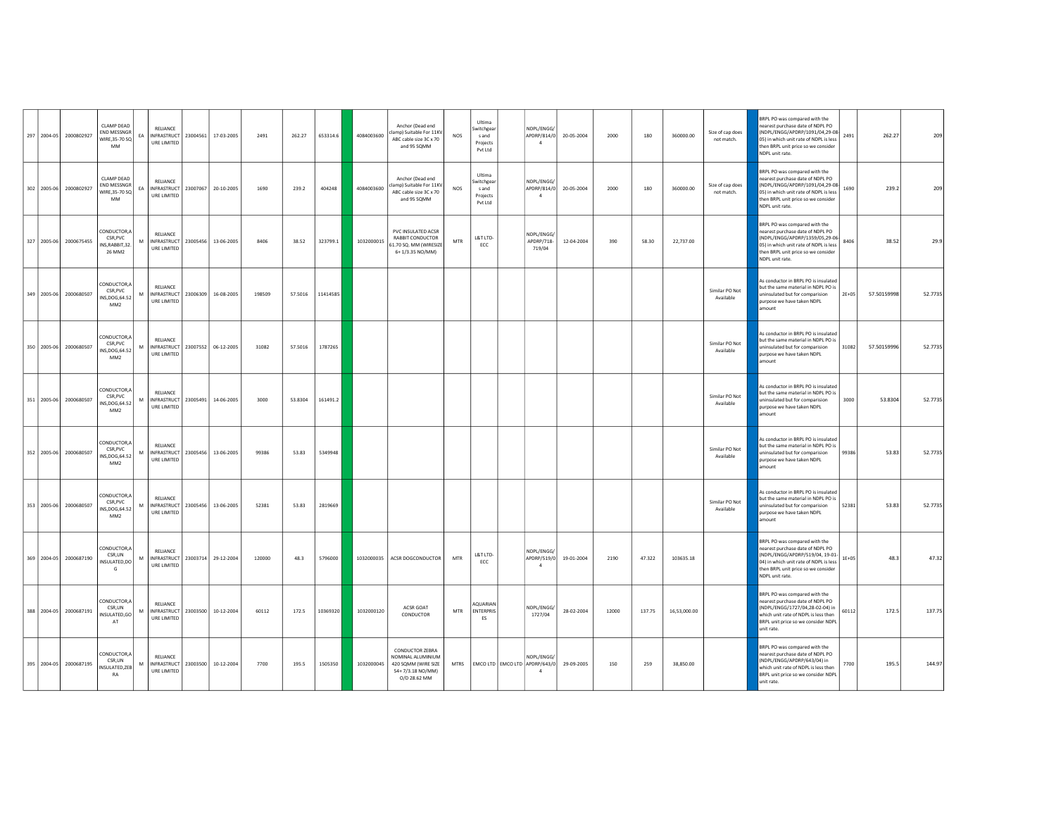|             | 297 2004-05 2000802927 | <b>CLAMP DEAD</b><br>END MESSNGR<br>WIRE, 35-70 SQ<br>MM      | RELIANCE<br>EA<br>URE LIMITED                                          | INFRASTRUCT 23004561 17-03-2005 | 2491   | 262.27  | 653314.6 | 4084003600 | Anchor (Dead end<br>lamp) Suitable For 11KV<br>ABC cable size 3C x 70<br>and 95 SQMM                   | <b>NOS</b>  | Ultima<br>witchgear<br>s and<br>Projects<br>Pvt Ltd | NDPL/ENGG/<br>APDRP/814/0                   | 20-05-2004 | 2000  | 180    | 360000.00    | Size of cap does<br>not match. | BRPL PO was compared with the<br>nearest purchase date of NDPL PO<br>(NDPL/ENGG/APDRP/1091/04,29-08<br>2491<br>05) in which unit rate of NDPL is less<br>then BRPL unit price so we consider<br>NDPL unit rate.       | 262.27      | 209     |
|-------------|------------------------|---------------------------------------------------------------|------------------------------------------------------------------------|---------------------------------|--------|---------|----------|------------|--------------------------------------------------------------------------------------------------------|-------------|-----------------------------------------------------|---------------------------------------------|------------|-------|--------|--------------|--------------------------------|-----------------------------------------------------------------------------------------------------------------------------------------------------------------------------------------------------------------------|-------------|---------|
|             | 302 2005-06 2000802927 | CLAMP DEAD<br>END MESSNGR<br>WIRE.35-70 SQ<br>MM              | RELIANCE<br>FA.<br>URE LIMITED                                         | INFRASTRUCT 23007067 20-10-2005 | 1690   | 239.2   | 404248   | 4084003600 | Anchor (Dead end<br>lamp) Suitable For 11KV<br>ABC cable size 3C x 70<br>and 95 SQMM                   | <b>NOS</b>  | Ultima<br>witchgear<br>s and<br>Projects<br>Pvt Ltd | NDPL/ENGG/<br>APDRP/814/0<br>$\overline{a}$ | 20-05-2004 | 2000  | 180    | 360000.00    | Size of cap does<br>not match. | BRPL PO was compared with the<br>D9 I9ON to atabase the of the read<br>(NDPL/ENGG/APDRP/1091/04,29-08<br>1690<br>05) in which unit rate of NDPL is less<br>then BRPL unit price so we consider<br>NDPL unit rate.     | 239.2       | 209     |
| 327 2005-06 | 2000675455             | CONDUCTOR,A<br>CSR, PVC<br>INS, RABBIT, 32.<br>26 MM2         | RELIANCE<br>M<br>INFRASTRUCT 23005456 13-06-2005<br>URE LIMITED        |                                 | 8406   | 38.52   | 323799.1 | 1032000015 | PVC INSULATED ACSR<br>RABBIT CONDUCTOR<br>51.70 SQ. MM (WIRESIZE<br>6+1/3.35 NO/MM)                    | <b>MTR</b>  | L&T LTD-<br>ECC                                     | NDPL/ENGG/<br>APDRP/718-<br>719/04          | 12-04-2004 | 390   | 58.30  | 22,737.00    |                                | BRPL PO was compared with the<br>nearest purchase date of NDPL PO<br>(NDPL/ENGG/APDRP/1359/05,29-06<br>8406<br>05) in which unit rate of NDPL is less<br>then BRPL unit price so we consider<br>NDPL unit rate.       | 38.52       | 29.9    |
|             | 349 2005-06 2000680507 | CONDUCTOR,A<br>CSR PVC<br>NS, DOG, 64.52<br>MM <sub>2</sub>   | <b>RELIANCE</b><br>M<br>URE LIMITED                                    | INFRASTRUCT 23006309 16-08-2005 | 198509 | 57.5016 | 11414585 |            |                                                                                                        |             |                                                     |                                             |            |       |        |              | Similar PO Not<br>Available    | As conductor in BRPL PO is insulated<br>but the same material in NDPL PO is<br>$2E+05$<br>ininsulated but for comparision<br>purpose we have taken NDPL<br>amount                                                     | 57.50159998 | 52.7735 |
|             | 350 2005-06 2000680507 | CONDUCTOR,A<br>CSR.PVC<br>NS, DOG, 64.52<br>MM2               | <b>RELIANCE</b><br>INFRASTRUCT 23007552 06-12-2005<br>M<br>URE LIMITED |                                 | 31082  | 57.5016 | 1787265  |            |                                                                                                        |             |                                                     |                                             |            |       |        |              | Similar PO Not<br>Available    | As conductor in BRPL PO is insulated<br>but the same material in NDPL PO is<br>31082<br>ininsulated but for comparision<br>purpose we have taken NDPL<br>amount                                                       | 57.50159996 | 52.7735 |
|             | 351 2005-06 2000680507 | CONDUCTOR,A<br>CSR, PVC<br>NS, DOG, 64.52<br>MM <sub>2</sub>  | RELIANCE<br>M<br>URE LIMITED                                           | INFRASTRUCT 23005491 14-06-2005 | 3000   | 53,8304 | 161491.2 |            |                                                                                                        |             |                                                     |                                             |            |       |        |              | Similar PO Not<br>Available    | As conductor in BRPL PO is insulated<br>but the same material in NDPL PO is<br>3000<br>uninsulated but for comparision<br>purpose we have taken NDPL<br>mount                                                         | 53,8304     | 52.7735 |
|             | 352 2005-06 2000680507 | CONDUCTOR.A<br>CSR, PVC<br>INS, DOG, 64.52<br>MM <sub>2</sub> | RELIANCE<br>INFRASTRUCT 23005456 13-06-2005<br>M<br>URE LIMITED        |                                 | 99386  | 53.83   | 5349948  |            |                                                                                                        |             |                                                     |                                             |            |       |        |              | Similar PO Not<br>Available    | As conductor in BRPL PO is insulated<br>but the same material in NDPL PO is<br>99386<br>uninsulated but for comparision<br>purpose we have taken NDPL<br>amount                                                       | 53.83       | 52.7735 |
| 353 2005-06 | 2000680507             | CONDUCTOR,A<br>CSR, PVC<br>INS, DOG, 64.52<br>MM <sub>2</sub> | RELIANCE<br>M<br>INFRASTRUCT 23005456 13-06-2005<br><b>URE LIMITED</b> |                                 | 52381  | 53.83   | 2819669  |            |                                                                                                        |             |                                                     |                                             |            |       |        |              | Similar PO Not<br>Available    | As conductor in BRPL PO is insulated<br>but the same material in NDPLPO is<br>uninsulated but for comparision<br>52381<br>purpose we have taken NDPL<br>mount                                                         | 53.83       | 52.7735 |
|             | 369 2004-05 2000687190 | CONDUCTOR,A<br>CSR.UN<br>INSULATED,DO<br>G                    | <b>RELIANCE</b><br>M<br>URE LIMITED                                    | INFRASTRUCT 23003714 29-12-2004 | 120000 | 48.3    | 5796000  | 1032000035 | ACSR DOGCONDUCTOR                                                                                      | MTR         | L&T LTD-<br>ECC                                     | NDPL/ENGG/<br>APDRP/519/0<br>$\overline{4}$ | 19-01-2004 | 2190  | 47.322 | 103635.18    |                                | BRPL PO was compared with the<br>nearest purchase date of NDPL PO<br>(NDPL/ENGG/APDRP/519/04, 19-01-<br>$1E + 05$<br>04) in which unit rate of NDPL is less<br>then BRPL unit price so we consider<br>NDPL unit rate. | 48.3        | 47.32   |
|             | 388 2004-05 2000687191 | CONDUCTOR,A<br>CSR.UN<br>INSULATED, GO<br>AT                  | RELIANCE<br>M<br>INFRASTRUCT 23003500 10-12-2004<br>URE LIMITED        |                                 | 60112  | 172.5   | 10369320 | 1032000120 | ACSR GOAT<br>CONDUCTOR                                                                                 | MTR         | AQUARIAN<br><b>ENTERPRIS</b><br>ES                  | NDPL/ENGG/<br>1727/04                       | 28-02-2004 | 12000 | 137.75 | 16,53,000.00 |                                | BRPL PO was compared with the<br>nearest purchase date of NDPL PO<br>(NDPL/ENGG/1727/04,28-02-04) in<br>60112<br>which unit rate of NDPL is less then<br>BRPL unit price so we consider NDPL<br>unit rate.            | 172.5       | 137.75  |
|             | 395 2004-05 2000687195 | CONDUCTOR,A<br>CSR,UN<br>NSULATED,ZEB<br>RA                   | RELIANCE<br>M<br>URE LIMITED                                           | INFRASTRUCT 23003500 10-12-2004 | 7700   | 195.5   | 1505350  | 1032000045 | <b>CONDUCTOR ZEBRA</b><br>NOMINAL ALUMINIUM<br>420 SQMM (WIRE SIZE<br>54+7/3.18 NO/MM)<br>O/D 28.62 MM | <b>MTRS</b> |                                                     | NDPL/ENGG/<br>EMCO LTD EMCO LTD APDRP/643/0 | 29-09-2005 | 150   | 259    | 38,850.00    |                                | BRPL PO was compared with the<br>nearest purchase date of NDPL PO<br>(NDPL/ENGG/APDRP/643/04) in<br>7700<br>which unit rate of NDPL is less then<br>BRPL unit price so we consider NDPL<br>unit rate.                 | 195.5       | 144.97  |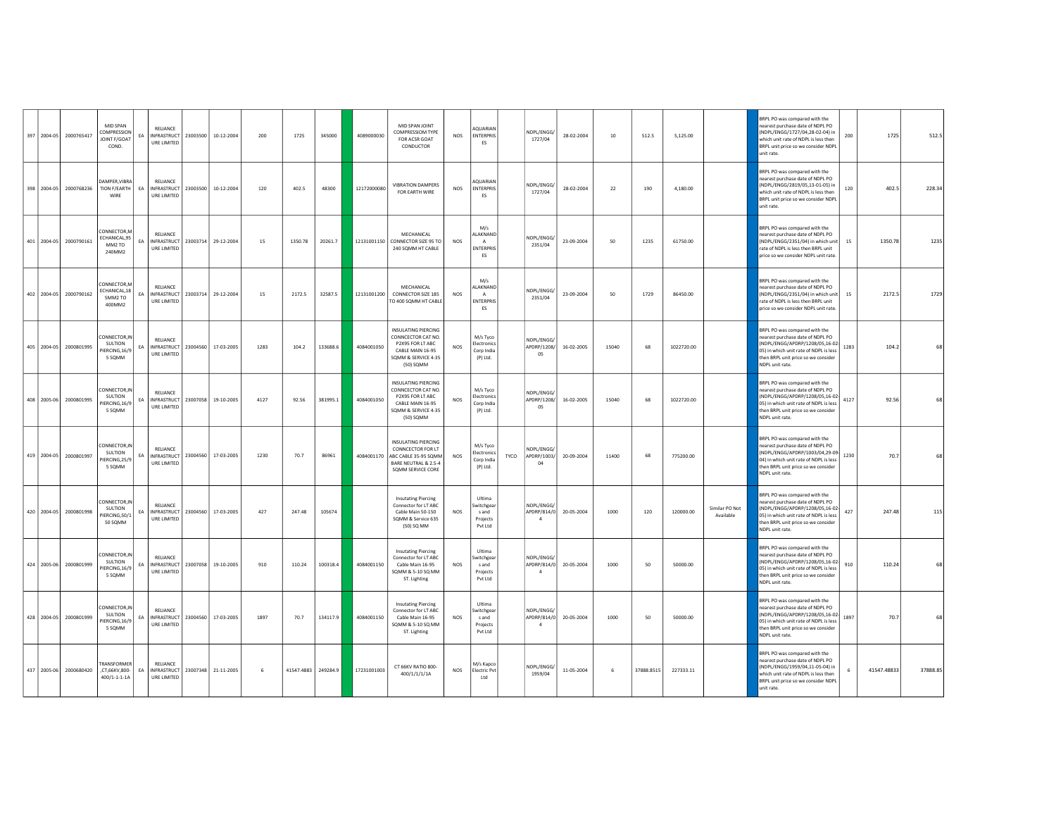|  | 397 2004-05 2000765417 | MID SPAN<br>COMPRESSION<br><b>OINT F/GOAT</b><br>COND.         | FA | <b>RELIANCE</b><br>URE LIMITED                                    | INFRASTRUCT 23003500 10-12-2004 | 200  | 1725    | 345000              | 4089000030  | MID SPAN JOINT<br><b>COMPRESSIOM TYPE</b><br>FOR ACSR GOAT<br>CONDUCTOR                                                      | <b>NOS</b>      | AQUARIAN<br><b>ENTERPRIS</b><br>ES                        | NDPL/ENGG/<br>1727/04                       | 28-02-2004             | $10\,$ | 512.5      | 5,125.00   |                             | BRPL PO was compared with the<br>earest purchase date of NDPL PO<br>NDPL/ENGG/1727/04,28-02-04) in<br>which unit rate of NDPL is less then<br>BRPL unit price so we consider NDPL<br>unit rate.               | 200  | 1725        | 512.5    |
|--|------------------------|----------------------------------------------------------------|----|-------------------------------------------------------------------|---------------------------------|------|---------|---------------------|-------------|------------------------------------------------------------------------------------------------------------------------------|-----------------|-----------------------------------------------------------|---------------------------------------------|------------------------|--------|------------|------------|-----------------------------|---------------------------------------------------------------------------------------------------------------------------------------------------------------------------------------------------------------|------|-------------|----------|
|  |                        | DAMPER VIRRA<br>398 2004-05 2000768236 TION F/EARTH EA<br>WIRE |    | <b>RELIANCE</b><br>INFRASTRUCT 23003500 10-12-2004<br>URE LIMITED |                                 | 120  | 402.5   | 48300               | 12172000080 | <b>VIRRATION DAMPERS</b><br>FOR EARTH WIRE                                                                                   | <b>NOS</b>      | AOUARIAN<br><b>ENTERPRIS</b><br>ES                        | NDPL/ENGG/<br>1727/04                       | 28-02-2004             | 22     | 190        | 4,180.00   |                             | BRPL PO was compared with the<br>earest purchase date of NDPL PO<br>NDPL/ENGG/2819/05.13-01-05) in<br>which unit rate of NDPL is less then<br>BRPL unit price so we consider NDPL<br>unit rate.               | 120  | 402.5       | 228.34   |
|  | 401 2004-05 2000790161 | CONNECTOR,M<br>ECHANICAL,95<br>MM2 TO<br>240MM2                | EA | RELIANCE<br>INFRASTRUCT 23003714<br>URE LIMITED                   | 29-12-2004                      | 15   | 1350.78 | 20261.7             | 12131001150 | MECHANICAL<br>CONNECTOR SIZE 95 TO<br>240 SOMM HT CABLE                                                                      | <b>NOS</b>      | M/s<br>ALAKNAND<br>A<br><b>ENTERPRIS</b><br>ES            | NDPL/ENGG.<br>2351/04                       | 23-09-2004             | 50     | 1235       | 61750.00   |                             | BRPL PO was compared with the<br>nearest purchase date of NDPL PO<br>NDPL/ENGG/2351/04) in which unit<br>ate of NDPL is less then BRPL unit<br>price so we consider NDPL unit rate.                           | 15   | 1350.78     | 1235     |
|  | 402 2004-05 2000790162 | ONNECTOR.M<br>ECHANICAL,18<br>5MM2 TO<br>400MM2                | EA | <b>RELIANCE</b><br>URE LIMITED                                    | INFRASTRUCT 23003714 29-12-2004 | 15   | 2172.5  | 32587.5             |             | MECHANICAL<br>12131001200 CONNECTOR SIZE 185<br>TO 400 SQMM HT CABLE                                                         | <b>NOS</b>      | M/s<br>ALAKNAND<br>A<br><b>ENTERPRIS</b><br>ES            | NDPL/ENGG/<br>2351/04                       | 23-09-2004             | 50     | 1729       | 86450.00   |                             | BRPL PO was compared with the<br>earest purchase date of NDPL PO<br>NDPL/ENGG/2351/04) in which unit<br>rate of NDPL is less then BRPL unit<br>price so we consider NDPL unit rate                            | 15   | 2172.5      | 1729     |
|  | 405 2004-05 2000801995 | CONNECTOR, IN<br>SULTION<br>PIERCING, 16/9<br>5 SOMM           | EA | <b>RELIANCE</b><br>URE LIMITED                                    | INFRASTRUCT 23004560 17-03-2005 | 1283 | 104.2   | 133688.6            | 4084001050  | INSULATING PIERCING<br>CONNCECTOR CAT NO.<br>P2X95 FOR IT ARC<br>CABLE MAIN 16-95<br>SQMM & SERVICE 4-35<br>(50) SQMM        | <b>NOS</b>      | M/s Tyco<br>Flectronics<br>Corp India<br>(P) Ltd.         | NDPL/ENGG.<br>APDRP/1208/<br>05             | 16-02-2005             | 15040  | 68         | 1022720.00 |                             | BRPL PO was compared with the<br>nearest purchase date of NDPL PO<br>(NDPL/ENGG/APDRP/1208/05,16-02-<br>05) in which unit rate of NDPL is less<br>then BRPL unit price so we consider<br>NDPL unit rate.      | 1283 | 104.2       |          |
|  | 408 2005-06 2000801995 | CONNECTOR, IN<br>SULTION<br>PIERCING,16/9<br>5 SOMM            | EA | <b>RELIANCE</b><br>URE LIMITED                                    | INFRASTRUCT 23007058 19-10-2005 | 4127 | 92.56   | 381995.1            | 4084001050  | <b>INSULATING PIERCING</b><br>CONNCECTOR CAT NO.<br>P2X95 FOR LT ABC<br>CABLE MAIN 16-95<br>SQMM & SERVICE 4-35<br>(50) SQMM | <b>NOS</b>      | M/s Tyco<br>Flectronics<br>Corp India<br>(P) Ltd.         | NDPI/FNGG.<br>APDRP/1208/<br>05             | 16-02-2005             | 15040  | 68         | 1022720.00 |                             | BRPL PO was compared with the<br>earest purchase date of NDPL PO<br>NDPL/ENGG/APDRP/1208/05,16-02-<br>05) in which unit rate of NDPL is less<br>then BRPL unit price so we consider<br>NDPL unit rate.        | 4127 | 92.56       |          |
|  | 419 2004-05 2000801997 | ONNECTOR IN<br>SULTION<br>PIERCING,25/9<br>5 SQMM              | EA | RELIANCE<br>URE LIMITED                                           | INFRASTRUCT 23004560 17-03-2005 | 1230 | 70.7    | 86961               | 4084001170  | INSULATING PIFRCING<br>CONNCECTOR FOR LT<br>ABC CABLE 35-95 SQMM<br>BARE NEUTRAL & 2.5-4<br>SOMM SERVICE CORE                | <b>NOS</b>      | M/s Tyco<br>Electronics<br>TYCO<br>Corp India<br>(P) Ltd. | NDPL/ENGG/<br>APDRP/1003/<br>04             | 20-09-2004             | 11400  | 68         | 775200.00  |                             | BRPL PO was compared with the<br>nearest purchase date of NDPL PO<br>NDPL/ENGG/APDRP/1003/04,29-09-<br>04) in which unit rate of NDPL is less<br>hen BRPL unit price so we consider<br>NDPL unit rate.        | 1230 | 70.7        |          |
|  | 420 2004-05 2000801998 | CONNECTOR, IN<br>SULTION<br>PIERCING,50/1<br>50 SOMM           | EA | <b>RELIANCE</b><br>URE LIMITED                                    | INFRASTRUCT 23004560 17-03-2005 | 427  | 247.48  | 105674              |             | <b>Insutating Piercing</b><br>Connector for LT ABC<br>Cable Main 50-150<br>SQMM & Service 635<br>(50) SQ MM                  | NO <sub>5</sub> | Ultima<br>Switchgear<br>sand<br>Projects<br>Pvt Ltd       | NDPL/ENGG/<br>$\overline{a}$                | APDRP/814/0 20-05-2004 | 1000   | 120        | 120000.00  | Similar PO Not<br>Available | BRPL PO was compared with the<br>nearest purchase date of NDPL PO<br>(NDPL/ENGG/APDRP/1208/05,16-02-<br>05) in which unit rate of NDPL is less<br>then BRPL unit price so we consider<br>NDPL unit rate.      | 427  | 247.48      |          |
|  | 424 2005-06 2000801999 | CONNECTOR, IN<br>SULTION<br>PIERCING,16/9<br>5 SQMM            | EA | <b>RELIANCE</b><br>URE LIMITED                                    | INFRASTRUCT 23007058 19-10-2005 | 910  | 110.24  | 100318.4            | 4084001150  | <b>Insutating Piercing</b><br>Connector for LT ABC<br>Cable Main 16-95<br>SQMM & 5-10 SQ MM<br>ST. Lighting                  | <b>NOS</b>      | Ultima<br>witchgea<br>s and<br>Projects<br>Pvt Ltd        | NDPI/FNGG.<br>APDRP/814/0<br>$\overline{a}$ | 20-05-2004             | 1000   | 50         | 50000.00   |                             | <b>BRPL PO was compared with the</b><br>earest purchase date of NDPL PO<br>NDPL/ENGG/APDRP/1208/05,16-02-<br>05) in which unit rate of NDPL is less<br>then BRPL unit price so we consider<br>NDPL unit rate. | 910  | 110.24      |          |
|  | 428 2004-05 2000801999 | CONNECTOR, IN<br>SULTION<br>IERCING,16/9<br>5 SOMM             | EA | RELIANCE<br>INFRASTRUCT 23004560<br>URE LIMITED                   | 17-03-2005                      | 1897 | 70.7    | 134117.9            | 4084001150  | <b>Insutating Piercing</b><br>Connector for LT ABC<br>Cable Main 16-95<br>SQMM & 5-10 SQ MM<br>ST. Lighting                  | <b>NOS</b>      | Ultima<br>witchgear<br>s and<br>Projects<br>Pvt Ltd       | NDPL/ENGG/<br>APDRP/814/0<br>$\mathbf{a}$   | 20-05-2004             | 1000   | 50         | 50000.00   |                             | RRPL PO was compared with the<br>nearest purchase date of NDPL PO<br>(NDPL/ENGG/APDRP/1208/05,16-02-<br>05) in which unit rate of NDPL is less<br>then BRPL unit price so we consider<br>NDPL unit rate.      | 1897 | 70.7        |          |
|  | 437 2005-06 2000680420 | TRANSFORMER<br>CT,66KV,800-<br>400/1-1-1-1A                    |    | RELIANCE<br>EA INFRASTRUCT 23007348 21-11-2005<br>URE LIMITED     |                                 | 6    |         | 41547.4883 249284.9 | 17231001003 | CT 66KV RATIO 800-<br>400/1/1/1/1A                                                                                           | <b>NOS</b>      | M/s Kapco<br><b>Electric Pvt</b><br>Ltd                   | NDPL/ENGG/<br>1959/04                       | 11-05-2004             | 6      | 37888.8515 | 227333.11  |                             | BRPL PO was compared with the<br>earest purchase date of NDPL PO<br>NDPL/ENGG/1959/04,11-05-04) in<br>which unit rate of NDPL is less then<br>BRPL unit price so we consider NDPL<br>unit rate.               |      | 41547.48833 | 37888.85 |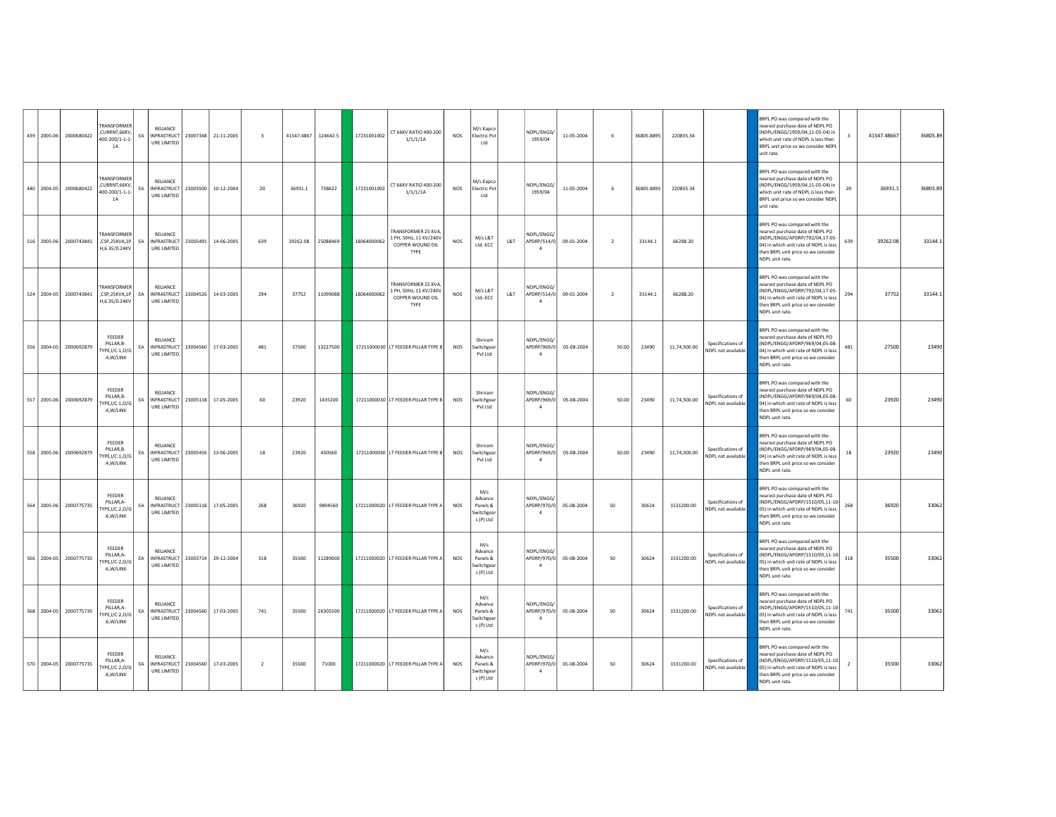|  | 439 2005-06 2000680422 | TRANSFORMER<br>CURRNT, 66KV,<br>100-200/1-1-1-<br>1A       | EA | RELIANCE<br>URE LIMITED                                               | INFRASTRUCT 23007348 21-11-2005 | $\overline{\mathbf{3}}$ |          | 41547.4867 124642.5 |             | 17231001002 CT 66KV RATIO 400-200<br>1/1/1/1A                            | <b>NOS</b> | M/s Kapco<br><b>Electric Pvt</b><br>Ltd               | NDPL/ENGG/<br>1959/04                       | 11-05-2004             | 6              | 36805.8895 | 220835.34    |                                                | BRPL PO was compared with the<br>earest purchase date of NDPL PO<br>(NDPL/ENGG/1959/04,11-05-04) in<br>which unit rate of NDPL is less then<br>BRPL unit price so we consider NDPL<br>unit rate.               | $\mathbf{R}$   | 41547.48667 | 36805.89 |
|--|------------------------|------------------------------------------------------------|----|-----------------------------------------------------------------------|---------------------------------|-------------------------|----------|---------------------|-------------|--------------------------------------------------------------------------|------------|-------------------------------------------------------|---------------------------------------------|------------------------|----------------|------------|--------------|------------------------------------------------|----------------------------------------------------------------------------------------------------------------------------------------------------------------------------------------------------------------|----------------|-------------|----------|
|  | 440 2004-05 2000680422 | TRANSFORMER<br>CURRNT, 66KV,<br>400-200/1-1-1-<br>1A       | FA | RELIANCE<br>INFRASTRUCT 23003500 10-12-2004<br>URE LIMITED            |                                 | 20                      | 36931.1  | 738622              | 17231001002 | CT 66KV RATIO 400-200<br>1/1/1/1A                                        | <b>NOS</b> | M/s Kapco<br><b>Electric Pvt</b><br>Ltd               | NDPL/ENGG/<br>1959/04                       | 11-05-2004             | 6              | 36805.8895 | 220835.34    |                                                | BRPL PO was compared with the<br>nearest purchase date of NDPL PO<br>NDPL/ENGG/1959/04,11-05-04) in<br>which unit rate of NDPL is less then<br>BRPL unit price so we consider NDPL<br>unit rate.               | 20             | 36931.1     | 36805.89 |
|  | 516 2005-06 2000743841 | TRANSFORMER<br>CSP,25KVA,1P<br>H,6.35/0.24KV               | EA | RELIANCE<br>INFRASTRUCT   23005491<br><b>URE LIMITED</b>              | 14-06-2005                      | 639                     | 39262.08 | 25088469            | 18064000062 | TRANSFORMER 25 KVA<br>1 PH, 50Hz, 11 KV/240V<br>COPPER WOUND OIL<br>TYPE | <b>NOS</b> | M/s L&T<br>L&T<br>Ltd.-ECC                            | NDPI/FNGG.<br>APDRP/514/0<br>$\Lambda$      | 09-01-2004             | $\overline{2}$ | 33144.1    | 66288.20     |                                                | BRPL PO was compared with the<br>earest purchase date of NDPL PO<br>NDPL/ENGG/APDRP/792/04,17-05-<br>04) in which unit rate of NDPL is less<br>then BRPL unit price so we consider<br>NDPL unit rate.          | 639            | 39262.08    | 33144.1  |
|  | 524 2004-05 2000743841 | <b><i>FRANSEORMER</i></b><br>CSP,25KVA,1P<br>H,6.35/0.24KV | EA | <b>RELIANCE</b><br>INFRASTRUCT 23004526 14-03-2005<br>URE LIMITED     |                                 | 294                     | 37752    | 11099088            | 18064000062 | TRANSFORMER 25 KVA<br>1 PH. 50Hz. 11 KV/240V<br>COPPER WOUND OIL<br>TYPE | <b>NOS</b> | M/s L&T<br>L&T<br>Ltd.-ECC                            | NDPL/ENGG/<br>APDRP/514/0<br>$\overline{a}$ | 09-01-2004             | $\overline{2}$ | 33144.1    | 66288.20     |                                                | BRPL PO was compared with the<br>earest purchase date of NDPL PO<br>(NDPL/ENGG/APDRP/792/04,17-05-<br>04) in which unit rate of NDPL is less<br>then BRPL unit price so we consider<br>NDPL unit rate.         | 294            | 37752       | 33144.1  |
|  | 556 2004-05 2000692879 | <b>FEEDER</b><br>PILLAR.B-<br>YPE,I/C:1,0/G<br>:4,W/LINK   | EA | RELIANCE<br>INFRASTRUCT 23004560 17-03-2005<br>URE LIMITED            |                                 | 481                     | 27500    | 13227500            |             | 17211000030 LT FEEDER PILLAR TYPE B                                      | <b>NOS</b> | Shriram<br>Switchgear<br>Pvt Ltd                      | NDPL/ENGG/<br>APDRP/969/0<br>$\overline{4}$ | 05-08-2004             | 50.00          | 23490      | 11,74,500.00 | Specifications of<br>NDPL not available        | <b>BRPL PO was compared with the</b><br>earest purchase date of NDPL PO<br>(NDPL/ENGG/APDRP/969/04,05-08-<br>04) in which unit rate of NDPL is less<br>then BRPL unit price so we consider<br>NDPL unit rate.  | 481            | 27500       | 23490    |
|  | 557 2005-06 2000692879 | FEEDER<br>PILLAR, B-<br>YPE,I/C:1,0/G<br>:4.W/LINK         | EA | <b>RELIANCE</b><br>INFRASTRUCT 23005118 17-05-2005<br>URE LIMITED     |                                 | 60                      | 23920    | 1435200             |             | 17211000030 LT FEEDER PILLAR TYPE B                                      | <b>NOS</b> | Shriram<br>Switchgear<br>Pvt Ltd                      | NDPL/ENGG/                                  | APDRP/969/0 05-08-2004 | 50.00          | 23490      | 11,74,500.00 | Specifications of<br>NDPL not available        | BRPL PO was compared with the<br>D9 I9OD or atal each enable<br>(NDPL/ENGG/APDRP/969/04,05-08-<br>04) in which unit rate of NDPL is less<br>then BRPL unit price so we consider<br>NDPL unit rate.             | 60             | 23920       | 23490    |
|  | 558 2005-06 2000692879 | FEEDER<br>PILLAR, B-<br>YPE,I/C:1,0/G<br>:4,W/LINK         | EA | RELIANCE<br>INFRASTRUCT   23005456   13-06-2005<br>URE LIMITED        |                                 | 18                      | 23920    | 430560              |             | 17211000030 LT FEEDER PILLAR TYPE B                                      | <b>NOS</b> | Shriram<br>witchgear<br>Pvt Ltd                       | NDPL/ENGG/<br>APDRP/969/0<br>$\overline{a}$ | 05-08-2004             | 50.00          | 23490      | 11,74,500.00 | Specifications of<br>NDPL not available        | <b>SRPL PO was compared with the</b><br>earest purchase date of NDPL PO<br>NDPL/ENGG/APDRP/969/04,05-08-<br>04) in which unit rate of NDPL is less<br>then BRPL unit price so we consider<br>NDPL unit rate.   | 18             | 23920       | 23490    |
|  | 564 2005-06 2000775735 | FEEDER<br>PILLAR A-<br>YPE, I/C: 2, O/G<br>:6.W/LINK       | EA | <b>RELIANCE</b><br>INFRASTRUCT   23005118   17-05-2005<br>URE LIMITED |                                 | 268                     | 36920    | 9894560             |             | 17211000020 LT FEEDER PILLAR TYPE A                                      | <b>NOS</b> | M/s<br>Advance<br>Panels &<br>Switchgear<br>s (P) Ltd | NDPL/ENGG.<br>APDRP/970/0<br>$\overline{4}$ | 05-08-2004             | 50             | 30624      | 1531200.00   | Specifications of<br>NDPL not available        | <b>SRPL PO was compared with the</b><br>earest purchase date of NDPL PO<br>(NDPL/ENGG/APDRP/1510/05,11-10-<br>05) in which unit rate of NDPL is less<br>then BRPL unit price so we consider<br>NDPL unit rate. | 268            | 36920       | 33062    |
|  | 566 2004-05 2000775735 | FEEDER<br>PILLAR.A-<br>YPE,I/C:2,0/G<br>:6,W/LINK          | EA | RELIANCE<br>INFRASTRUCT 23003714 29-12-2004<br>URE LIMITED            |                                 | 318                     | 35500    | 11289000            |             | 17211000020 LT FEEDER PILLAR TYPE A                                      | <b>NOS</b> | M/s<br>Advance<br>Panels &<br>witchgear<br>s (P) Ltd  | NDPL/ENGG/<br>APDRP/970/0<br>$\overline{4}$ | 05-08-2004             | 50             | 30624      | 1531200.00   | Specifications of<br><b>NDPL</b> not available | BRPL PO was compared with the<br>nearest purchase date of NDPL PO<br>(NDPL/ENGG/APDRP/1510/05,11-10-<br>05) in which unit rate of NDPL is less<br>then BRPL unit price so we consider<br>NDPL unit rate.       | 318            | 35500       | 33062    |
|  | 568 2004-05 2000775735 | FEEDER<br>PILLAR,A-<br>YPE,I/C:2,0/G<br>:6,W/LINK          | FA | RELIANCE<br>INFRASTRUCT 23004560 17-03-2005<br>URE LIMITED            |                                 | 741                     | 35500    | 26305500            |             | 17211000020 LT FEEDER PILLAR TYPE A                                      | <b>NOS</b> | M/s<br>Advance<br>Panels &<br>Switchgear<br>s (P) Ltd | NDPL/ENGG.<br>APDRP/970/0<br>$\overline{4}$ | 05-08-2004             | 50             | 30624      | 1531200.00   | Specifications of<br>NDPL not available        | RPL PO was compared with the<br>earest purchase date of NDPL PO<br>(NDPL/ENGG/APDRP/1510/05,11-10-<br>(05) in which unit rate of NDPL is less<br>then BRPL unit price so we consider<br>NDPL unit rate.        | 741            | 35500       | 33062    |
|  | 570 2004-05 2000775735 | <b>FFFDER</b><br>PILLAR,A-<br>YPE,I/C:2,0/G<br>:6, W/LINK  | EA | <b>RELIANCE</b><br>INFRASTRUCT 23004560 17-03-2005<br>URE LIMITED     |                                 | $\overline{2}$          | 35500    | 71000               |             | 17211000020 LT FEEDER PILLAR TYPE A                                      | <b>NOS</b> | M/s<br>Advance<br>Panels &<br>Switchgear<br>s (P) Ltd | NDPI/FNGG/<br>APDRP/970/0<br>-4             | 05-08-2004             | 50             | 30624      | 1531200.00   | Specifications of<br>NDPL not available        | BRPL PO was compared with the<br>earest purchase date of NDPL PO<br>(NDPL/ENGG/APDRP/1510/05,11-10-<br>05) in which unit rate of NDPL is less<br>then BRPL unit price so we consider<br>NDPL unit rate.        | $\overline{2}$ | 35500       | 33062    |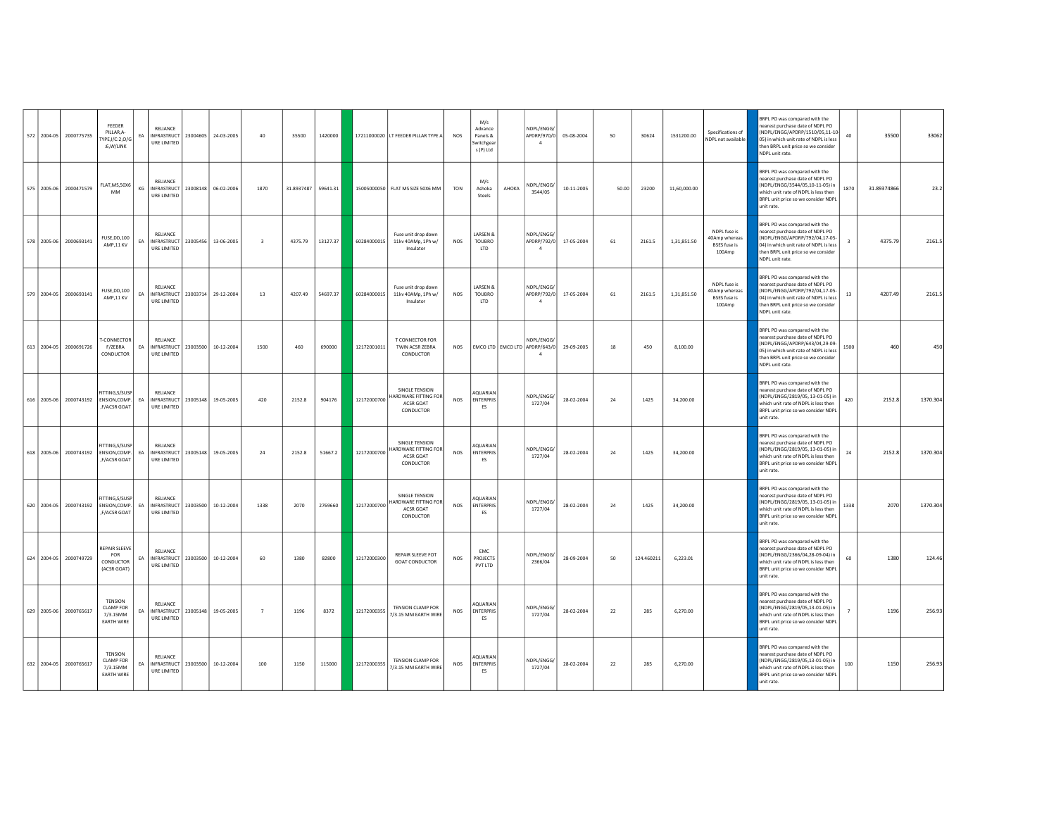| 572 2004-05 | 2000775735             | <b>FEEDER</b><br>PILLAR,A-<br>TYPE,I/C:2,O/G<br>:6,W/LINK           | EA | RELIANCE<br>INFRASTRUCT 23004605 24-03-2005<br>URE LIMITED        |                                 | 40                      | 35500      | 1420000  |             | 17211000020 LT FEEDER PILLAR TYPE A                                     | <b>NOS</b> | M/s<br>Advance<br>Panels &<br>Switchgear<br>s (P) Ltd |       | NDPL/ENGG/<br>$\mathbf{A}$                                  | APDRP/970/0 05-08-2004 | 50    | 30624      | 1531200.00   | Specifications of<br>NDPL not available                        | BRPL PO was compared with the<br>D9 I9OD of the stab each out teams<br>(NDPL/ENGG/APDRP/1510/05,11-10-<br>05) in which unit rate of NDPL is less<br>hen BRPL unit price so we consider<br>NDPL unit rate.     | 40   | 35500       | 33062    |
|-------------|------------------------|---------------------------------------------------------------------|----|-------------------------------------------------------------------|---------------------------------|-------------------------|------------|----------|-------------|-------------------------------------------------------------------------|------------|-------------------------------------------------------|-------|-------------------------------------------------------------|------------------------|-------|------------|--------------|----------------------------------------------------------------|---------------------------------------------------------------------------------------------------------------------------------------------------------------------------------------------------------------|------|-------------|----------|
| 575 2005-06 | 2000471579             | FLAT, MS, 50X6<br>MM                                                | KG | RELIANCE<br>INFRASTRUCT   23008148   06-02-2006<br>URE LIMITED    |                                 | 1870                    | 31.8937487 | 59641.31 |             | 15005000050 FLAT MS SIZE 50X6 MM                                        | TON        | M/s<br>Ashoka<br>Steels                               | AHOKA | NDPL/ENGG/<br>3544/05                                       | 10-11-2005             | 50.00 | 23200      | 11.60.000.00 |                                                                | BRPL PO was compared with the<br>earest purchase date of NDPL PO<br>NDPL/ENGG/3544/05,10-11-05) in<br>which unit rate of NDPL is less then<br>BRPL unit price so we consider NDPL<br>unit rate.               | 1870 | 31.89374866 | 23.2     |
| 578 2005-06 | 2000693141             | FUSE, DD, 100<br>AMP,11 KV                                          | EA | RELIANCE<br>INFRASTRUCT 23005456 13-06-2005<br>URE LIMITED        |                                 | $\overline{\mathbf{3}}$ | 4375.79    | 13127.37 | 60284000015 | Fuse unit drop down<br>11kv 40AMp, 1Ph w/<br>Insulator                  | NOS        | LARSEN &<br>TOUBRO<br>LTD                             |       | NDPL/ENGG/<br>APDRP/792/0<br>$\overline{a}$                 | 17-05-2004             | 61    | 2161.5     | 1,31,851.50  | NDPL fuse is<br>40Amp whereas<br><b>BSES</b> fuse is<br>100Amp | <b>SRPL PO was compared with the</b><br>earest purchase date of NDPL PO<br>(NDPL/ENGG/APDRP/792/04,17-05-<br>04) in which unit rate of NDPL is less<br>then BRPL unit price so we consider<br>NDPL unit rate. |      | 4375.79     | 2161.5   |
| 579 2004-05 | 2000693141             | FUSE, DD, 100<br>AMP,11 KV                                          | EA | RELIANCE<br><b>INFRASTRUCT</b><br>URE LIMITED                     | 23003714 29-12-2004             | 13                      | 4207.49    | 54697.37 | 60284000015 | Fuse unit drop down<br>11kv 40AMp. 1Ph w/<br>Insulator                  | <b>NOS</b> | LARSEN &<br>TOUBRO<br>LTD                             |       | NDPL/ENGG/<br>$\overline{4}$                                | APDRP/792/0 17-05-2004 | 61    | 2161.5     | 1,31,851.50  | NDPL fuse is<br>40Amp whereas<br><b>BSES</b> fuse is<br>100Amp | BRPL PO was compared with the<br>earest purchase date of NDPL PO<br>(NDPL/ENGG/APDRP/792/04,17-05-<br>04) in which unit rate of NDPL is less<br>then BRPL unit price so we consider<br>NDPL unit rate.        | 13   | 4207.49     | 2161.5   |
| 613 2004-05 | 2000691726             | <b>F-CONNECTOR</b><br>F/ZEBRA<br>CONDUCTOR                          | EA | RELIANCE<br>INFRASTRUCT 23003500 10-12-2004<br>URE LIMITED        |                                 | 1500                    | 460        | 690000   | 12172001011 | <b>T CONNECTOR FOR</b><br>TWIN ACSR ZEBRA<br>CONDUCTOR                  | NOS        |                                                       |       | NDPL/ENGG/<br>EMCO LTD EMCO LTD APDRP/643/0<br>$\mathbf{A}$ | 29-09-2005             | 18    | 450        | 8,100.00     |                                                                | BRPL PO was compared with the<br>nearest purchase date of NDPL PO<br>(NDPL/ENGG/APDRP/643/04,29-09-<br>05) in which unit rate of NDPL is less<br>then BRPL unit price so we consider<br>NDPL unit rate.       | 1500 | 460         | 450      |
| 616 2005-06 |                        | FITTING, S/SUSP<br>2000743192   ENSION, COMP.<br>F/ACSR GOAT        | EA | RELIANCE<br>INFRASTRUCT 23005148 19-05-2005<br>URE LIMITED        |                                 | 420                     | 2152.8     | 904176   | 12172000700 | SINGLE TENSION<br>HARDWARE FITTING FOR<br><b>ACSR GOAT</b><br>CONDUCTOR | <b>NOS</b> | AQUARIAN<br><b>ENTERPRIS</b><br>ES                    |       | NDPL/ENGG/<br>1727/04                                       | 28-02-2004             | 24    | 1425       | 34,200.00    |                                                                | BRPL PO was compared with the<br>nearest purchase date of NDPL PO<br>(NDPL/ENGG/2819/05, 13-01-05) in<br>which unit rate of NDPL is less then<br>BRPL unit price so we consider NDPL<br>unit rate.            | 420  | 2152.8      | 1370.304 |
| 618 2005-06 | 2000743192             | <b>FITTING S/SLISP</b><br>ENSION, COMP.<br>.F/ACSR GOAT             | EA | RELIANCE<br>INFRASTRUCT 23005148 19-05-2005<br>URE LIMITED        |                                 | 24                      | 2152.8     | 51667.2  | 12172000700 | SINGLE TENSION<br>HARDWARE FITTING FOR<br>ACSR GOAT<br>CONDUCTOR        | <b>NOS</b> | AOUARIAN<br><b>ENTERPRIS</b><br>ES                    |       | NDPL/ENGG/<br>1727/04                                       | 28-02-2004             | 24    | 1425       | 34,200.00    |                                                                | BRPL PO was compared with the<br>nearest purchase date of NDPL PO<br>NDPL/ENGG/2819/05, 13-01-05) in<br>which unit rate of NDPL is less then<br>BRPL unit price so we consider NDPL<br>unit rate.             | 24   | 2152.8      | 1370.304 |
| 620 2004-05 |                        | FITTING,S/SUSP<br>2000743192 ENSION, COMP.<br>.F/ACSR GOAT          | EA | <b>RELIANCE</b><br>INFRASTRUCT 23003500 10-12-2004<br>URE LIMITED |                                 | 1338                    | 2070       | 2769660  | 12172000700 | SINGLE TENSION<br>HARDWARE FITTING FOR<br>ACSR GOAT<br>CONDUCTOR        | <b>NOS</b> | AOUARIAN<br><b>ENTERPRIS</b><br>ES                    |       | NDPL/ENGG/<br>1727/04                                       | 28-02-2004             | 24    | 1425       | 34,200.00    |                                                                | BRPL PO was compared with the<br>earest purchase date of NDPL PO<br>(NDPL/ENGG/2819/05, 13-01-05) in<br>which unit rate of NDPL is less then<br>BRPL unit price so we consider NDPL<br>unit rate.             | 1338 | 2070        | 1370.304 |
| 624 2004-05 | 2000749729             | REPAIR SLEEVE<br><b>FOR</b><br>CONDUCTOR<br>(ACSR GOAT)             | EA | RELIANCE<br><b>INFRASTRUCT</b><br>URE LIMITED                     | 23003500 10-12-2004             | 60                      | 1380       | 82800    | 12172000300 | REPAIR SLEEVE FOT<br><b>GOAT CONDUCTOR</b>                              | <b>NOS</b> | <b>EMC</b><br>PROJECTS<br>PVT LTD                     |       | NDPL/ENGG/<br>2366/04                                       | 28-09-2004             | 50    | 124.460211 | 6,223.01     |                                                                | BRPL PO was compared with the<br>nearest purchase date of NDPL PO<br>(NDPL/ENGG/2366/04,28-09-04) in<br>which unit rate of NDPL is less then<br>BRPL unit price so we consider NDPL<br>unit rate.             | 60   | 1380        | 124.46   |
| 629 2005-06 | 2000765617             | <b>TENSION</b><br><b>CLAMP FOR</b><br>7/3.15MM<br><b>EARTH WIRE</b> | EA | RELIANCE<br>URE LIMITED                                           | INFRASTRUCT 23005148 19-05-2005 | $\overline{7}$          | 1196       | 8372     | 12172000355 | TENSION CLAMP FOR<br>7/3.15 MM EARTH WIRE                               | <b>NOS</b> | <b>AQUARIAN</b><br><b>ENTERPRIS</b><br>ES             |       | NDPL/ENGG/<br>1727/04                                       | 28-02-2004             | 22    | 285        | 6,270.00     |                                                                | BRPL PO was compared with the<br>nearest purchase date of NDPL PO<br>(NDPL/ENGG/2819/05,13-01-05) in<br>which unit rate of NDPL is less then<br>BRPL unit price so we consider NDPL<br>unit rate.             |      | 1196        | 256.93   |
|             | 632 2004-05 2000765617 | <b>TENSION</b><br><b>CLAMP FOR</b><br>7/3.15MM<br><b>EARTH WIRE</b> | EA | <b>RELIANCE</b><br>INFRASTRUCT 23003500 10-12-2004<br>URE LIMITED |                                 | 100                     | 1150       | 115000   | 12172000355 | TENSION CLAMP FOR<br>7/3.15 MM EARTH WIRE                               | <b>NOS</b> | AOUARIAN<br><b>ENTERPRIS</b><br>ES                    |       | NDPL/ENGG/<br>1727/04                                       | 28-02-2004             | 22    | 285        | 6,270.00     |                                                                | BRPL PO was compared with the<br>earest purchase date of NDPL PO<br>(NDPL/ENGG/2819/05,13-01-05) in<br>which unit rate of NDPL is less then<br>BRPL unit price so we consider NDPL<br>unit rate.              | 100  | 1150        | 256.93   |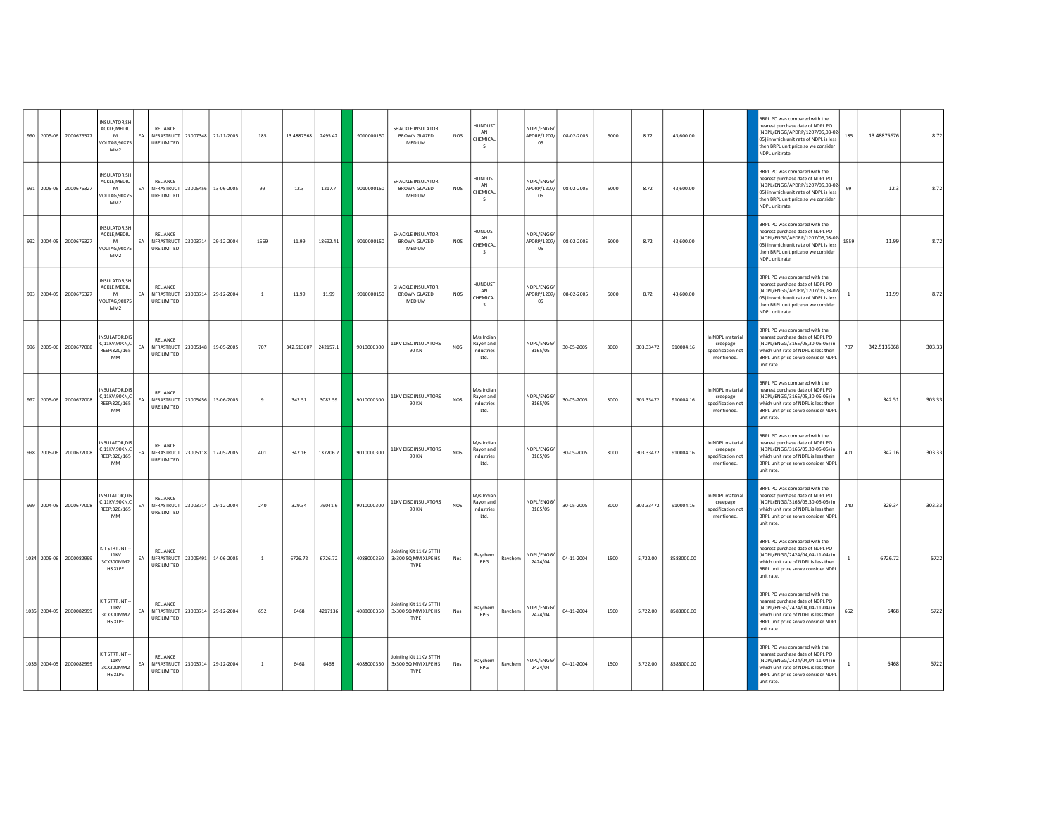|  | 990 2005-06 2000676327  | INSULATOR.SH<br>ACKLE, MEDIU<br>M<br>OLTAG, 90X75<br>MM <sub>2</sub>                | EA | RELIANCE<br><b>INFRASTRUCT</b><br>URE LIMITED                     |          | 23007348 21-11-2005 | 185            | 13.4887568          | 2495.42  | 9010000150 | SHACKLE INSULATOR<br>BROWN GLAZED<br>MEDIUM               | <b>NOS</b> | <b>HUNDUST</b><br>AN<br>CHEMICAL              |         | NDPL/ENGG/<br>APDRP/1207/<br>05   | 08-02-2005 | 5000 | 8.72      | 43,600.00  |                                                                 | BRPL PO was compared with the<br>nearest purchase date of NDPL PO<br>(NDPL/ENGG/APDRP/1207/05,08-02-<br>05) in which unit rate of NDPL is less<br>then BRPL unit price so we consider<br>NDPL unit rate. | 185            | 13.48875676 | 8.72   |
|--|-------------------------|-------------------------------------------------------------------------------------|----|-------------------------------------------------------------------|----------|---------------------|----------------|---------------------|----------|------------|-----------------------------------------------------------|------------|-----------------------------------------------|---------|-----------------------------------|------------|------|-----------|------------|-----------------------------------------------------------------|----------------------------------------------------------------------------------------------------------------------------------------------------------------------------------------------------------|----------------|-------------|--------|
|  | 991 2005-06 2000676327  | <b>INSULATOR.SH</b><br>ACKLE, MEDIU<br><b>M</b><br>VOLTAG, 90X75<br>MM <sub>2</sub> | FA | RELIANCE<br><b>INFRASTRUCT</b><br>URE LIMITED                     |          | 23005456 13-06-2005 | 99             | 12.3                | 1217.7   | 9010000150 | <b>SHACKLE INSULATOR</b><br>BROWN GLAZED<br>MEDIUM        | NOS        | HUNDUST<br>AN<br>CHEMICAL<br>- S              |         | NDPL/ENGG/<br>APDRP/1207/<br>05   | 08-02-2005 | 5000 | 8.72      | 43,600.00  |                                                                 | BRPL PO was compared with the<br>nearest purchase date of NDPL PO<br>NDPL/ENGG/APDRP/1207/05,08-02<br>05) in which unit rate of NDPL is less<br>then BRPL unit price so we consider<br>NDPL unit rate.   | 99             | 12.3        | 8.72   |
|  | 992 2004-05 2000676327  | INSULATOR.SH<br>ACKLE.MEDIU<br>M<br>VOLTAG.90X75<br>MM <sub>2</sub>                 | EA | RELIANCE<br>INFRASTRUCT<br><b>URE LIMITED</b>                     | 23003714 | 29-12-2004          | 1559           | 11.99               | 18692.41 | 9010000150 | SHACKLE INSULATOR<br><b>BROWN GLAZED</b><br><b>MEDIUM</b> | <b>NOS</b> | HUNDUST<br>AN<br>CHEMICAL<br>$\sim$           |         | NDPI/FNGG/<br>APDRP/1207/<br>- 05 | 08-02-2005 | 5000 | 8.72      | 43,600.00  |                                                                 | BRPL PO was compared with the<br>earest purchase date of NDPL PO<br>(NDPL/ENGG/APDRP/1207/05,08-02<br>05) in which unit rate of NDPL is less<br>then BRPL unit price so we consider<br>NDPL unit rate.   | 1559           | 11.99       | 8.72   |
|  | 993 2004-05 2000676327  | <b>INSULATOR, SH</b><br>ACKLE, MEDIU<br>M<br>VOLTAG, 90X75<br>MM <sub>2</sub>       | EA | <b>RELIANCE</b><br>INFRASTRUCT<br>URE LIMITED                     | 23003714 | 29-12-2004          | $\overline{1}$ | 11.99               | 11.99    | 9010000150 | <b>SHACKLE INSULATOR</b><br>BROWN GLAZED<br>MEDIUM        | <b>NOS</b> | HUNDUST<br>AN<br>CHEMICAL<br>S.               |         | NDPL/ENGG/<br>APDRP/1207/<br>05   | 08-02-2005 | 5000 | 8.72      | 43,600.00  |                                                                 | BRPL PO was compared with the<br>nearest purchase date of NDPL PO<br>(NDPL/ENGG/APDRP/1207/05,08-02-<br>05) in which unit rate of NDPL is less<br>then BRPL unit price so we consider<br>NDPL unit rate. | $\mathbf{1}$   | 11.99       | 8.72   |
|  | 996 2005-06 2000677008  | NSULATOR.DIS<br>C,11KV,90KN,C<br>REEP:320/165<br>MM                                 | EA | RELIANCE<br>INFRASTRUCT<br>URE LIMITED                            |          | 23005148 19-05-2005 | 707            | 342.513607 242157.1 |          | 9010000300 | 11KV DISC INSULATORS<br><b>90 KN</b>                      | <b>NOS</b> | M/s Indian<br>Rayon and<br>Industries<br>Ltd. |         | NDPL/ENGG/<br>3165/05             | 30-05-2005 | 3000 | 303.33472 | 910004.16  | In NDPL material<br>creepage<br>specification not<br>mentioned. | <b>BRPL PO was compared with the</b><br>earest purchase date of NDPL PO<br>(NDPL/ENGG/3165/05,30-05-05) in<br>which unit rate of NDPL is less then<br>BRPL unit price so we consider NDPL<br>unit rate.  | 707            | 342.5136068 | 303.33 |
|  | 997 2005-06 2000677008  | <b>INSULATOR.DIS</b><br>.11KV,90KN,C<br>REEP:320/165<br>MM                          | EA | RELIANCE<br><b>INFRASTRUCT</b><br>URE LIMITED                     | 23005456 | 13-06-2005          | 9              | 342.51              | 3082.59  | 9010000300 | 11KV DISC INSULATORS<br>90 KN                             | NOS        | M/s Indian<br>Rayon and<br>Industries<br>Ltd. |         | NDPL/ENGG/<br>3165/05             | 30-05-2005 | 3000 | 303.33472 | 910004.16  | In NDPL material<br>creepage<br>specification not<br>mentioned. | BRPL PO was compared with the<br>D9 I9OD of the stab each out teams<br>(NDPL/ENGG/3165/05,30-05-05) in<br>which unit rate of NDPL is less then<br>BRPL unit price so we consider NDPL<br>unit rate.      | $\mathbf{q}$   | 342.51      | 303.33 |
|  | 998 2005-06 2000677008  | <b>NSULATOR.DIS</b><br>.11KV,90KN,C<br>REEP:320/165<br><b>MM</b>                    | EA | RELIANCE<br>INFRASTRUCT<br>URE LIMITED                            |          | 23005118 17-05-2005 | 401            | 342.16              | 137206.2 | 9010000300 | 11KV DISC INSULATORS<br><b>90 KN</b>                      | <b>NOS</b> | M/s Indian<br>Rayon and<br>ndustries<br>Ltd.  |         | NDPL/ENGG/<br>3165/05             | 30-05-2005 | 3000 | 303.33472 | 910004.16  | In NDPL material<br>creepage<br>specification not<br>mentioned. | BRPL PO was compared with the<br>earest purchase date of NDPL PO<br>NDPL/ENGG/3165/05,30-05-05) in<br>which unit rate of NDPL is less then<br>BRPL unit price so we consider NDPL<br>unit rate.          | 401            | 342.16      | 303.33 |
|  | 999 2004-05 2000677008  | INSULATOR, DIS<br>C 11KV 90KN C<br>REEP:320/165<br><b>MM</b>                        | EA | <b>RELIANCE</b><br>INFRASTRUCT 23003714 29-12-2004<br>URE LIMITED |          |                     | 240            | 329.34              | 79041.6  | 9010000300 | 11KV DISC INSULATORS<br><b>90 KN</b>                      | NOS        | M/s Indian<br>Rayon and<br>Industries<br>Ltd. |         | NDPI/FNGG/<br>3165/05             | 30-05-2005 | 3000 | 303.33472 | 910004.16  | In NDPL material<br>creepage<br>specification not<br>mentioned. | <b>SRPL PO was compared with the</b><br>earest purchase date of NDPL PO<br>(NDPL/ENGG/3165/05,30-05-05) in<br>which unit rate of NDPL is less then<br>BRPL unit price so we consider NDPI<br>unit rate.  | 240            | 329.34      | 303.33 |
|  | 1034 2005-06 2000082999 | KIT STRT JNT -<br><b>11KV</b><br>3CX300MM2<br><b>HS XLPE</b>                        | EA | RELIANCE<br>INFRASTRUCT<br>URE LIMITED                            | 23005491 | 14-06-2005          | $\overline{1}$ | 6726.72             | 6726.72  | 4088000350 | Jointing Kit 11KV ST TH<br>3x300 SQ MM XLPE HS<br>TYPE    | Nos        | Raychem<br><b>RPG</b>                         | Ravchem | NDPL/ENGG/<br>2424/04             | 04-11-2004 | 1500 | 5.722.00  | 8583000.00 |                                                                 | BRPL PO was compared with the<br>nearest purchase date of NDPL PO<br>(NDPL/ENGG/2424/04,04-11-04) in<br>which unit rate of NDPL is less then<br>BRPL unit price so we consider NDPL<br>unit rate.        | $\overline{1}$ | 6726.72     | 5722   |
|  | 1035 2004-05 2000082999 | KIT STRT JNT -<br>11KV<br>3CX300MM2<br><b>HS XLPE</b>                               | EA | RELIANCE<br>INFRASTRUCT 23003714 29-12-2004<br>URE LIMITED        |          |                     | 652            | 6468                | 4217136  | 4088000350 | Jointing Kit 11KV ST TH<br>3x300 SQ MM XLPE HS<br>TYPE    | Nos        | Raychem<br><b>RPG</b>                         | Raychem | NDPL/ENGG/<br>2424/04             | 04-11-2004 | 1500 | 5,722.00  | 8583000.00 |                                                                 | BRPL PO was compared with the<br>earest purchase date of NDPL PO<br>(NDPL/ENGG/2424/04,04-11-04) in<br>which unit rate of NDPL is less then<br>BRPL unit price so we consider NDPL<br>unit rate.         | 652            | 6468        | 5722   |
|  | 1036 2004-05 2000082999 | KIT STRT JNT -<br><b>11KV</b><br>3CX300MM2<br>HS XLPE                               | EA | <b>RELIANCE</b><br><b>INFRASTRUCT</b><br>URE LIMITED              |          | 23003714 29-12-2004 | $\,$ 1 $\,$    | 6468                | 6468     | 4088000350 | Jointing Kit 11KV ST TH<br>3x300 SQ MM XLPE HS<br>TYPE    | Nos        | Ravchem<br>RPG                                | Raychem | NDPL/ENGG/<br>2424/04             | 04-11-2004 | 1500 | 5,722.00  | 8583000.00 |                                                                 | BRPL PO was compared with the<br>earest purchase date of NDPL PO<br>(NDPL/ENGG/2424/04,04-11-04) in<br>which unit rate of NDPL is less then<br>BRPL unit price so we consider NDPL<br>unit rate.         |                | 6468        | 5722   |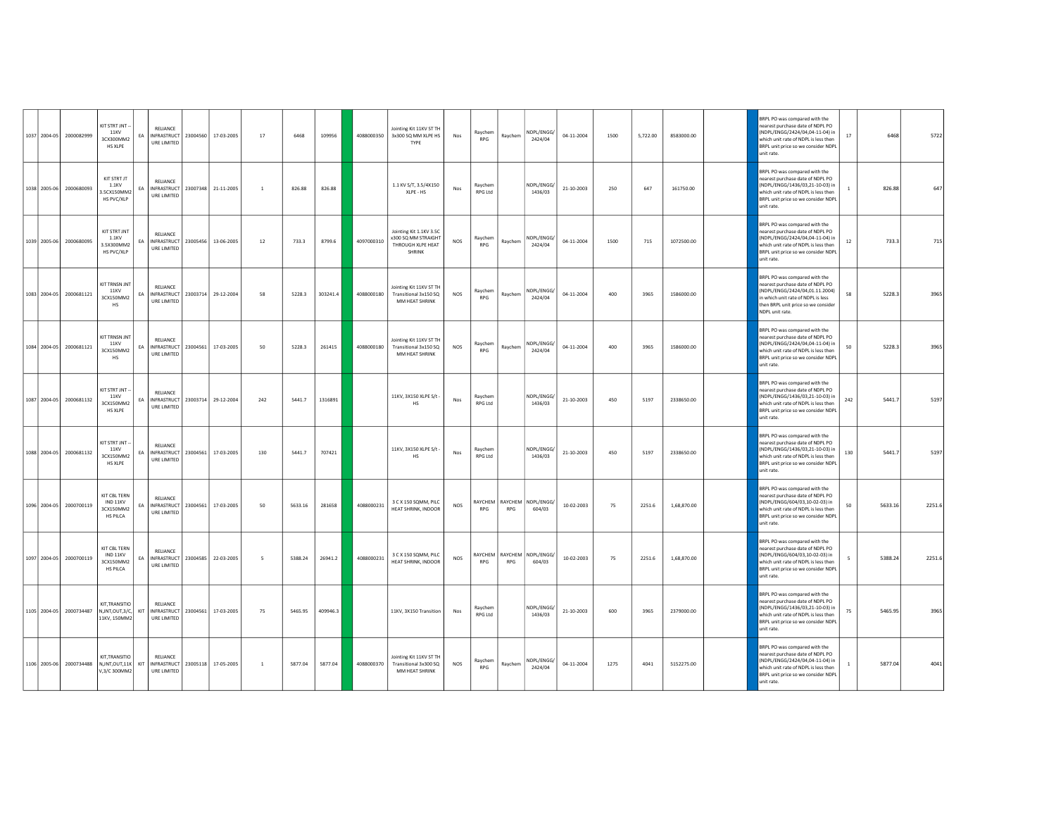| 1037 2004-05 | 2000082999              | KIT STRT JNT<br><b>11KV</b><br>3CX300MM2<br>HS XLPE                                | EA  | RELIANCE<br>URE LIMITED                                           | INFRASTRUCT 23004560 17-03-2005 | 17                       | 6468    | 109956   | 4088000350 | Jointing Kit 11KV ST TH<br>3x300 SQ MM XLPE HS<br>TYPE                               | Nos        | Raychem<br><b>RPG</b>     | Raychem    | NDPL/ENGG/<br>2424/04                | 04-11-2004 | 1500 | 5,722.00 | 8583000.00  | BRPL PO was compared with the<br>D9 I9OD of the stab each out teams<br>(NDPL/ENGG/2424/04,04-11-04) in<br>which unit rate of NDPL is less then<br>BRPL unit price so we consider NDPL<br>unit rate. | 17           | 6468    | 5722   |
|--------------|-------------------------|------------------------------------------------------------------------------------|-----|-------------------------------------------------------------------|---------------------------------|--------------------------|---------|----------|------------|--------------------------------------------------------------------------------------|------------|---------------------------|------------|--------------------------------------|------------|------|----------|-------------|-----------------------------------------------------------------------------------------------------------------------------------------------------------------------------------------------------|--------------|---------|--------|
| 1038 2005-06 | 2000680093              | KIT STRT JT<br>1.1KV<br>3.5CX150MM2<br>HS PVC/XLP                                  | EA  | RELIANCE<br>INFRASTRUCT 23007348 21-11-2005<br>URE LIMITED        |                                 | $\overline{1}$           | 826.88  | 826.88   |            | 1.1 KV S/T, 3.5/4X150<br>XLPE - HS                                                   | Nos        | Raychem<br><b>RPG Ltd</b> |            | NDPL/ENGG/<br>1436/03                | 21-10-2003 | 250  | 647      | 161750.00   | BRPL PO was compared with the<br>nearest purchase date of NDPL PO<br>NDPL/ENGG/1436/03,21-10-03) in<br>which unit rate of NDPL is less then<br>BRPL unit price so we consider NDPL<br>unit rate.    | $\mathbf{1}$ | 826.88  | 647    |
| 1039 2005-06 | 2000680095              | KIT STRT JNT<br>1.1KV<br>3.5X300MM2<br>HS PVC/XLP                                  | EA  | <b>RELIANCE</b><br>INFRASTRUCT 23005456 13-06-2005<br>URE LIMITED |                                 | 12                       | 733.3   | 8799.6   | 4097000310 | Jointing Kit 1.1KV 3.5C<br>x300 SQ MM STRAIGHT<br>THROUGH XLPE HEAT<br><b>SHRINK</b> | <b>NOS</b> | Raychem<br><b>RPG</b>     | Raychem    | NDPL/ENGG/<br>2424/04                | 04-11-2004 | 1500 | 715      | 1072500.00  | BRPL PO was compared with the<br>earest purchase date of NDPL PO<br>(NDPL/ENGG/2424/04,04-11-04) in<br>which unit rate of NDPL is less then<br>BRPL unit price so we consider NDPL<br>unit rate.    | 12           | 733.3   | 715    |
| 1083 2004-05 | 2000681121              | KIT TRNSN JNT<br>11KV<br>3CX150MM2<br>HS                                           | EA  | RELIANCE<br>INFRASTRUCT 23003714 29-12-2004<br>URE LIMITED        |                                 | 58                       | 5228.3  | 303241.4 | 4088000180 | Jointing Kit 11KV ST TH<br>Transitional 3x150 SQ<br>MM HEAT SHRINK                   | <b>NOS</b> | Raychem<br><b>RPG</b>     | Raychem    | NDPL/ENGG/<br>2424/04                | 04-11-2004 | 400  | 3965     | 1586000.00  | BRPL PO was compared with the<br>nearest purchase date of NDPL PO<br>(NDPL/ENGG/2424/04,01.11.2004)<br>n which unit rate of NDPL is less<br>then BRPL unit price so we consider<br>NDPL unit rate.  | 58           | 5228.3  | 3965   |
|              | 1084 2004-05 2000681121 | KIT TRNSN JNT<br>11KV<br>3CX150MM2<br><b>HS</b>                                    | EA  | RELIANCE<br>INFRASTRUCT 23004561 17-03-2005<br>URE LIMITED        |                                 | 50                       | 5228.3  | 261415   | 4088000180 | Jointing Kit 11KV ST TH<br>Transitional 3x150 SQ<br>MM HEAT SHRINK                   | <b>NOS</b> | Raychem<br><b>RPG</b>     | Raychem    | NDPL/ENGG/<br>2424/04                | 04-11-2004 | 400  | 3965     | 1586000.00  | BRPL PO was compared with the<br>nearest purchase date of NDPL PO<br>(NDPL/ENGG/2424/04,04-11-04) in<br>which unit rate of NDPL is less then<br>BRPL unit price so we consider NDPL<br>unit rate.   | 50           | 5228.3  | 3965   |
| 1087 2004-05 | 2000681132              | KIT STRT JNT<br><b>11KV</b><br>3CX150MM2<br><b>HS XLPE</b>                         | EA  | RELIANCE<br>INFRASTRUCT 23003714 29-12-2004<br>URE LIMITED        |                                 | 242                      | 5441.7  | 1316891  |            | 11KV, 3X150 XLPE S/t -<br><b>HS</b>                                                  | Nos        | Raychem<br>RPG Ltd        |            | NDPL/ENGG/<br>1436/03                | 21-10-2003 | 450  | 5197     | 2338650.00  | BRPL PO was compared with the<br>nearest purchase date of NDPL PO<br>(NDPL/ENGG/1436/03,21-10-03) in<br>which unit rate of NDPL is less then<br>BRPL unit price so we consider NDPL<br>unit rate.   | 242          | 5441.7  | 5197   |
| 1088 2004-05 | 2000681132              | KIT STRT JNT -<br><b>11KV</b><br>3CX150MM2<br>HS XI PF                             | EA  | RELIANCE<br>INFRASTRUCT 23004561 17-03-2005<br>URE LIMITED        |                                 | 130                      | 5441.7  | 707421   |            | 11KV, 3X150 XLPE S/t -<br><b>HS</b>                                                  | Nos        | Ravchem<br><b>RPG Ltd</b> |            | NDPL/ENGG/<br>1436/03                | 21-10-2003 | 450  | 5197     | 2338650.00  | BRPL PO was compared with the<br>earest purchase date of NDPL PO<br>NDPL/ENGG/1436/03,21-10-03) in<br>which unit rate of NDPL is less then<br>BRPL unit price so we consider NDPL<br>unit rate.     | 130          | 5441.7  | 5197   |
| 1096 2004-05 | 2000700119              | KIT CBL TERN<br>IND 11KV<br>3CX150MM2<br><b>HS PILCA</b>                           | EA  | <b>RELIANCE</b><br>URE LIMITED                                    | INFRASTRUCT 23004561 17-03-2005 | 50                       | 5633.16 | 281658   | 4088000231 | 3 C X 150 SOMM, PILC<br>HEAT SHRINK, INDOOR                                          | <b>NOS</b> | RPG                       | RPG        | RAYCHEM RAYCHEM NDPL/ENGG/<br>604/03 | 10-02-2003 | 75   | 2251.6   | 1,68,870.00 | BRPL PO was compared with the<br>earest purchase date of NDPL PO<br>(NDPL/ENGG/604/03.10-02-03) in<br>which unit rate of NDPL is less then<br>BRPL unit price so we consider NDPL<br>unit rate.     | 50           | 5633.16 | 2251.6 |
| 1097 2004-05 | 2000700119              | KIT CBL TERN<br>IND 11KV<br>3CX150MM2<br><b>HS PILCA</b>                           | EA  | RELIANCE<br>URE LIMITED                                           | INFRASTRUCT 23004585 22-03-2005 | $\overline{\phantom{a}}$ | 5388.24 | 26941.2  | 4088000231 | 3 C X 150 SQMM, PILC<br>HEAT SHRINK, INDOOR                                          | <b>NOS</b> | RAYCHEM<br>RPG            | <b>RPG</b> | RAYCHEM NDPL/ENGG/<br>604/03         | 10-02-2003 | 75   | 2251.6   | 1.68.870.00 | BRPL PO was compared with the<br>nearest purchase date of NDPL PO<br>(NDPL/ENGG/604/03,10-02-03) in<br>which unit rate of NDPL is less then<br>BRPL unit price so we consider NDPL<br>unit rate.    | -5           | 5388.24 | 2251.6 |
|              |                         | KIT,TRANSITIO<br>1105 2004-05 2000734487 N,JNT,OUT,3/C,<br>11KV, 150MM2            | KIT | RELIANCE<br>URE LIMITED                                           | INFRASTRUCT 23004561 17-03-2005 | 75                       | 5465.95 | 409946.3 |            | 11KV, 3X150 Transition                                                               | Nos        | Ravchem<br>RPG Itd        |            | NDPL/ENGG/<br>1436/03                | 21-10-2003 | 600  | 3965     | 2379000.00  | BRPL PO was compared with the<br>nearest purchase date of NDPL PO<br>(NDPL/ENGG/1436/03,21-10-03) in<br>which unit rate of NDPL is less then<br>BRPL unit price so we consider NDPL<br>unit rate.   | 75           | 5465.95 | 3965   |
|              |                         | <b>KIT TRANSITIO</b><br>1106 2005-06 2000734488 NJNT, OUT, 11K KIT<br>V.3/C 300MM2 |     | <b>RELIANCE</b><br>URE LIMITED                                    | INFRASTRUCT 23005118 17-05-2005 | $\overline{1}$           | 5877.04 | 5877.04  | 4088000370 | Jointing Kit 11KV ST TH<br>Transitional 3x300 SQ<br>MM HEAT SHRINK                   | <b>NOS</b> | Ravchem<br>RPG            | Raychem    | NDPL/ENGG/<br>2424/04                | 04-11-2004 | 1275 | 4041     | 5152275.00  | BRPL PO was compared with the<br>earest purchase date of NDPL PO<br>(NDPL/ENGG/2424/04,04-11-04) in<br>which unit rate of NDPL is less then<br>BRPL unit price so we consider NDPL<br>unit rate.    |              | 5877.04 | 4041   |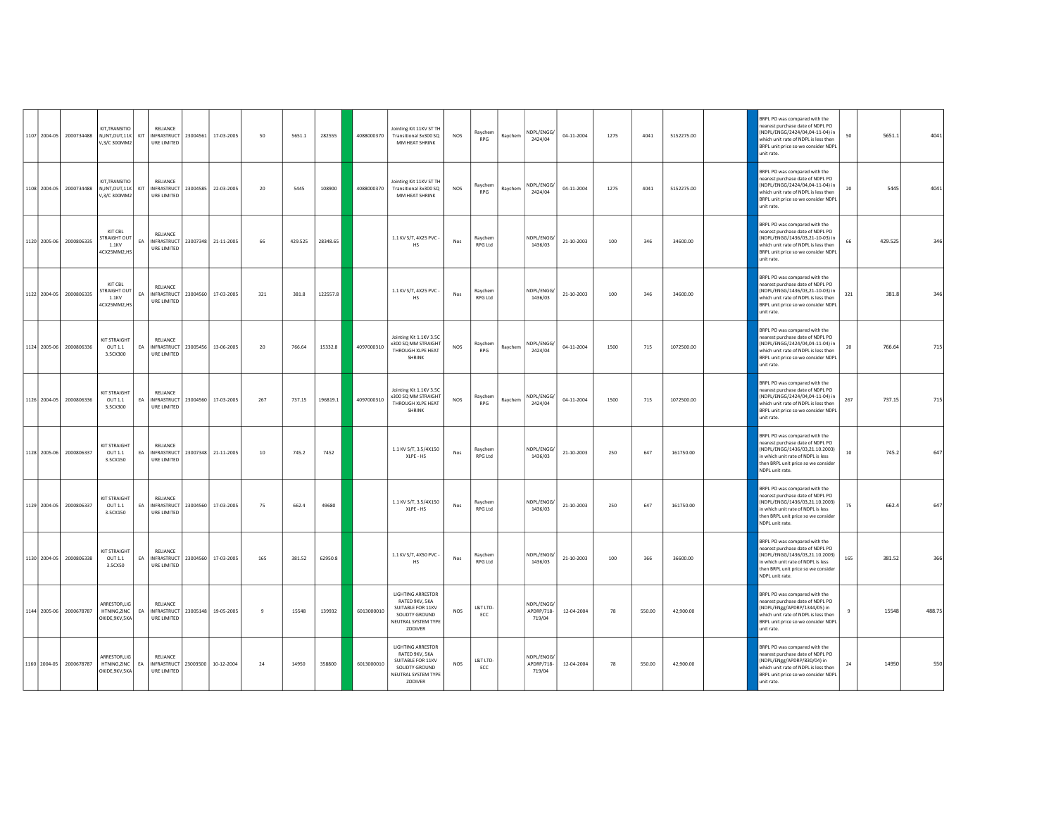|  | 1107 2004-05 2000734488 | KIT, TRANSITIO<br>NJNT.OUT.11K<br>V,3/C 300MM2         | KIT | RELIANCE<br>INFRASTRUCT<br>URE LIMITED                            | 23004561 | 17-03-2005          | 50           | 5651.1  | 282555   | 4088000370 | Jointing Kit 11KV ST TH<br>Transitional 3x300 SQ<br>MM HEAT SHRINK                                                  | NOS        | Raychem<br><b>RPG</b> | Raychem | NDPL/ENGG/<br>2424/04              | 04-11-2004 | 1275    | 4041   | 5152275.00 | BRPL PO was compared with the<br>nearest purchase date of NDPL PO<br>(NDPL/ENGG/2424/04,04-11-04) in<br>which unit rate of NDPL is less then<br>BRPL unit price so we consider NDPL<br>unit rate.   | 50     | 5651.1  | 4041   |
|--|-------------------------|--------------------------------------------------------|-----|-------------------------------------------------------------------|----------|---------------------|--------------|---------|----------|------------|---------------------------------------------------------------------------------------------------------------------|------------|-----------------------|---------|------------------------------------|------------|---------|--------|------------|-----------------------------------------------------------------------------------------------------------------------------------------------------------------------------------------------------|--------|---------|--------|
|  | 1108 2004-05 2000734488 | KIT, TRANSITIO<br>N,JNT,OUT,11K<br>V,3/C 300MM2        | KIT | RELIANCE<br>INFRASTRUCT<br>URE LIMITED                            |          | 23004585 22-03-2005 | 20           | 5445    | 108900   | 4088000370 | Jointing Kit 11KV ST TH<br>Transitional 3x300 SQ<br>MM HEAT SHRINK                                                  | NOS        | Raychem<br><b>RPG</b> | Raychem | NDPL/ENGG/<br>2424/04              | 04-11-2004 | 1275    | 4041   | 5152275.00 | BRPL PO was compared with the<br>nearest purchase date of NDPL PO<br>NDPL/ENGG/2424/04,04-11-04) in<br>which unit rate of NDPL is less then<br>BRPL unit price so we consider NDPL<br>unit rate.    | 20     | 5445    | 4041   |
|  | 1120 2005-06 2000806335 | KIT CBL<br><b>STRAIGHT OUT</b><br>1.1KV<br>4CX25MM2,HS | EA  | RELIANCE<br>INFRASTRUCT<br><b>URE LIMITED</b>                     |          | 23007348 21-11-2005 | 66           | 429.525 | 28348.65 |            | 1.1 KV S/T, 4X25 PVC -<br>HS                                                                                        | Nos        | Ravchem<br>RPG Ltd    |         | NDPL/ENGG/<br>1436/03              | 21-10-2003 | $100\,$ | 346    | 34600.00   | BRPL PO was compared with the<br>earest purchase date of NDPL PO<br>(NDPL/ENGG/1436/03,21-10-03) in<br>which unit rate of NDPL is less then<br>BRPL unit price so we consider NDPI<br>unit rate     | 66     | 429.525 | 346    |
|  | 1122 2004-05 2000806335 | KIT CBL<br>TRAIGHT OUT<br>1.1KV<br>4CX25MM2,HS         | EA  | <b>RELIANCE</b><br>INFRASTRUCT<br>URE LIMITED                     |          | 23004560 17-03-2005 | 321          | 381.8   | 122557.8 |            | 1.1 KV S/T, 4X25 PVC -<br><b>HS</b>                                                                                 | Nos        | Raychem<br>RPG Ltd    |         | NDPL/ENGG/<br>1436/03              | 21-10-2003 | 100     | 346    | 34600.00   | BRPL PO was compared with the<br>nearest purchase date of NDPL PO<br>(NDPL/ENGG/1436/03,21-10-03) in<br>which unit rate of NDPL is less then<br>BRPL unit price so we consider NDPL<br>unit rate.   | 321    | 381.8   | 346    |
|  | 1124 2005-06 2000806336 | <b>KIT STRAIGHT</b><br>OUT 1.1<br>3.5CX300             | EA  | RELIANCE<br>INFRASTRUCT 23005456 13-06-2005<br>URE LIMITED        |          |                     | 20           | 766.64  | 15332.8  | 4097000310 | Jointing Kit 1.1KV 3.5C<br>x300 SQ MM STRAIGHT<br>THROUGH XLPE HEAT<br>SHRINK                                       | NOS        | Raychem<br><b>RPG</b> | Raychem | NDPL/ENGG/<br>2424/04              | 04-11-2004 | 1500    | 715    | 1072500.00 | BRPL PO was compared with the<br>earest purchase date of NDPL PO<br>(NDPL/ENGG/2424/04,04-11-04) in<br>which unit rate of NDPL is less then<br>BRPL unit price so we consider NDPL<br>unit rate.    | 20     | 766.64  | 715    |
|  | 1126 2004-05 2000806336 | KIT STRAIGHT<br>OUT 1.1<br>3.5CX300                    | EA  | RELIANCE<br><b>INFRASTRUCT</b><br>URE LIMITED                     | 23004560 | 17-03-2005          | 267          | 737.15  | 196819.1 | 4097000310 | Jointing Kit 1.1KV 3.5C<br>x300 SQ MM STRAIGHT<br>THROUGH XLPE HEAT<br>SHRINK                                       | NOS        | Raychem<br><b>RPG</b> | Raychem | NDPL/ENGG/<br>2424/04              | 04-11-2004 | 1500    | 715    | 1072500.00 | BRPL PO was compared with the<br>D9 I9OD of the stab each out teams<br>(NDPL/ENGG/2424/04,04-11-04) in<br>which unit rate of NDPL is less then<br>BRPL unit price so we consider NDPI<br>unit rate. | 267    | 737.15  | 715    |
|  | 1128 2005-06 2000806337 | KIT STRAIGHT<br>OUT 1.1<br>3.5CX150                    | EA  | RELIANCE<br>INFRASTRUCT<br>URE LIMITED                            |          | 23007348 21-11-2005 | 10           | 745.2   | 7452     |            | 1.1 KV S/T, 3.5/4X150<br>XLPE - HS                                                                                  | Nos        | Raychem<br>RPG Ltd    |         | NDPL/ENGG/<br>1436/03              | 21-10-2003 | 250     | 647    | 161750.00  | BRPL PO was compared with the<br>earest purchase date of NDPL PO<br>NDPL/ENGG/1436/03,21.10.2003)<br>n which unit rate of NDPL is less<br>then BRPL unit price so we consider<br>NDPL unit rate.    | $10\,$ | 745.2   | 647    |
|  | 1129 2004-05 2000806337 | KIT STRAIGHT<br>OUT 1.1<br>3.5CX150                    | EA  | RELIANCE<br>INFRASTRUCT 23004560 17-03-2005<br>URE LIMITED        |          |                     | 75           | 662.4   | 49680    |            | 1.1 KV S/T, 3.5/4X150<br>XLPE - HS                                                                                  | Nos        | Ravchem<br>RPG Ltd    |         | NDPI/FNGG/<br>1436/03              | 21-10-2003 | 250     | 647    | 161750.00  | BRPL PO was compared with the<br>earest purchase date of NDPL PO<br>(NDPL/ENGG/1436/03,21.10.2003)<br>n which unit rate of NDPL is less<br>then BRPL unit price so we consider<br>NDPL unit rate.   | 75     | 662.4   | 647    |
|  | 1130 2004-05 2000806338 | KIT STRAIGHT<br>OUT 1.1<br>3.5CX50                     | EA  | RELIANCE<br>INFRASTRUCT<br>URE LIMITED                            |          | 23004560 17-03-2005 | 165          | 381.52  | 62950.8  |            | 1.1 KV S/T, 4X50 PVC -<br><b>HS</b>                                                                                 | Nos        | Raychem<br>RPG Ltd    |         | NDPL/ENGG/<br>1436/03              | 21-10-2003 | 100     | 366    | 36600.00   | BRPL PO was compared with the<br>nearest purchase date of NDPL PO<br>(NDPL/ENGG/1436/03,21.10.2003)<br>n which unit rate of NDPL is less<br>then BRPL unit price so we consider<br>NDPL unit rate.  | 165    | 381.52  | 366    |
|  | 1144 2005-06 2000678787 | ARRESTOR,LIG<br>HTNING, ZINC<br>OXIDE, 9KV, 5KA        | EA  | RELIANCE<br>INFRASTRUCT 23005148 19-05-2005<br>URE LIMITED        |          |                     | $\mathbf{q}$ | 15548   | 139932   | 6013000010 | <b>LIGHTING ARRESTOR</b><br>RATED 9KV, 5KA<br>SUITABLE FOR 11KV<br>SOLIDTY GROUND<br>NEUTRAL SYSTEM TYPE<br>ZODIVER | <b>NOS</b> | L&T LTD-<br>ECC       |         | NDPL/ENGG/<br>APDRP/718-<br>719/04 | 12-04-2004 | 78      | 550.00 | 42.900.00  | BRPL PO was compared with the<br>earest purchase date of NDPL PO<br>(NDPL/ENgg/APDRP/1344/05) in<br>which unit rate of NDPL is less then<br>BRPL unit price so we consider NDPL<br>unit rate.       |        | 15548   | 488.75 |
|  | 1160 2004-05 2000678787 | ARRESTOR.LIG<br>HTNING, ZINC<br>OXIDE, 9KV, 5KA        | EA  | <b>RELIANCE</b><br>INFRASTRUCT 23003500 10-12-2004<br>URE LIMITED |          |                     | 24           | 14950   | 358800   | 6013000010 | <b>LIGHTING ARRESTOR</b><br>RATED 9KV, 5KA<br>SUITABLE FOR 11KV<br>SOLIDTY GROUND<br>NEUTRAL SYSTEM TYPE<br>ZODIVER | <b>NOS</b> | L&T LTD-<br>ECC       |         | NDPI/FNGG/<br>APDRP/718-<br>719/04 | 12-04-2004 | 78      | 550.00 | 42,900.00  | BRPL PO was compared with the<br>earest purchase date of NDPL PO<br>(NDPL/ENgg/APDRP/830/04) in<br>which unit rate of NDPL is less then<br>BRPL unit price so we consider NDPL<br>unit rate.        | 24     | 14950   | 550    |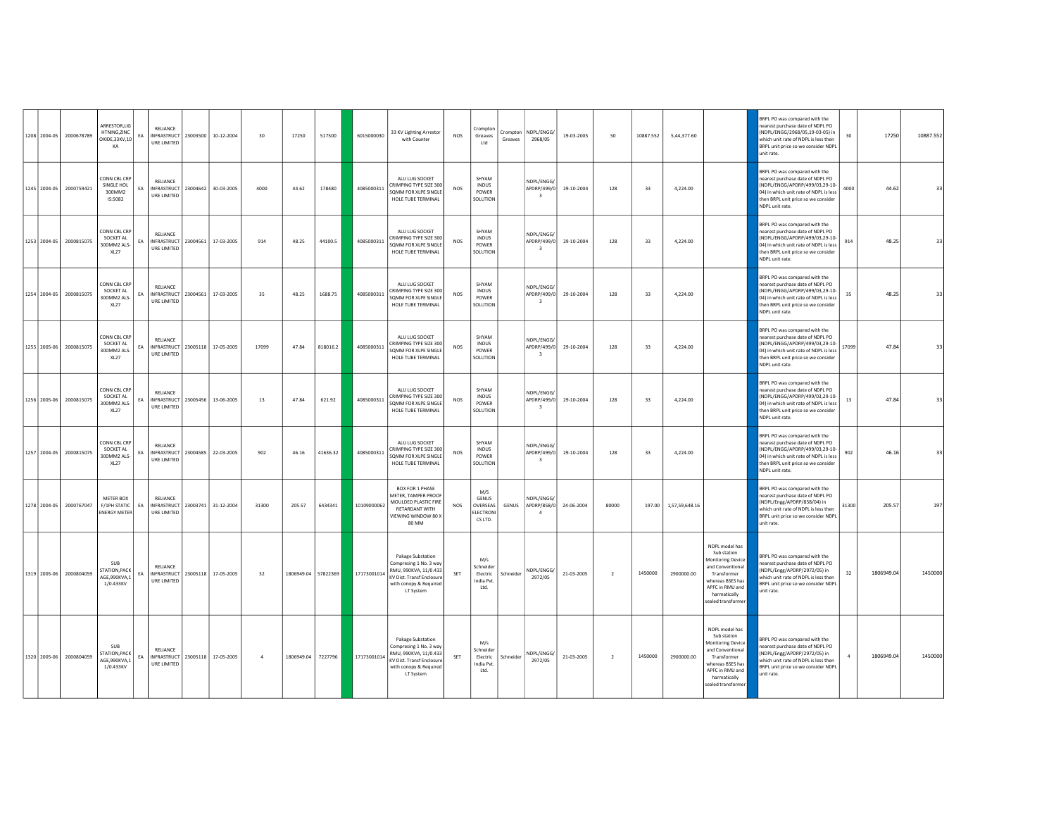|  | 1208 2004-05 2000678789 | ARRESTOR,LIG<br>HTNING.ZINC                                  | FA | RELIANCE<br>INFRASTRUCT                                    | 23003500 | 10-12-2004          | 30             | 17250               | 517500   | 6015000030  | 33 KV Lighting Arrestor                                                                                                                  | <b>NOS</b> | Crompton<br>Greaves                                      |           | Crompton   NDPL/ENGG/                                | 19-03-2005 | 50             | 10887.552 |                | 5,44,377.60                                                                                                                                                               | BRPL PO was compared with the<br>nearest purchase date of NDPL PO<br>(NDPL/ENGG/2968/05.19-03-05) in                                                                                                   | 30                                                                              | 17250      |
|--|-------------------------|--------------------------------------------------------------|----|------------------------------------------------------------|----------|---------------------|----------------|---------------------|----------|-------------|------------------------------------------------------------------------------------------------------------------------------------------|------------|----------------------------------------------------------|-----------|------------------------------------------------------|------------|----------------|-----------|----------------|---------------------------------------------------------------------------------------------------------------------------------------------------------------------------|--------------------------------------------------------------------------------------------------------------------------------------------------------------------------------------------------------|---------------------------------------------------------------------------------|------------|
|  |                         | OXIDE, 33KV, 10<br>KA                                        |    | URE LIMITED                                                |          |                     |                |                     |          |             | with Counter                                                                                                                             |            | Ltd                                                      | Greaves   | 2968/05                                              |            |                |           |                |                                                                                                                                                                           | which unit rate of NDPL is less then<br>BRPL unit price so we consider NDPI<br>unit rate.                                                                                                              |                                                                                 |            |
|  | 1245 2004-05 2000759421 | CONN CBL CRP<br>SINGLE HOL<br>300MM2<br>IS:5082              | FA | <b>RELIANCE</b><br>INFRASTRUCT   23004642  <br>URE LIMITED |          | 30-03-2005          | 4000           | 44.62               | 178480   | 4085000311  | ALU LUG SOCKET<br>CRIMPING TYPE SIZE 300<br>SQMM FOR XLPE SINGLE<br>HOLE TUBE TERMINAL                                                   | <b>NOS</b> | SHYAM<br><b>INDUS</b><br>POWER<br>SOLUTION               |           | NDPL/ENGG/<br>APDRP/499/0<br>$\overline{\mathbf{3}}$ | 29-10-2004 | 128            | 33        | 4,224.00       |                                                                                                                                                                           | BRPL PO was compared with the<br>earest purchase date of NDPL PO<br>then BRPL unit price so we consider<br>NDPL unit rate.                                                                             | NDPL/ENGG/APDRP/499/03,29-10-<br>4000<br>04) in which unit rate of NDPL is less | 44.62      |
|  | 1253 2004-05 2000815075 | CONN CBL CRP<br>SOCKET AL<br>300MM2 ALS-<br>XL27             | EA | <b>RELIANCE</b><br>INFRASTRUCT<br>URE LIMITED              | 23004561 | 17-03-2005          | 914            | 48.25               | 44100.5  | 4085000311  | ALU LUG SOCKET<br>CRIMPING TYPE SIZE 300<br>SQMM FOR XLPE SINGLE<br>HOLE TUBE TERMINAL                                                   | <b>NOS</b> | SHYAM<br><b>INDUS</b><br>POWER<br>SOLUTION               |           | NDPL/FNGG/<br>APDRP/499/0<br>$\overline{\mathbf{3}}$ | 29-10-2004 | 128            | 33        | 4,224.00       |                                                                                                                                                                           | BRPL PO was compared with the<br>nearest purchase date of NDPL PO<br>04) in which unit rate of NDPL is less<br>then BRPL unit price so we consider<br>NDPL unit rate.                                  | (NDPL/ENGG/APDRP/499/03,29-10-<br>914                                           | 48.25      |
|  | 1254 2004-05 2000815075 | CONN CBL CRP<br>SOCKET AL<br>300MM2 ALS-<br><b>XL27</b>      | EA | <b>RELIANCE</b><br>INFRASTRUCT   23004561  <br>URE LIMITED |          | 17-03-2005          | 35             | 48.25               | 1688.75  | 4085000311  | ALU LUG SOCKET<br>CRIMPING TYPE SIZE 300<br>SOMM FOR XLPE SINGLE<br>HOLE TUBE TERMINAL                                                   | <b>NOS</b> | SHYAM<br><b>INDUS</b><br>POWER<br>SOLUTION               |           | NDPL/ENGG/<br>APDRP/499/0<br>$\overline{\mathbf{3}}$ | 29-10-2004 | 128            | 33        | 4,224.00       |                                                                                                                                                                           | BRPL PO was compared with the<br>earest purchase date of NDPL PO<br>then BRPL unit price so we consider<br>NDPL unit rate.                                                                             | (NDPL/ENGG/APDRP/499/03,29-10-<br>35<br>04) in which unit rate of NDPL is less  | 48.25      |
|  | 1255 2005-06 2000815075 | CONN CBL CRP<br>SOCKET AL<br>300MM2 ALS<br>XL27              | EA | <b>RELIANCE</b><br>INFRASTRUCT<br>URE LIMITED              | 23005118 | 17-05-2005          | 17099          | 47.84               | 818016.2 | 4085000311  | ALU LUG SOCKET<br>CRIMPING TYPE SIZE 300<br>SOMM FOR XLPE SINGL<br>HOLE TUBE TERMINAL                                                    | <b>NOS</b> | SHYAM<br><b>INDUS</b><br>POWER<br>SOLUTION               |           | NDPI/FNGG/<br>APDRP/499/0<br>$\overline{\mathbf{3}}$ | 29-10-2004 | 128            | 33        | 4,224.00       |                                                                                                                                                                           | BRPL PO was compared with the<br>nearest purchase date of NDPL PO<br>NDPL/ENGG/APDRP/499/03,29-10-<br>04) in which unit rate of NDPL is les:<br>then BRPL unit price so we consider<br>NDPL unit rate. | 17099                                                                           | 47.84      |
|  | 1256 2005-06 2000815075 | CONN CBL CRP<br>SOCKET AL<br>300MM2 ALS-<br>XL <sub>27</sub> | EA | RELIANCE<br>INFRASTRUCT   23005456<br>URE LIMITED          |          | 13-06-2005          | 13             | 47.84               | 621.92   | 4085000311  | ALU LUG SOCKET<br>CRIMPING TYPE SIZE 300<br>SOMM FOR XLPE SINGLE<br>HOLE TUBE TERMINAL                                                   | <b>NOS</b> | SHVAM<br><b>INDUS</b><br>POWER<br>SOLUTION               |           | NDPI/FNGG/<br>APDRP/499/0<br>$\overline{\mathbf{3}}$ | 29-10-2004 | 128            | 33        | 4,224.00       |                                                                                                                                                                           | <b>SRPL PO was compared with the</b><br>earest purchase date of NDPL PO<br>then BRPL unit price so we consider<br>NDPL unit rate.                                                                      | (NDPL/ENGG/APDRP/499/03,29-10-<br>13<br>04) in which unit rate of NDPL is less  | 47.84      |
|  | 1257 2004-05 2000815075 | CONN CBL CRP<br>SOCKET AL<br>300MM2 ALS-<br>XL <sub>27</sub> | EA | RELIANCE<br>INFRASTRUCT   23004585  <br>URE LIMITED        |          | 22-03-2005          | 902            | 46.16               | 41636.32 | 4085000311  | ALU LUG SOCKET<br>CRIMPING TYPE SIZE 300<br>SOMM FOR XLPF SINGLE<br>HOLE TUBE TERMINAL                                                   | <b>NOS</b> | <b>SHVAM</b><br><b>INDUS</b><br><b>POWER</b><br>SOLUTION |           | NDPL/ENGG/<br>APDRP/499/0<br>$\overline{\mathbf{3}}$ | 29-10-2004 | 128            | 33        | 4,224.00       |                                                                                                                                                                           | BRPL PO was compared with the<br>earest purchase date of NDPL PO<br>04) in which unit rate of NDPL is less<br>then BRPL unit price so we consider<br>NDPL unit rate.                                   | NDPL/ENGG/APDRP/499/03,29-10-<br>902                                            | 46.16      |
|  | 1278 2004-05 2000767047 | METER BOX<br>F/1PH STATIC<br><b>ENERGY METER</b>             | EA | RELIANCE<br><b>INFRASTRUCT</b><br>URE LIMITED              | 23003741 | 31-12-2004          | 31300          | 205.57              | 6434341  | 10109000062 | BOX FOR 1 PHASE<br>METER, TAMPER PROOF<br>MOULDED PLASTIC FIRE<br>RETARDANT WITH<br><b>/IEWING WINDOW 80 X</b><br>80 MM                  | NOS        | M/S<br>GENUS<br>OVERSEAS<br>ELECTRON<br>CS LTD.          | GENUS     | NDPL/ENGG/<br>APDRP/858/0 24-06-2004                 |            | 80000          | 197.00    | 1,57,59,648.16 |                                                                                                                                                                           | BRPL PO was compared with the<br>OS ISON has a date of the read<br>(NDPL/Engg/APDRP/858/04) in<br>which unit rate of NDPL is less then<br>BRPL unit price so we consider NDPL<br>unit rate.            | 31300                                                                           | 205.57     |
|  | 1319 2005-06 2000804059 | SUB<br><b>STATION, PACK</b><br>AGE,990KVA,1<br>1/0.433KV     | EA | RELIANCE<br>INFRASTRUCT 23005118 17-05-2005<br>URE LIMITED |          |                     | 32             | 1806949.04 57822369 |          | 17173001014 | Pakage Substation<br>Compresing 1 No. 3 way<br>RMU, 990KVA, 11/0.433<br>KV Dist. Transf Enclosure<br>with conopy & Requirer<br>LT System | SET        | M/s<br>Schneider<br>Flectric<br>India Pvt.<br>Ltd.       | Schneider | NDPL/ENGG/<br>2972/05                                | 21-03-2005 | $\overline{2}$ | 1450000   | 2900000.00     | NDPL model has<br>Sub station<br><b>Monitoring Device</b><br>and Conventional<br>Transformer<br>whereas BSES has<br>APFC in RMU and<br>harmatically<br>sealed transformer | BRPL PO was compared with the<br>earest purchase date of NDPL PO<br>NDPL/Engg/APDRP/2972/05) in<br>which unit rate of NDPL is less then<br>BRPL unit price so we consider NDPL<br>unit rate.           | 32                                                                              | 1806949.04 |
|  | 1320 2005-06 2000804059 | SUB<br>STATION, PACK<br>AGE 990KVA.1<br>1/0.433KV            | EA | RELIANCE<br><b>INFRASTRUCT</b><br>URE LIMITED              |          | 23005118 17-05-2005 | $\overline{a}$ | 1806949.04          | 7227796  | 17173001014 | Pakage Substation<br>Compresing 1 No. 3 way<br>RMU, 990KVA, 11/0.433<br>KV Dist. Transf Enclosur<br>with conopy & Required<br>LT System  | SET        | M/s<br>Schneider<br>Electric<br>India Pvt.<br>Ltd.       | Schneider | NDPL/ENGG/<br>2972/05                                | 21-03-2005 | $\overline{2}$ | 1450000   | 2900000.00     | NDPL model has<br>Sub station<br><b>Monitoring Device</b><br>and Conventional<br>Transformer<br>whereas BSES has<br>APFC in RMU and<br>harmatically<br>sealed transformer | BRPL PO was compared with the<br>OS ISON has a date of the read<br>(NDPL/Engg/APDRP/2972/05) in<br>which unit rate of NDPL is less then<br>unit rate.                                                  | BRPL unit price so we consider NDPL                                             | 1806949.04 |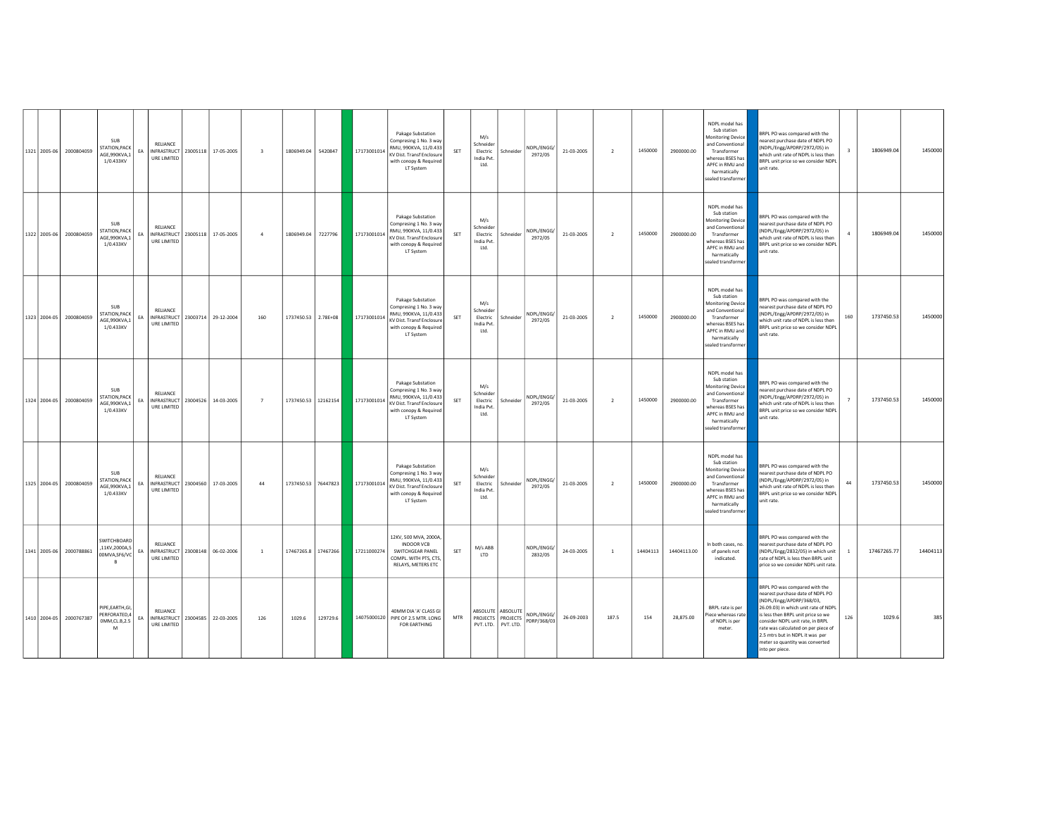| 1321 2005-06 | 2000804059 | <b>SUB</b><br>STATION, PACK<br>AGE,990KVA,1<br>1/0.433KV        | EA | RELIANCE<br>URE LIMITED                         |          | INFRASTRUCT 23005118 17-05-2005 | $\overline{\mathbf{3}}$ | 1806949.04 5420847  |                     | 17173001014 | Pakage Substation<br>Compresing 1 No. 3 way<br>RMU, 990KVA, 11/0.433<br><b>KV Dist. Transf Enclosure</b><br>with conopy & Required<br>LT System | SET        | M/s<br>Schneider<br>Electric<br>India Pvt.<br>Ltd.        | Schneider                                                     | NDPL/ENGG/<br>2972/05     | 21-03-2005 | $\overline{2}$ | 1450000  | 2900000.00  | NDPL model has<br>Sub station<br>Monitoring Device<br>and Conventional<br>Transformer<br>whereas BSES has<br>APFC in RMU and<br>harmatically<br>sealed transformer        | BRPL PO was compared with the<br>earest purchase date of NDPL PO<br>(NDPL/Engg/APDRP/2972/05) in<br>which unit rate of NDPL is less then<br>BRPL unit price so we consider NDPL<br>unit rate.                                                                                                                                                   |     | 1806949.04  | 1450000  |
|--------------|------------|-----------------------------------------------------------------|----|-------------------------------------------------|----------|---------------------------------|-------------------------|---------------------|---------------------|-------------|-------------------------------------------------------------------------------------------------------------------------------------------------|------------|-----------------------------------------------------------|---------------------------------------------------------------|---------------------------|------------|----------------|----------|-------------|---------------------------------------------------------------------------------------------------------------------------------------------------------------------------|-------------------------------------------------------------------------------------------------------------------------------------------------------------------------------------------------------------------------------------------------------------------------------------------------------------------------------------------------|-----|-------------|----------|
| 1322 2005-06 | 2000804059 | <b>SUB</b><br><b>STATION, PACK</b><br>AGE,990KVA,1<br>1/0.433KV | EA | RELIANCE<br>URE LIMITED                         |          | INFRASTRUCT 23005118 17-05-2005 | $\sim$                  | 1806949.04          | 7227796             | 17173001014 | Pakage Substation<br>Compresing 1 No. 3 way<br>RMU, 990KVA, 11/0.433<br>KV Dist. Transf Enclosure<br>with conopy & Required<br>LT System        | SET        | M/s<br>Schneider<br>Electric<br>India Pvt.<br>Ltd.        | Schneider                                                     | NDPL/ENGG/<br>2972/05     | 21-03-2005 | $\overline{2}$ | 1450000  | 2900000.00  | NDPL model has<br>Sub station<br>Monitoring Device<br>and Conventional<br>Transformer<br>whereas BSES has<br>APFC in RMU and<br>harmatically<br>sealed transformer        | BRPL PO was compared with the<br>earest purchase date of NDPL PO<br>(NDPL/Engg/APDRP/2972/05) in<br>which unit rate of NDPL is less then<br>BRPL unit price so we consider NDPL<br>unit rate.                                                                                                                                                   |     | 1806949.04  | 1450000  |
| 1323 2004-05 | 2000804059 | <b>SUB</b><br>STATION, PACK<br>AGE,990KVA,1<br>1/0.433KV        | EA | RELIANCE<br><b>INFRASTRUCT</b><br>URE LIMITED   |          | 23003714 29-12-2004             | 160                     | 1737450.53 2.78E+08 |                     | 17173001014 | Pakage Substation<br>ompresing 1 No. 3 way<br>RMU, 990KVA, 11/0.433<br>KV Dist. Transf Enclosure<br>with conopy & Required<br>LT System         | SET        | M/s<br><b>Schneider</b><br>Electric<br>India Pvt.<br>Ltd. | Schneider                                                     | NDPL/ENGG/<br>2972/05     | 21-03-2005 | $\overline{2}$ | 1450000  | 2900000.00  | NDPL model has<br>Sub station<br><b>Monitoring Device</b><br>and Conventional<br>Transformer<br>whereas BSES has<br>APFC in RMU and<br>harmatically<br>sealed transformer | RPL PO was compared with the<br>earest purchase date of NDPL PO<br>NDPL/Engg/APDRP/2972/05) in<br>which unit rate of NDPL is less then<br>BRPL unit price so we consider NDPL<br>unit rate.                                                                                                                                                     | 160 | 1737450.53  | 1450000  |
| 1324 2004-05 | 2000804059 | <b>SUB</b><br>STATION, PACK<br>AGE.990KVA.1<br>1/0.433KV        | FA | RELIANCE<br>INFRASTRUCT<br>URE LIMITED          | 23004526 | 14-03-2005                      | $\overline{7}$          |                     | 1737450.53 12162154 | 17173001014 | Pakage Substation<br>Compresing 1 No. 3 way<br>RMU, 990KVA, 11/0.433<br>KV Dist. Transf Enclosure<br>with conopy & Required<br>LT System        | SET        | M/s<br>Schneider<br>Electric<br>India Pvt.<br>Ltd.        | Schneider                                                     | NDPL/ENGG/<br>2972/05     | 21-03-2005 | $\overline{2}$ | 1450000  | 2900000.00  | NDPL model has<br>Sub station<br>Monitoring Device<br>and Conventional<br>Transformer<br>whereas BSES has<br>APFC in RMU and<br>harmatically<br>sealed transformer        | BRPL PO was compared with the<br>nearest purchase date of NDPL PO<br>(NDPL/Engg/APDRP/2972/05) in<br>which unit rate of NDPL is less then<br>BRPL unit price so we consider NDPL<br>unit rate                                                                                                                                                   |     | 1737450.53  | 1450000  |
| 1325 2004-05 | 2000804059 | <b>SUB</b><br>STATION, PACK<br>AGE,990KVA,1<br>1/0.433KV        | EA | RELIANCE<br>INFRASTRUCT 23004560<br>URE LIMITED |          | 17-03-2005                      | 44                      |                     | 1737450.53 76447823 | 17173001014 | Pakage Substation<br>Compresing 1 No. 3 way<br>RMU, 990KVA, 11/0.433<br>KV Dist. Transf Enclosure<br>with conopy & Required<br>LT System        | SET        | M/s<br><b>Schneider</b><br>Electric<br>India Pvt.<br>Ltd. | Schneider                                                     | NDPL/ENGG/<br>2972/05     | 21-03-2005 | $\overline{2}$ | 1450000  | 2900000.00  | NDPL model has<br>Sub station<br><b>Monitoring Device</b><br>and Conventional<br>Transformer<br>whereas BSES has<br>APFC in RMU and<br>harmatically<br>sealed transformer | <b>SRPL PO was compared with the</b><br>earest purchase date of NDPL PO<br>(NDPL/Engg/APDRP/2972/05) in<br>which unit rate of NDPL is less then<br>BRPL unit price so we consider NDPL<br>unit rate.                                                                                                                                            | 44  | 1737450.53  | 1450000  |
| 1341 2005-06 | 2000788861 | SWITCHBOARD<br>,11KV,2000A,5<br>00MVA,SF6/VC<br>$\mathbf{R}$    | EA | RELIANCE<br>URE LIMITED                         |          | INFRASTRUCT 23008148 06-02-2006 | $\overline{1}$          |                     | 17467265.8 17467266 | 17211000274 | 12KV, 500 MVA, 2000A,<br>INDOOR VCB<br>SWITCHGEAR PANEL<br>COMPL. WITH PTS. CTS.<br>RELAYS, METERS ETC                                          | SET        | M/s ABB<br><b>ITD</b>                                     |                                                               | NDPL/ENGG/<br>2832/05     | 24-03-2005 | <sup>1</sup>   | 14404113 | 14404113.00 | In both cases, no.<br>of panels not<br>indicated.                                                                                                                         | BRPL PO was compared with the<br>nearest purchase date of NDPL PO<br>(NDPL/Engg/2832/05) in which unit<br>rate of NDPL is less then BRPL unit<br>price so we consider NDPL unit rate                                                                                                                                                            |     | 17467265.77 | 14404113 |
| 1410 2004-05 | 2000767387 | PIPE, EARTH, GI,<br>PERFORATED,4<br>OMM,CLB,2.5<br>M            | FA | <b>RELIANCE</b><br>URE LIMITED                  |          | INFRASTRUCT 23004585 22-03-2005 | 126                     | 1029.6              | 129729.6            |             | 40MM DIA 'A' CLASS GI<br>14075000120 PIPE OF 2.5 MTR. LONG<br>FOR EARTHING                                                                      | <b>MTR</b> |                                                           | ABSOLUTE ABSOLUTE<br>PROJECTS PROJECTS<br>PVT. LTD. PVT. LTD. | NDPL/ENGG/<br>PDRP/368/03 | 26-09-2003 | 187.5          | 154      | 28.875.00   | BRPL rate is per<br>Piece whereas rate<br>of NDPL is per<br>meter.                                                                                                        | BRPL PO was compared with the<br>nearest purchase date of NDPL PO<br>(NDPL/Engg/APDRP/368/03.<br>26.09.03) in which unit rate of NDPL<br>is less then BRPL unit price so we<br>consider NDPL unit rate, in BRPL<br>rate was calculated on per piece of<br>2.5 mtrs but in NDPL it was per<br>meter so quantity was converted<br>into per piece. | 126 | 1029.6      | 385      |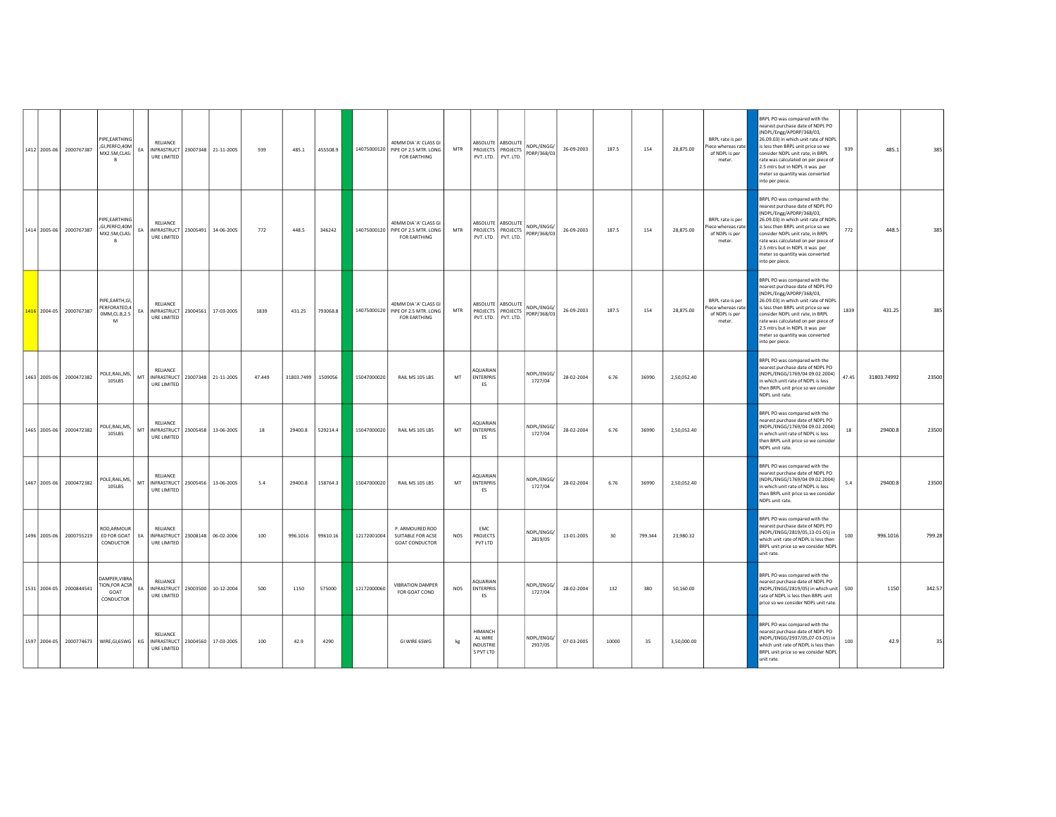|              | 1412 2005-06 2000767387 | PIPE.EARTHING<br>,GI,PERFO,40M<br>MX2.5M,CLAS:<br>$\mathbf{R}$                    | EA | RELIANCE<br>INFRASTRUCT 23007348 21-11-2005<br>URE LIMITED        |                     | 939    | 485.1              | 455508.9 |             | 40MM DIA 'A' CLASS GI<br>14075000120 PIPE OF 2.5 MTR. LONG<br><b>FOR FARTHING</b> | MTR        |                                                     | ABSOLUTE ABSOLUTE<br>PROJECTS PROJECTS<br>PVT. LTD. PVT. LTD. | NDPL/ENGG/<br>PDRP/368/03 | 26-09-2003 | 187.5 | 154     | 28,875.00   | BRPL rate is per<br>Piece whereas rate<br>of NDPL is per<br>meter. | RPL PO was compared with the<br>earest purchase date of NDPL PO<br>(NDPL/Engg/APDRP/368/03,<br>26.09.03) in which unit rate of NDPL<br>is less then BRPL unit price so we<br>consider NDPL unit rate, in BRPL<br>rate was calculated on ner niece of<br>2.5 mtrs but in NDPL it was per<br>meter so quantity was converted<br>into per piece.  | 939   | 485.1       | 385    |
|--------------|-------------------------|-----------------------------------------------------------------------------------|----|-------------------------------------------------------------------|---------------------|--------|--------------------|----------|-------------|-----------------------------------------------------------------------------------|------------|-----------------------------------------------------|---------------------------------------------------------------|---------------------------|------------|-------|---------|-------------|--------------------------------------------------------------------|------------------------------------------------------------------------------------------------------------------------------------------------------------------------------------------------------------------------------------------------------------------------------------------------------------------------------------------------|-------|-------------|--------|
|              | 1414 2005-06 2000767387 | <b>PIPE FARTHING</b><br>GI, PERFO, 40M<br>MX2.5M,CLAS:<br>$\overline{R}$          | EA | <b>RELIANCE</b><br>INFRASTRUCT<br>URE LIMITED                     | 23005491 14-06-2005 | 772    | 448.5              | 346242   |             | 40MM DIA 'A' CLASS GL<br>14075000120 PIPE OF 2.5 MTR. LONG<br><b>FOR EARTHING</b> | MTR        | PVT. LTD. PVT. LTD.                                 | ABSOLUTE ABSOLUTE<br>PROJECTS PROJECTS                        | NDPL/ENGG/<br>PDRP/368/03 | 26-09-2003 | 187.5 | 154     | 28,875.00   | BRPL rate is per<br>Piece whereas rate<br>of NDPL is per<br>meter  | BRPL PO was compared with the<br>nearest purchase date of NDPL PO<br>(NDPL/Engg/APDRP/368/03,<br>26.09.03) in which unit rate of NDPL<br>is less then BRPL unit price so we<br>onsider NDPL unit rate, in BRPL<br>rate was calculated on per piece of<br>2.5 mtrs but in NDPL it was ner<br>meter so quantity was converted<br>into per piece. | 772   | 448.5       | 385    |
|              | 1416 2004-05 2000767387 | PIPE, EARTH, GI,<br>PERFORATED,4<br>0MM, CL.B, 2.5<br>M                           | EA | <b>RELIANCE</b><br>INFRASTRUCT 23004561 17-03-2005<br>URE LIMITED |                     | 1839   | 431.25             | 793068.8 |             | 40MM DIA 'A' CLASS GI<br>14075000120 PIPE OF 2.5 MTR. LONG<br>FOR EARTHING        | MTR        |                                                     | ABSOLUTE ABSOLUTE<br>PROJECTS PROJECTS<br>PVT. LTD. PVT. LTD. | NDPL/ENGG/<br>PDRP/368/03 | 26-09-2003 | 187.5 | 154     | 28,875.00   | BRPL rate is per<br>Piece whereas rate<br>of NDPL is per<br>meter  | BRPL PO was compared with the<br>earest purchase date of NDPL PO<br>NDPL/Engg/APDRP/368/03,<br>26.09.03) in which unit rate of NDPL<br>is less then BRPL unit price so we<br>consider NDPL unit rate, in BRPL<br>rate was calculated on per piece of<br>2.5 mtrs but in NDPL it was per<br>meter so quantity was converted<br>into per piece.  | 1839  | 431.25      | 385    |
|              | 1463 2005-06 2000472382 | POLE, RAIL, MS,<br>105LBS                                                         | MT | RELIANCE<br>INFRASTRUCT 23007348 21-11-2005<br>URE LIMITED        |                     | 47.449 | 31803.7499 1509056 |          | 15047000020 | RAIL MS 105 LBS                                                                   | MT         | AOUARIAN<br><b>ENTERPRIS</b><br>ES                  |                                                               | NDPL/ENGG/<br>1727/04     | 28-02-2004 | 6.76  | 36990   | 2,50,052.40 |                                                                    | BRPL PO was compared with the<br>earest purchase date of NDPL PO<br>(NDPL/ENGG/1769/04 09.02.2004)<br>in which unit rate of NDPL is less<br>then BRPL unit price so we consider<br>NDPL unit rate.                                                                                                                                             | 47.45 | 31803.74992 | 23500  |
| 1465 2005-06 | 2000472382              | POLE, RAIL, MS,<br>105LBS                                                         | MT | RELIANCE<br>INFRASTRUCT 23005458<br>URE LIMITED                   | 13-06-2005          | 18     | 29400.8            | 529214.4 | 15047000020 | RAIL MS 105 LBS                                                                   | MT         | AOUARIAN<br><b>ENTERPRIS</b><br>ES                  |                                                               | NDPL/ENGG/<br>1727/04     | 28-02-2004 | 6.76  | 36990   | 2,50,052.40 |                                                                    | BRPL PO was compared with the<br>earest purchase date of NDPL PO<br>(NDPL/ENGG/1769/04 09.02.2004)<br>in which unit rate of NDPL is less<br>then BRPL unit price so we consider<br>NDPL unit rate.                                                                                                                                             | 18    | 29400.8     | 23500  |
|              | 1467 2005-06 2000472382 | POLE, RAIL, MS,<br>105LBS                                                         | MT | RELIANCE<br>INFRASTRUCT 23005456<br>URE LIMITED                   | 13-06-2005          | 5.4    | 29400.8            | 158764.3 | 15047000020 | RAIL MS 105 LBS                                                                   | MT         | <b>QUARIAN</b><br><b>ENTERPRIS</b><br>FS.           |                                                               | NDPL/ENGG/<br>1727/04     | 28-02-2004 | 6.76  | 36990   | 2,50,052.40 |                                                                    | BRPL PO was compared with the<br>earest purchase date of NDPL PO<br>NDPL/ENGG/1769/04 09.02.2004)<br>n which unit rate of NDPL is less<br>then BRPL unit price so we consider<br>NDPL unit rate.                                                                                                                                               | 5.4   | 29400.8     | 23500  |
| 1496 2005-06 | 2000755219              | ROD, ARMOUR<br>ED FOR GOAT<br>CONDUCTOR                                           | EA | RELIANCE<br>INFRASTRUCT<br>URE LIMITED                            | 23008148 06-02-2006 | 100    | 996.1016           | 99610.16 | 12172001004 | P. ARMOURED ROD<br>SUITABLE FOR ACSE<br><b>GOAT CONDUCTOR</b>                     | <b>NOS</b> | EMC<br>PROJECTS<br>PVT LTD                          |                                                               | NDPL/ENGG/<br>2819/05     | 13-01-2005 | 30    | 799.344 | 23,980.32   |                                                                    | BRPL PO was compared with the<br>nearest purchase date of NDPL PO<br>NDPL/ENGG/2819/05,13-01-05) in<br>which unit rate of NDPL is less then<br>BRPL unit price so we consider NDPL<br>unit rate.                                                                                                                                               | 100   | 996.1016    | 799.28 |
|              | 1531 2004-05 2000844541 | <b>DAMPER, VIBRA</b><br><b><i>FION,FOR ACSR</i></b><br>GOAT<br>CONDUCTOR          | FA | RELIANCE<br>INFRASTRUCT<br>URE LIMITED                            | 23003500 10-12-2004 | 500    | 1150               | 575000   | 12172000060 | <b>VIBRATION DAMPER</b><br>FOR GOAT COND                                          | <b>NOS</b> | AQUARIAN<br><b>ENTERPRIS</b><br>ES                  |                                                               | NDPL/ENGG/<br>1727/04     | 28-02-2004 | 132   | 380     | 50,160.00   |                                                                    | BRPL PO was compared with the<br>nearest purchase date of NDPL PO<br>(NDPL/ENGG/2819/05) in which unit<br>rate of NDPL is less then BRPL unit<br>price so we consider NDPL unit rate.                                                                                                                                                          | 500   | 1150        | 342.57 |
|              |                         | 1597 2004-05 2000774673   WIRE, GI, 6SWG   KG   INFRASTRUCT 23004560   17-03-2005 |    | RELIANCE<br>URE LIMITED                                           |                     | 100    | 42.9               | 4290     |             | GI WIRE 6SWG                                                                      | kg         | <b>HIMANCH</b><br>AL WIRE<br>INDUSTRIE<br>S PVT LTD |                                                               | NDPL/ENGG/<br>2937/05     | 07-03-2005 | 10000 | 35      | 3,50,000.00 |                                                                    | BRPL PO was compared with the<br>D9 I9OD of the stab each out teams<br>(NDPL/ENGG/2937/05,07-03-05) in<br>which unit rate of NDPL is less then<br>BRPL unit price so we consider NDPL<br>unit rate.                                                                                                                                            | 100   | 42.9        | 35     |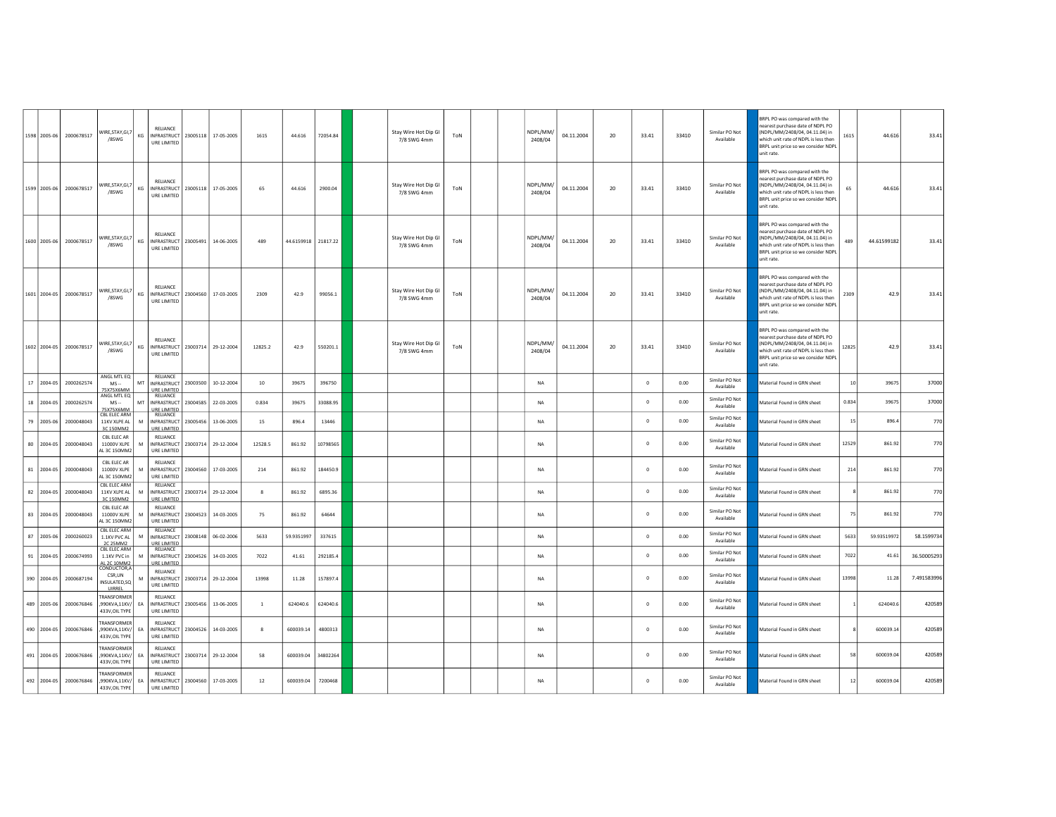|    |                  | 1598 2005-06 2000678517 | VIRE, STAY, GI, 7<br>/8SWG                                   | KG | RELIANCE<br>INFRASTRUCT 23005118 17-05-2005<br>URE LIMITED           |                     | 1615           | 44.616              | 72054.84 | Stay Wire Hot Dip GI<br>7/8 SWG 4mm | ToN |  | NDPI/MM/<br>2408/04 | 04.11.2004 | 20 | 33.41        | 33410 | Similar PO Not<br>Available | BRPL PO was compared with the<br>earest purchase date of NDPL PO<br>NDPL/MM/2408/04, 04.11.04) in<br>which unit rate of NDPL is less then<br>BRPL unit price so we consider NDPL<br>unit rate.        | 1615  | 44.616      | 33.41       |
|----|------------------|-------------------------|--------------------------------------------------------------|----|----------------------------------------------------------------------|---------------------|----------------|---------------------|----------|-------------------------------------|-----|--|---------------------|------------|----|--------------|-------|-----------------------------|-------------------------------------------------------------------------------------------------------------------------------------------------------------------------------------------------------|-------|-------------|-------------|
|    |                  | 1599 2005-06 2000678517 | VIRE, STAY, GI, 7<br>/8SWG                                   |    | <b>RELIANCE</b><br>KG INFRASTRUCT 23005118 17-05-2005<br>URE LIMITED |                     | 65             | 44.616              | 2900.04  | Stay Wire Hot Dip GI<br>7/8 SWG 4mm | ToN |  | NDPL/MM/<br>2408/04 | 04.11.2004 | 20 | 33.41        | 33410 | Similar PO Not<br>Available | <b>BRPL PO was compared with the</b><br>earest purchase date of NDPL PO<br>NDPL/MM/2408/04, 04.11.04) in<br>which unit rate of NDPL is less then<br>BRPL unit price so we consider NDPL<br>unit rate. | 65    | 44.616      | 33.41       |
|    |                  | 1600 2005-06 2000678517 | VIRE, STAY, GI, 7<br>/8SWG                                   | KG | RELIANCE<br>INFRASTRUCT 23005491 14-06-2005<br>URE LIMITED           |                     | 489            | 44.6159918 21817.22 |          | Stay Wire Hot Dip GI<br>7/8 SWG 4mm | ToN |  | NDPL/MM/<br>2408/04 | 04.11.2004 | 20 | 33.41        | 33410 | Similar PO Not<br>Available | RRPL PO was compared with the<br>earest purchase date of NDPL PO<br>NDPL/MM/2408/04, 04.11.04) in<br>which unit rate of NDPL is less then<br>BRPL unit price so we consider NDPL<br>unit rate.        | 489   | 44.61599182 | 33.41       |
|    |                  | 1601 2004-05 2000678517 | VIRE, STAY, GI, 7<br>/8SWG                                   |    | RELIANCE<br>KG  INFRASTRUCT 23004560   17-03-2005<br>URE LIMITED     |                     | 2309           | 42.9                | 99056.1  | Stay Wire Hot Dip GI<br>7/8 SWG 4mm | ToN |  | NDPL/MM/<br>2408/04 | 04.11.2004 | 20 | 33.41        | 33410 | Similar PO Not<br>Available | 3RPL PO was compared with the<br>earest purchase date of NDPL PO<br>NDPL/MM/2408/04, 04.11.04) in<br>which unit rate of NDPL is less then<br>BRPL unit price so we consider NDPL<br>unit rate.        | 2309  | 42.9        | 33.41       |
|    |                  | 1602 2004-05 2000678517 | VIRE, STAY, GI, 7<br>/8SWG                                   | KG | <b>RELIANCE</b><br>INFRASTRUCT 23003714 29-12-2004<br>URE LIMITED    |                     | 12825.2        | 42.9                | 550201.1 | Stay Wire Hot Dip GI<br>7/8 SWG 4mm | ToN |  | NDPL/MM/<br>2408/04 | 04.11.2004 | 20 | 33.41        | 33410 | Similar PO Not<br>Available | BRPL PO was compared with the<br>earest purchase date of NDPL PO<br>NDPL/MM/2408/04, 04.11.04) in<br>which unit rate of NDPL is less then<br>BRPL unit price so we consider NDPL<br>nit rate          | 12825 | 42.9        | 33.41       |
|    | 17 2004-05       | 2000262574              | ANGL MTL EQ<br>$MS -$<br>75X75X6MM                           | MT | RELIANCE<br>INFRASTRUCT 23003500<br>URE LIMITED                      | 10-12-2004          | 10             | 39675               | 396750   |                                     |     |  | <b>NA</b>           |            |    | $\Omega$     | 0.00  | Similar PO Not<br>Available | Material Found in GRN sheet                                                                                                                                                                           | 10    | 39675       | 37000       |
|    | 18 2004-05       | 2000262574              | ANGL MTL EQ<br>$MS -$<br>75X75X6MM                           | MT | RELIANCE<br>INFRASTRUCT   23004585   22-03-2005<br>URE LIMITED       |                     | 0.834          | 39675               | 33088.95 |                                     |     |  | <b>NA</b>           |            |    | $\Omega$     | 0.00  | Similar PO Not<br>Available | Material Found in GRN sheet                                                                                                                                                                           | 0.834 | 39675       | 37000       |
|    | 79 2005-06       | 2000048043              | CBL ELEC ARM<br>11KV XLPE AL<br>3C 150MM2                    | M  | RELIANCE<br>INFRASTRUCT 23005456<br>URE LIMITEI                      | 13-06-2005          | 15             | 896.4               | 13446    |                                     |     |  | <b>NA</b>           |            |    | $\mathbb O$  | 0.00  | Similar PO Not<br>Available | Material Found in GRN sheet                                                                                                                                                                           | 15    | 896.4       | 770         |
| 80 | 2004-05          | 2000048043              | CBL ELEC AR<br>11000V XLPE<br>AL 3C 150MM2                   | M  | <b>RELIANCE</b><br><b>INFRASTRUCT</b><br>URE LIMITED                 | 23003714 29-12-2004 | 12528.5        | 861.92              | 10798565 |                                     |     |  | <b>NA</b>           |            |    | $^{\circ}$   | 0.00  | Similar PO Not<br>Available | Material Found in GRN sheet                                                                                                                                                                           | 12529 | 861.92      | 770         |
|    | 81 2004-05       | 2000048043              | CBL ELEC AR<br>11000V XLPE<br>AL 3C 150MM2                   | M  | <b>RELIANCE</b><br>INFRASTRUCT 23004560 17-03-2005<br>URE LIMITED    |                     | 214            | 861.92              | 184450.9 |                                     |     |  | <b>NA</b>           |            |    | $\Omega$     | 0.00  | Similar PO Not<br>Available | Material Found in GRN sheet                                                                                                                                                                           | 214   | 861.92      | 770         |
|    | 82 2004-05       | 2000048043              | <b>CBL ELEC ARM</b><br>11 KV XI PF AI<br><b>3C 150MM2</b>    | м  | RELIANCE<br>INFRASTRUCT 23003714 29-12-2004<br><b>JRE LIMITED</b>    |                     | $\mathbf{R}$   | 861.92              | 6895.36  |                                     |     |  | <b>NA</b>           |            |    | $\circ$      | 0.00  | Similar PO Not<br>Available | Material Found in GRN sheet                                                                                                                                                                           |       | 861.92      | 770         |
|    | 83 2004-05       | 2000048043              | CBL ELEC AR<br>11000V XLPE<br>AL 3C 150MM2                   | M  | RELIANCE<br>INFRASTRUCT 23004523<br>URE LIMITED                      | 14-03-2005          | 75             | 861.92              | 64644    |                                     |     |  | <b>NA</b>           |            |    | $^{\circ}$   | 0.00  | Similar PO Not<br>Available | Material Found in GRN sheet                                                                                                                                                                           | 75    | 861.92      | 770         |
|    | 87 2005-06       | 2000260023              | CBL ELEC ARM<br>1.1KV PVC AL<br>2C 25MM2                     | M  | RELIANCE<br>INFRASTRUCT 23008148<br><b>URE LIMITED</b>               | 06-02-2006          | 5633           | 59.9351997          | 337615   |                                     |     |  | <b>NA</b>           |            |    | $\circ$      | 0.00  | Similar PO Not<br>Available | Material Found in GRN sheet                                                                                                                                                                           | 5633  | 59.93519972 | 58.1599734  |
|    | $91   2004 - 05$ | 2000674993              | CBL ELEC ARM<br>1.1KV PVC in<br>L 2C 10MM2                   | M  | RELIANCE<br>INFRASTRUCT 23004526 14-03-2005<br>URE LIMITED           |                     | 7022           | 41.61               | 292185.4 |                                     |     |  | NA                  |            |    | $\mathbb O$  | 0.00  | Similar PO Not<br>Available | Material Found in GRN sheet                                                                                                                                                                           | 7022  | 41.61       | 36.50005293 |
|    | 390 2004-05      | 2000687194              | CONDUCTOR.A<br>CSR,UN<br>INSULATED,SQ<br>LIIRREI             | M  | RELIANCE<br><b>INFRASTRUCT</b><br>URE LIMITED                        | 23003714 29-12-2004 | 13998          | 11.28               | 157897.4 |                                     |     |  | <b>NA</b>           |            |    | $\mathbf{0}$ | 0.00  | Similar PO Not<br>Available | Material Found in GRN sheet                                                                                                                                                                           | 13998 | 11.28       | 7.491583996 |
|    | 489 2005-06      | 2000676846              | RANSFORMER<br>,990KVA,11KV/<br>433V, OIL TYPE                | EA | <b>RELIANCE</b><br>INFRASTRUCT 23005456 13-06-2005<br>URE LIMITED    |                     | $\overline{1}$ | 624040.6            | 624040.6 |                                     |     |  | <b>NA</b>           |            |    | $\Omega$     | 0.00  | Similar PO Not<br>Available | Material Found in GRN sheet                                                                                                                                                                           |       | 624040.6    | 420589      |
|    | 490 2004-05      | 2000676846              | <b><i>FRANSFORMER</i></b><br>,990KVA,11KV/<br>433V, OIL TYPE | EA | RELIANCE<br>INFRASTRUCT 23004526 14-03-2005<br>URE LIMITED           |                     | 8              | 600039.14           | 4800313  |                                     |     |  | <b>NA</b>           |            |    | $\Omega$     | 0.00  | Similar PO Not<br>Available | Material Found in GRN sheet                                                                                                                                                                           |       | 600039.14   | 420589      |
|    | 491 2004-05      | 2000676846              | RANSFORMER<br>,990KVA,11KV/<br>433V.OIL TYPE                 | EA | RELIANCE<br><b>INFRASTRUCT</b><br>URE LIMITED                        | 23003714 29-12-2004 | 58             | 600039.04           | 34802264 |                                     |     |  | NA                  |            |    | $\Omega$     | 0.00  | Similar PO Not<br>Available | Material Found in GRN sheet                                                                                                                                                                           | 58    | 600039.04   | 420589      |
|    |                  | 492 2004-05 2000676846  | RANSFORMER<br>,990KVA,11KV/ EA<br>433V, OIL TYPE             |    | RELIANCE<br>INFRASTRUCT 23004560 17-03-2005<br>URE LIMITED           |                     | 12             | 600039.04           | 7200468  |                                     |     |  | <b>NA</b>           |            |    | $\Omega$     | 0.00  | Similar PO Not<br>Available | Material Found in GRN sheet                                                                                                                                                                           | 12    | 600039.04   | 420589      |
|    |                  |                         |                                                              |    |                                                                      |                     |                |                     |          |                                     |     |  |                     |            |    |              |       |                             |                                                                                                                                                                                                       |       |             |             |